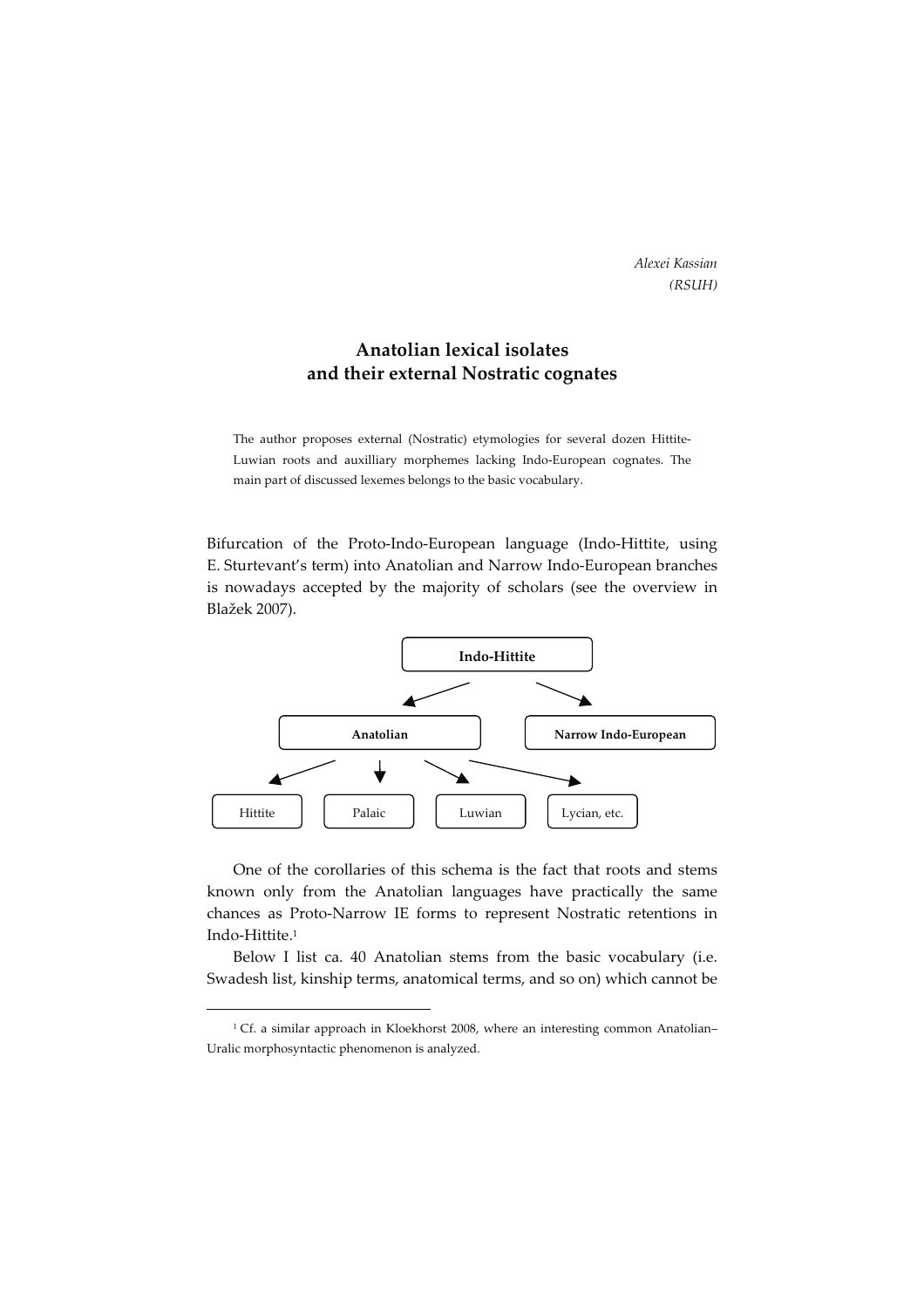Alexei Kassian (RSUH)

## Anatolian lexical isolates and their external Nostratic cognates

The author proposes external (Nostratic) etymologies for several dozen Hittite-Luwian roots and auxilliary morphemes lacking Indo-European cognates. The main part of discussed lexemes belongs to the basic vocabulary.

Bifurcation of the Proto-Indo-European language (Indo-Hittite, using E. Sturtevant's term) into Anatolian and Narrow Indo-European branches is nowadays accepted by the majority of scholars (see the overview in Blažek 2007).



One of the corollaries of this schema is the fact that roots and stems known only from the Anatolian languages have practically the same chances as Proto-Narrow IE forms to represent Nostratic retentions in Indo-Hittite.<sup>1</sup>

Below I list ca. 40 Anatolian stems from the basic vocabulary (i.e. Swadesh list, kinship terms, anatomical terms, and so on) which cannot be

<sup>&</sup>lt;sup>1</sup> Cf. a similar approach in Kloekhorst 2008, where an interesting common Anatolian– Uralic morphosyntactic phenomenon is analyzed.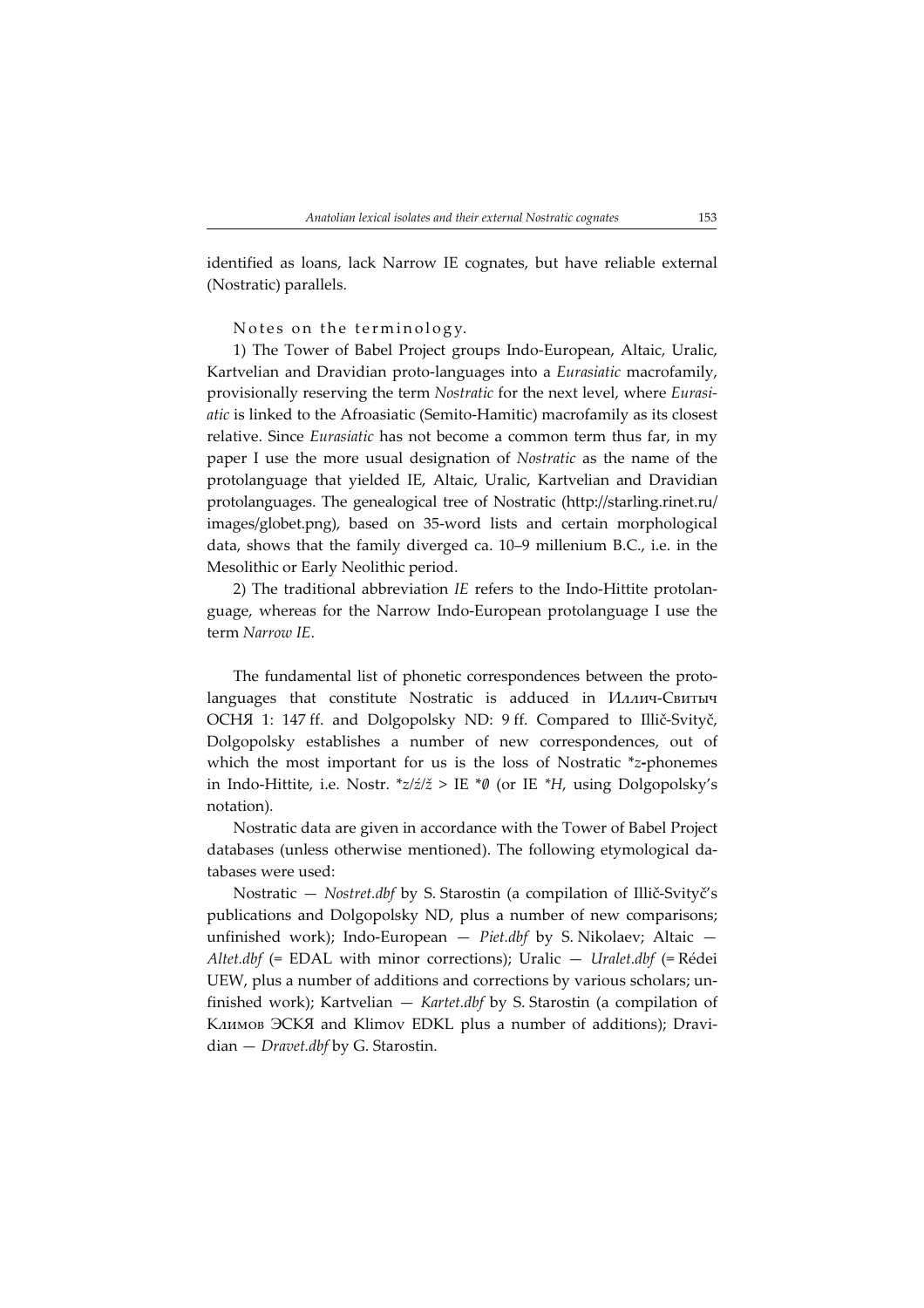identified as loans, lack Narrow IE cognates, but have reliable external (Nostratic) parallels.

Notes on the terminology.

1) The Tower of Babel Project groups Indo-European, Altaic, Uralic, Kartvelian and Dravidian proto-languages into a Eurasiatic macrofamily, provisionally reserving the term Nostratic for the next level, where Eurasiatic is linked to the Afroasiatic (Semito-Hamitic) macrofamily as its closest relative. Since Eurasiatic has not become a common term thus far, in my paper I use the more usual designation of Nostratic as the name of the protolanguage that yielded IE, Altaic, Uralic, Kartvelian and Dravidian protolanguages. The genealogical tree of Nostratic (http://starling.rinet.ru/ images/globet.png), based on 35-word lists and certain morphological data, shows that the family diverged ca. 10–9 millenium B.C., i.e. in the Mesolithic or Early Neolithic period.

2) The traditional abbreviation IE refers to the Indo-Hittite protolanguage, whereas for the Narrow Indo-European protolanguage I use the term Narrow IE.

The fundamental list of phonetic correspondences between the protolanguages that constitute Nostratic is adduced in Иллич-Свитыч ОСНЯ 1: 147 ff. and Dolgopolsky ND: 9 ff. Compared to Illič-Svityč, Dolgopolsky establishes a number of new correspondences, out of which the most important for us is the loss of Nostratic \*z-phonemes in Indo-Hittite, i.e. Nostr.  $z/z/\zeta >$  IE  $*\theta$  (or IE  $*H$ , using Dolgopolsky's notation).

Nostratic data are given in accordance with the Tower of Babel Project databases (unless otherwise mentioned). The following etymological databases were used:

Nostratic — Nostret.dbf by S. Starostin (a compilation of Illič-Svityč's publications and Dolgopolsky ND, plus a number of new comparisons; unfinished work); Indo-European  $-$  Piet.dbf by S. Nikolaev; Altaic  $-$ Altet.dbf (= EDAL with minor corrections); Uralic — Uralet.dbf (= Rédei UEW, plus a number of additions and corrections by various scholars; unfinished work); Kartvelian — Kartet.dbf by S. Starostin (a compilation of Климов ЭСКЯ and Klimov EDKL plus a number of additions); Dravidian — Dravet.dbf by G. Starostin.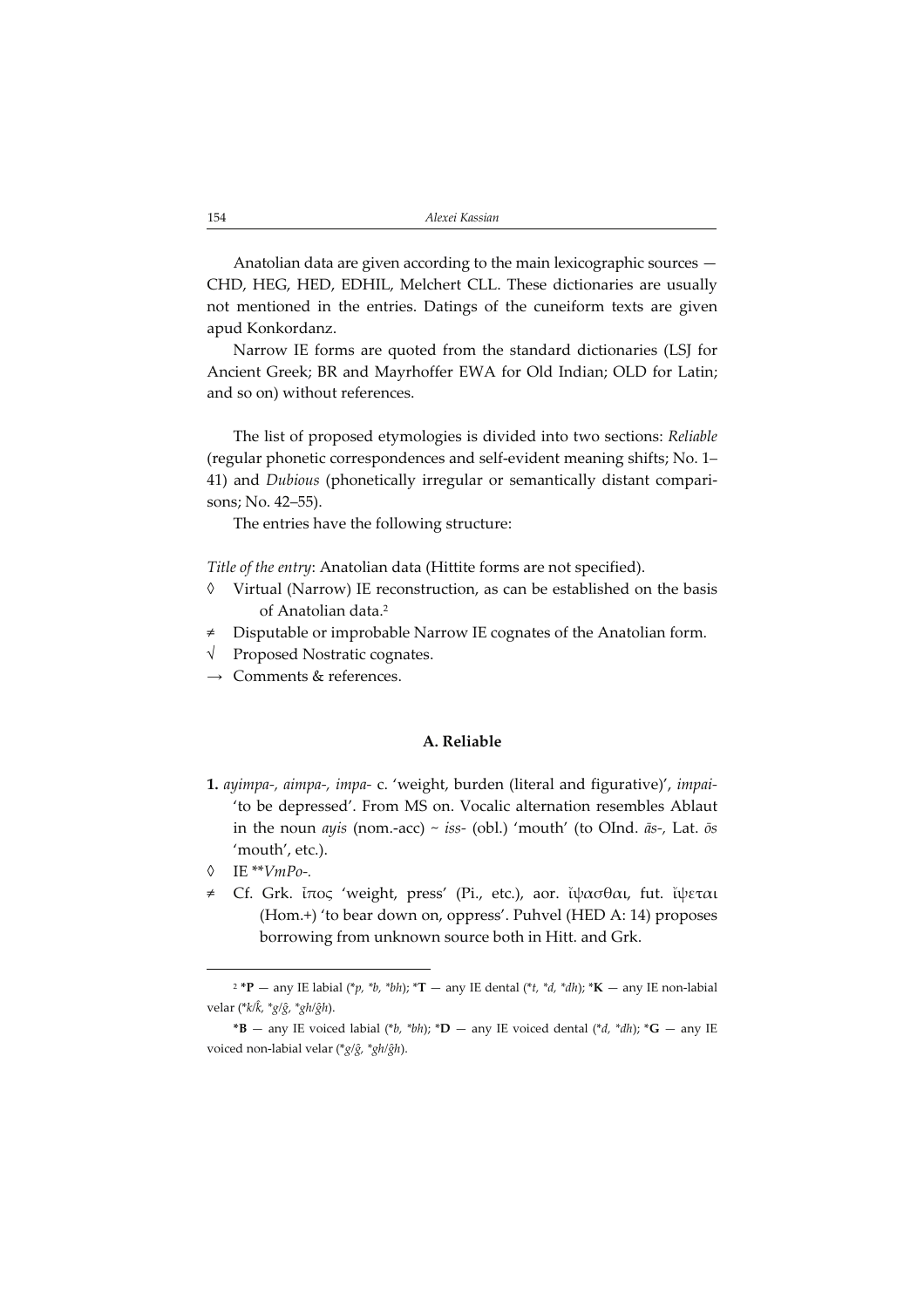Anatolian data are given according to the main lexicographic sources — CHD, HEG, HED, EDHIL, Melchert CLL. These dictionaries are usually not mentioned in the entries. Datings of the cuneiform texts are given apud Konkordanz.

Narrow IE forms are quoted from the standard dictionaries (LSJ for Ancient Greek; BR and Mayrhoffer EWA for Old Indian; OLD for Latin; and so on) without references.

The list of proposed etymologies is divided into two sections: Reliable (regular phonetic correspondences and self-evident meaning shifts; No. 1– 41) and Dubious (phonetically irregular or semantically distant comparisons; No. 42–55).

The entries have the following structure:

Title of the entry: Anatolian data (Hittite forms are not specified).

- ◊ Virtual (Narrow) IE reconstruction, as can be established on the basis of Anatolian data.<sup>2</sup>
- ≠ Disputable or improbable Narrow IE cognates of the Anatolian form.
- Proposed Nostratic cognates.
- $\rightarrow$  Comments & references.

## A. Reliable

- 1. ayimpa-, aimpa-, impa- c. 'weight, burden (literal and figurative)', impai-'to be depressed'. From MS on. Vocalic alternation resembles Ablaut in the noun ayis (nom.-acc) ~ iss- (obl.) 'mouth' (to OInd.  $\bar{a}s$ -, Lat.  $\bar{o}s$ 'mouth', etc.).
- ◊ IE \*\*VmPo.
- ≠ Cf. Grk. ἶπος 'weight, press' (Pi., etc.), aor. ἴψασθαι, fut. ἴψεται (Hom.+) 'to bear down on, oppress'. Puhvel (HED A: 14) proposes borrowing from unknown source both in Hitt. and Grk.

<sup>&</sup>lt;sup>2</sup> \*P — any IE labial (\*p, \*b, \*bh); \*T — any IE dental (\*t, \*d, \*dh); \*K — any IE non-labial velar (\*k/k, \*g/ĝ, \*gh/ĝh).

<sup>\*</sup>B — any IE voiced labial (\*b, \*bh); \*D — any IE voiced dental (\*d, \*dh); \*G — any IE voiced non-labial velar (\* $g/\hat{g}$ , \* $gh/\hat{g}h$ ).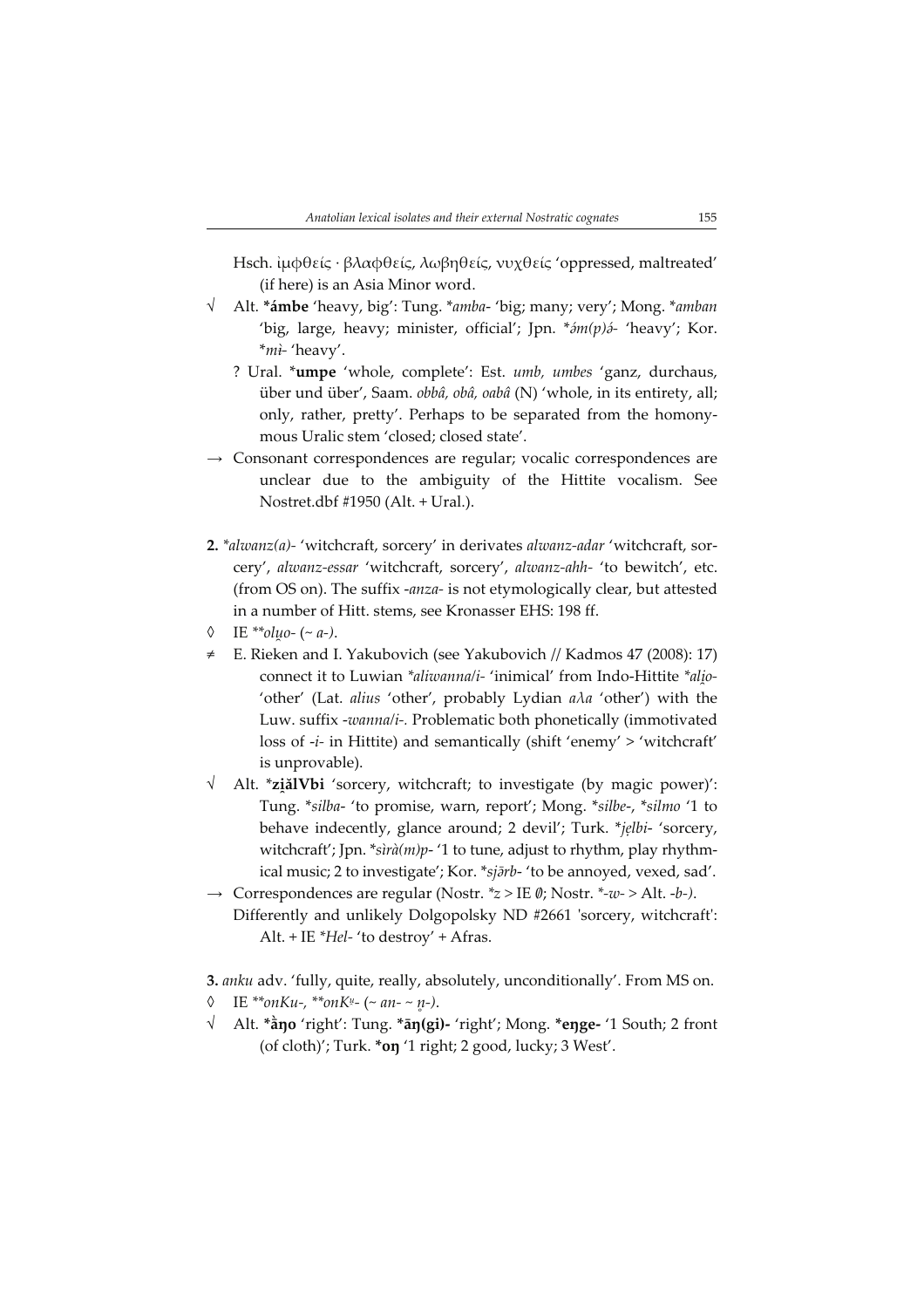Hsch. ἰμφθείς · βλαφθείς, λωβηθείς, νυχθείς 'oppressed, maltreated' (if here) is an Asia Minor word.

- √ Alt. \*ámbe 'heavy, big': Tung. \*amba- 'big; many; very'; Mong. \*amban 'big, large, heavy; minister, official'; Jpn. \* m(p) i- 'heavy'; Kor.  $**m*$ <sup>+</sup> 'heavy'.
	- ? Ural. \*umpe 'whole, complete': Est. umb, umbes 'ganz, durchaus, über und über', Saam. obbâ, obâ, oabâ (N) 'whole, in its entirety, all; only, rather, pretty'. Perhaps to be separated from the homonymous Uralic stem 'closed; closed state'.
- → Consonant correspondences are regular; vocalic correspondences are unclear due to the ambiguity of the Hittite vocalism. See Nostret.dbf #1950 (Alt. + Ural.).
- 2.  $*$ alwanz(a)- 'witchcraft, sorcery' in derivates alwanz-adar 'witchcraft, sorcery', alwanz-essar 'witchcraft, sorcery', alwanz-ahh- 'to bewitch', etc. (from OS on). The suffix -anza- is not etymologically clear, but attested in a number of Hitt. stems, see Kronasser EHS: 198 ff.
- $\lozenge$  IE \*\*oluo- (~ a-).
- ≠ E. Rieken and I. Yakubovich (see Yakubovich // Kadmos 47 (2008): 17) connect it to Luwian *\*aliwanna/i-* 'inimical' from Indo-Hittite *\*alio-*'other' (Lat. alius 'other', probably Lydian aλa 'other') with the Luw. suffix -wanna/i-. Problematic both phonetically (immotivated loss of  $-i$ - in Hittite) and semantically (shift 'enemy' > 'witchcraft' is unprovable).
- √ Alt. \***ziălVbi** 'sorcery, witchcraft; to investigate (by magic power)': Tung. \*silba- 'to promise, warn, report'; Mong. \*silbe, \*silmo '1 to behave indecently, glance around; 2 devil'; Turk. \*jelbi- 'sorcery, witchcraft'; Jpn. \*sìrà(m)p- '1 to tune, adjust to rhythm, play rhythmical music; 2 to investigate'; Kor. \*sj rb- 'to be annoyed, vexed, sad'.
- $\rightarrow$  Correspondences are regular (Nostr. \* $z >$  IE  $\emptyset$ ; Nostr. \*- $w$ -> Alt. - $b$ -). Differently and unlikely Dolgopolsky ND #2661 'sorcery, witchcraft': Alt. + IE \*Hel- 'to destroy' + Afras.

3. anku adv. 'fully, quite, really, absolutely, unconditionally'. From MS on.  $\lozenge$  IE \*\*onKu-, \*\*onKu- (~ an- ~ n̥-).

 $\sqrt{\phantom{a}}$  Alt. \* $\dot{\tilde{a}}$ no 'right': Tung. \* $\tilde{a}$ n(gi)- 'right'; Mong. \*enge- '1 South; 2 front (of cloth)'; Turk. \*oŋ '1 right; 2 good, lucky; 3 West'.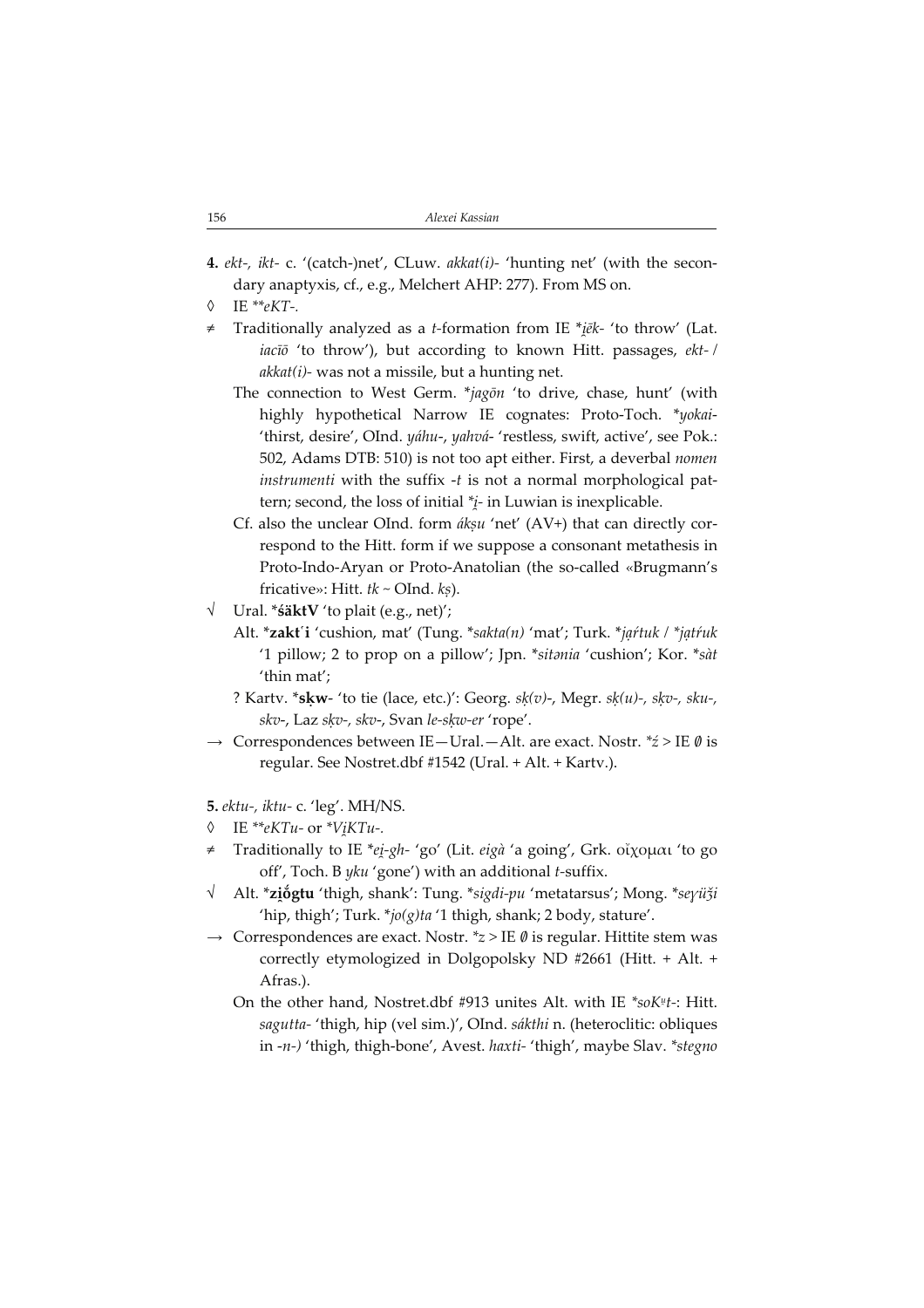- 4. ekt-, ikt- c. '(catch-)net', CLuw. akkat(i)- 'hunting net' (with the secondary anaptyxis, cf., e.g., Melchert AHP: 277). From MS on.
- $\lozenge$  IE \*\*eKT-.
- ≠ Traditionally analyzed as a t-formation from IE \* ēk- 'to throw' (Lat. iacīō 'to throw'), but according to known Hitt. passages, ekt-/  $akkat(i)$ - was not a missile, but a hunting net.
	- The connection to West Germ. \*jagon 'to drive, chase, hunt' (with highly hypothetical Narrow IE cognates: Proto-Toch. \*yokai- 'thirst, desire', OInd. yáhu-, yahvá- 'restless, swift, active', see Pok.: 502, Adams DTB: 510) is not too apt either. First, a deverbal nomen instrumenti with the suffix  $-t$  is not a normal morphological pattern; second, the loss of initial \* - in Luwian is inexplicable.
	- Cf. also the unclear OInd. form *ákṣu* 'net' (AV+) that can directly correspond to the Hitt. form if we suppose a consonant metathesis in Proto-Indo-Aryan or Proto-Anatolian (the so-called «Brugmann's fricative»: Hitt.  $tk \sim OInd.$   $ks$ ).
- √ Ural. \*śäktV 'to plait (e.g., net)';
	- Alt. \*zakt'i 'cushion, mat' (Tung. \*sakta(n) 'mat'; Turk. \*jąŕtuk / \*jątŕuk '1 pillow; 2 to prop on a pillow'; Jpn. \*sitania 'cushion'; Kor. \*sàt 'thin mat';
	- ? Kartv. \*s $kw-$  'to tie (lace, etc.)': Georg.  $sk(v)$ -, Megr.  $sk(u)$ -,  $skv$ -,  $sku$ -, skv-, Laz sķv-, skv-, Svan le-sķw-er 'rope'.
- $\rightarrow$  Correspondences between IE-Ural.-Alt. are exact. Nostr.  $*z >$  IE  $\emptyset$  is regular. See Nostret.dbf #1542 (Ural. + Alt. + Kartv.).

5. ektu-, iktu- c. 'leg'. MH/NS.

- ◊ IE \*\*eKTu- or \*V KTu.
- ≠ Traditionally to IE \*e -gh- 'go' (Lit. eigà 'a going', Grk. οἴχομαι 'to go off', Toch. B yku 'gone') with an additional t-suffix.
- √ ∆Alt. \***zi̯ŏgtu** 'thigh, shank': Tung. \**sigdi-pu '*metatarsus'; Mong. \**seγüǯi* 'hip, thigh'; Turk. \*jo(g)ta '1 thigh, shank; 2 body, stature'.
- $\rightarrow$  Correspondences are exact. Nostr.  $z > \text{IE } \emptyset$  is regular. Hittite stem was correctly etymologized in Dolgopolsky ND #2661 (Hitt. + Alt. + Afras.).
	- On the other hand, Nostret.dbf #913 unites Alt. with IE  $*soK^{\mu}t$ -: Hitt. sagutta- 'thigh, hip (vel sim.)', OInd. sákthi n. (heteroclitic: obliques in -n-) 'thigh, thigh-bone', Avest. haxti- 'thigh', maybe Slav. \*stegno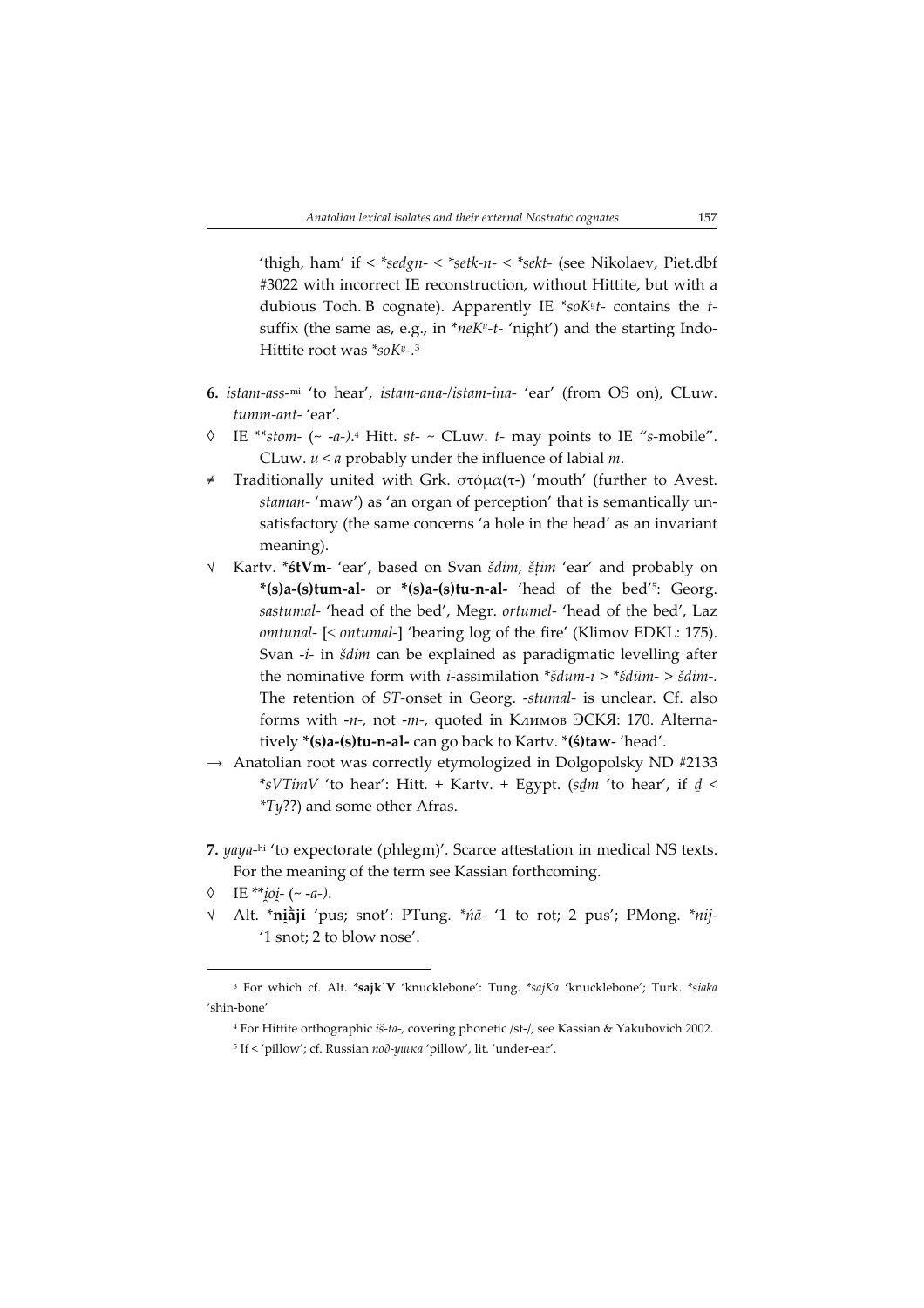'thigh, ham' if < \*sedgn- < \*setk-n- < \*sekt- (see Nikolaev, Piet.dbf #3022 with incorrect IE reconstruction, without Hittite, but with a dubious Toch. B cognate). Apparently IE \*soK#t- contains the tsuffix (the same as, e.g., in \*neK<sup>µ</sup>-t- 'night') and the starting Indo-Hittite root was \*soK<sup>u</sup>-.<sup>3</sup>

- 6. istam-ass-mi 'to hear', istam-ana-/istam-ina- 'ear' (from OS on), CLuw. tumm-ant- 'ear'.
- $\Diamond$  IE \*\*stom- (~ -a-).<sup>4</sup> Hitt. st- ~ CLuw. t- may points to IE "s-mobile". CLuw.  $u < a$  probably under the influence of labial  $m$ .
- ≠ Traditionally united with Grk. στόμα(τ) 'mouth' (further to Avest. staman- 'maw') as 'an organ of perception' that is semantically unsatisfactory (the same concerns 'a hole in the head' as an invariant meaning).
- √ Kartv. \*śtVm- 'ear', based on Svan šdim, šṭim 'ear' and probably on \*(s)a-(s)tum-al- or \*(s)a-(s)tu-n-al- 'head of the bed'<sup>5</sup>: Georg. sastumal- 'head of the bed', Megr. ortumel- 'head of the bed', Laz omtunal- [< ontumal-] 'bearing log of the fire' (Klimov EDKL: 175). Svan -i- in šdim can be explained as paradigmatic levelling after the nominative form with *i*-assimilation  $* \xi du m - i > * \xi du m -$ The retention of ST-onset in Georg. -stumal- is unclear. Cf. also forms with -n-, not -m-, quoted in Климов ЭСКЯ: 170. Alternatively \*(s)a-(s)tu-n-al- can go back to Kartv. \*(ś)taw- 'head'.
- $\rightarrow$  Anatolian root was correctly etymologized in Dolgopolsky ND #2133 \*sVTimV 'to hear': Hitt. + Kartv. + Egypt. (sdm 'to hear', if  $d \le$ \*Ty??) and some other Afras.
- 7. yaya-hi 'to expectorate (phlegm)'. Scarce attestation in medical NS texts. For the meaning of the term see Kassian forthcoming.
- ◊ IE \*\**i̯oi* (~ -a-).
- √ Alt. \***ni̯āji** 'pus; snot': PTung. \**ńā-* '1 to rot; 2 pus'; PMong. \**nij*-'1 snot; 2 to blow nose'.

<sup>&</sup>lt;sup>3</sup> For which cf. Alt. \*sajk'V 'knucklebone': Tung. \*sajKa 'knucklebone'; Turk. \*siaka 'shin-bone'

<sup>4</sup> For Hittite orthographic iš-ta, covering phonetic /st-/, see Kassian & Yakubovich 2002.

<sup>5</sup> If < 'pillow'; cf. Russian под-ушка 'pillow', lit. 'under-ear'.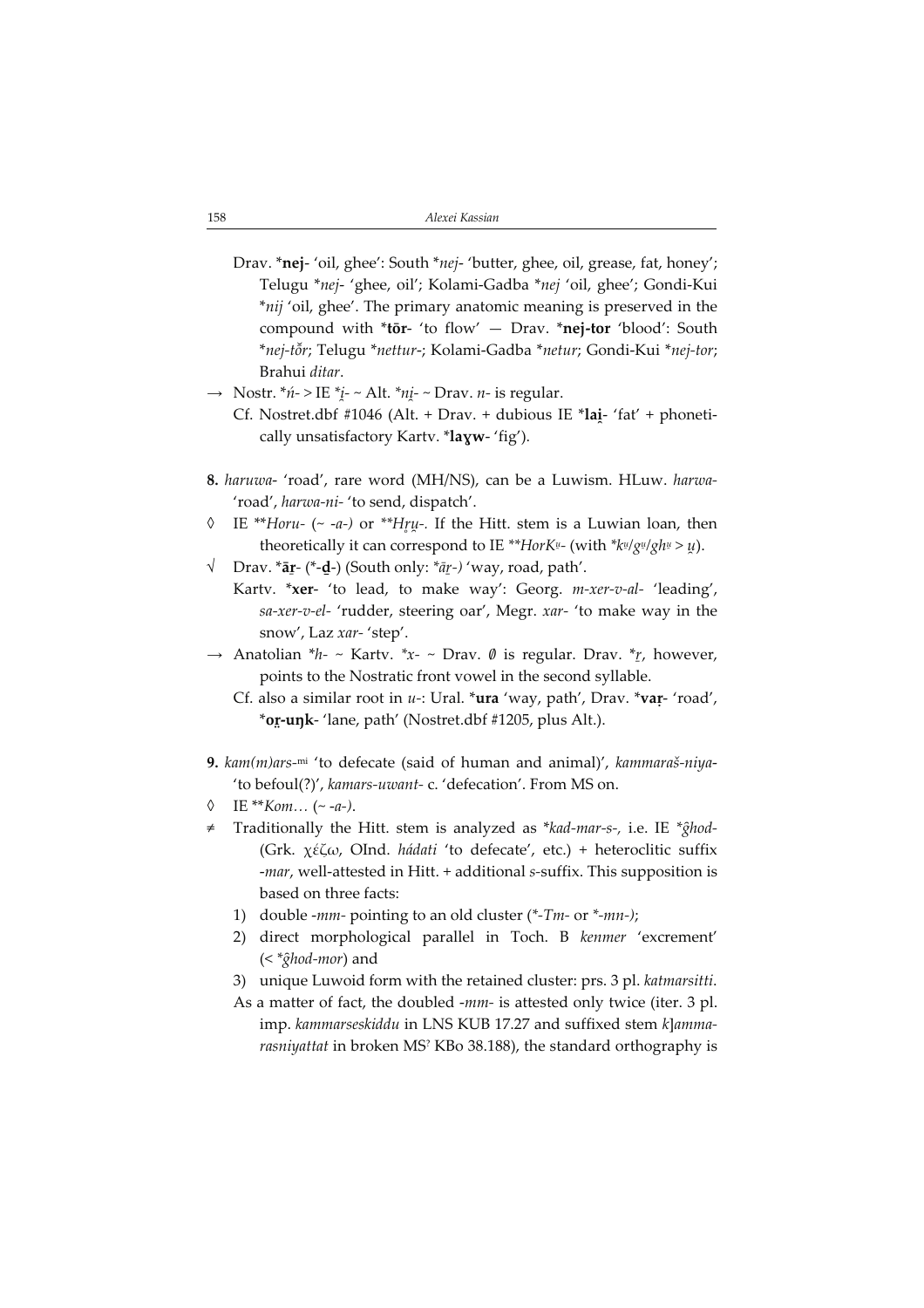- Drav. \*nej- 'oil, ghee': South \*nej- 'butter, ghee, oil, grease, fat, honey'; Telugu \*nej- 'ghee, oil'; Kolami-Gadba \*nej 'oil, ghee'; Gondi-Kui \*nij 'oil, ghee'. The primary anatomic meaning is preserved in the compound with \*tōr- 'to flow' — Drav. \*nej-tor 'blood': South \*nej-tŏr; Telugu \*nettur-; Kolami-Gadba \*netur; Gondi-Kui \*nej-tor; Brahui ditar.
- $\rightarrow$  Nostr. \**ń*->IE \**i*<sub>-</sub> ~ Alt. \**ni* ~ Drav. *n* is regular.
	- Cf. Nostret.dbf #1046 (Alt. + Drav. + dubious IE \*lai- 'fat' + phonetically unsatisfactory Karty. \*layw- 'fig').
- 8. haruwa- 'road', rare word (MH/NS), can be a Luwism. HLuw. harwa- 'road', harwa-ni- 'to send, dispatch'.
- $\lozenge$  IE \*\**Horu- (~ -a-)* or \*\**Hru-*. If the Hitt. stem is a Luwian loan, then theoretically it can correspond to IE \*\**HorK!!-* (with \* $k$ !!/ $g$ !!/ $gh$ !! >  $\mu$ ).
- $\sqrt{\phantom{a}}$  Drav. \* $\bar{a}$ r-(\*- $\bar{d}$ -) (South only: \* $\bar{a}$ r-) 'way, road, path'.
	- Kartv. \*xer- 'to lead, to make way': Georg. *m-xer-v-al-* 'leading', sa-xer-v-el- 'rudder, steering oar', Megr. xar- 'to make way in the snow', Laz xar- 'step'.
- $\rightarrow$  Anatolian \*h- ~ Kartv. \*x- ~ Drav. Ø is regular. Drav. \* $r<sub>f</sub>$ , however, points to the Nostratic front vowel in the second syllable.
	- Cf. also a similar root in  $u$ -: Ural. \*ura 'way, path', Drav. \*var- 'road', \*or-unk- 'lane, path' (Nostret.dbf #1205, plus Alt.).
- **9.**  $kam(m)$ ars-mi 'to defecate (said of human and animal)',  $kammaraš-niya-$ 'to befoul(?)', kamars-uwant- c. 'defecation'. From MS on.
- $\lozenge$  IE \*\* Kom... (~ -a-).
- Traditionally the Hitt. stem is analyzed as \*kad-mar-s-, i.e. IE \*ghod-(Grk. χέζω, OInd. hádati 'to defecate', etc.) + heteroclitic suffix -mar, well-attested in Hitt. + additional s-suffix. This supposition is based on three facts:
	- 1) double -mm- pointing to an old cluster  $(*-Tm- or *-mn-)$ ;
	- 2) direct morphological parallel in Toch. B kenmer 'excrement'  $(<$ \* $\hat{g}$ hod-mor) and
	- 3) unique Luwoid form with the retained cluster: prs. 3 pl. katmarsitti.
	- As a matter of fact, the doubled -mm- is attested only twice (iter. 3 pl. imp. kammarseskiddu in LNS KUB 17.27 and suffixed stem k]ammarasniyattat in broken MS? KBo 38.188), the standard orthography is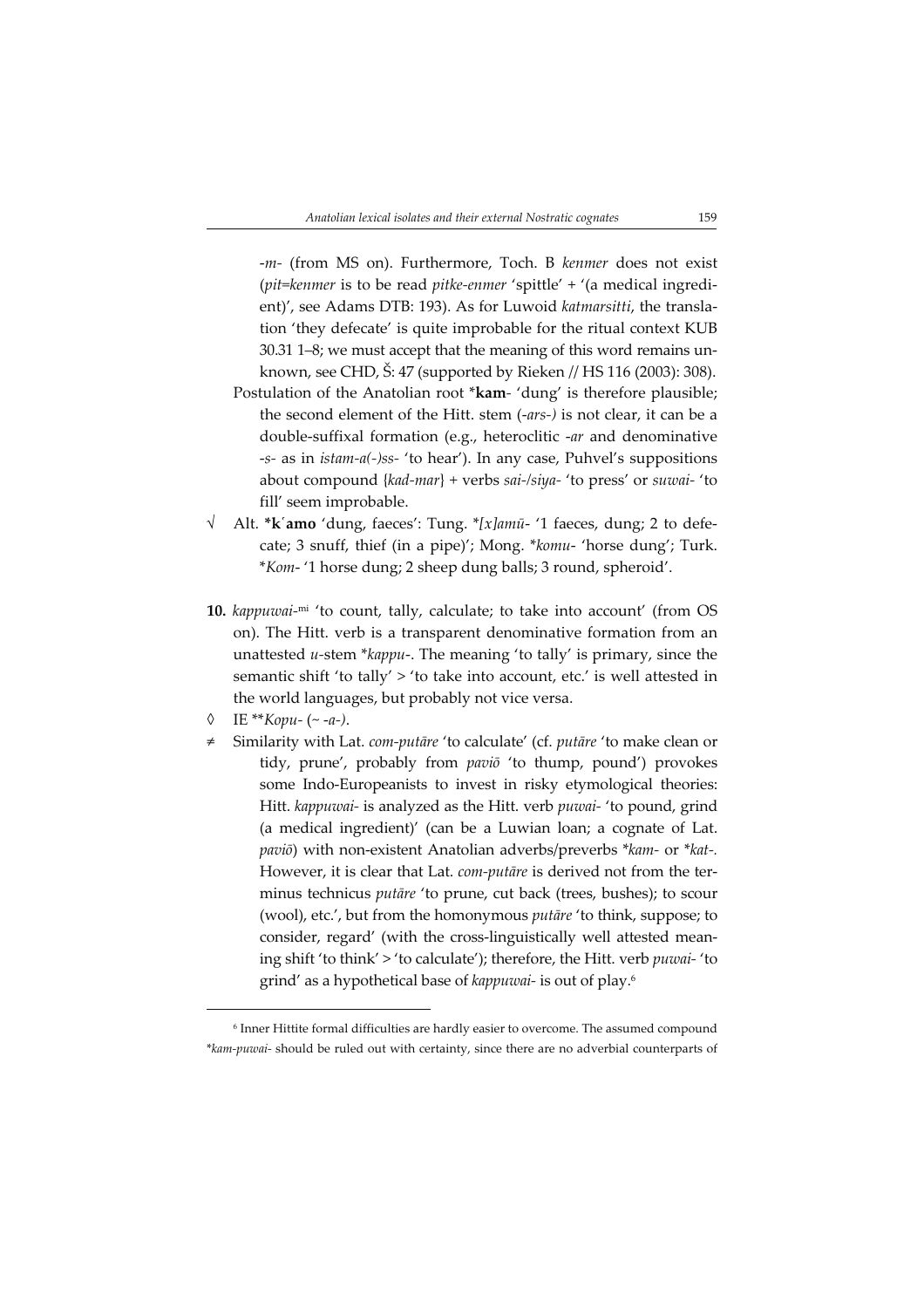m- (from MS on). Furthermore, Toch. B kenmer does not exist (pit=kenmer is to be read pitke-enmer 'spittle' + '(a medical ingredient)', see Adams DTB: 193). As for Luwoid katmarsitti, the translation 'they defecate' is quite improbable for the ritual context KUB 30.31 1–8; we must accept that the meaning of this word remains unknown, see CHD, Š: 47 (supported by Rieken // HS 116 (2003): 308).

- Postulation of the Anatolian root \*kam- 'dung' is therefore plausible; the second element of the Hitt. stem (-ars-) is not clear, it can be a double-suffixal formation (e.g., heteroclitic -ar and denominative -s- as in *istam-a(-)ss-* 'to hear'). In any case, Puhvel's suppositions about compound {kad-mar} + verbs sai-/siya- 'to press' or suwai- 'to fill' seem improbable.
- $\sqrt{\phantom{a}}$  Alt. \***k**'amo 'dung, faeces': Tung. \*[x]amū- '1 faeces, dung; 2 to defecate; 3 snuff, thief (in a pipe)'; Mong. \*komu- 'horse dung'; Turk. \*Kom- '1 horse dung; 2 sheep dung balls; 3 round, spheroid'.
- 10. kappuwai-mi 'to count, tally, calculate; to take into account' (from OS on). The Hitt. verb is a transparent denominative formation from an unattested  $u$ -stem \*kappu-. The meaning 'to tally' is primary, since the semantic shift 'to tally' > 'to take into account, etc.' is well attested in the world languages, but probably not vice versa.
- $\lozenge$  IE \*\**Kopu* (~ -a-).
- Similarity with Lat. com-putāre 'to calculate' (cf. putāre 'to make clean or tidy, prune', probably from paviō 'to thump, pound') provokes some Indo-Europeanists to invest in risky etymological theories: Hitt. kappuwai- is analyzed as the Hitt. verb puwai- 'to pound, grind (a medical ingredient)' (can be a Luwian loan; a cognate of Lat. paviō) with non-existent Anatolian adverbs/preverbs \*kam- or \*kat-. However, it is clear that Lat. com-putāre is derived not from the terminus technicus putāre 'to prune, cut back (trees, bushes); to scour (wool), etc.', but from the homonymous putāre 'to think, suppose; to consider, regard' (with the cross-linguistically well attested meaning shift 'to think' > 'to calculate'); therefore, the Hitt. verb puwai- 'to grind' as a hypothetical base of kappuwai- is out of play.<sup>6</sup>

<sup>6</sup> Inner Hittite formal difficulties are hardly easier to overcome. The assumed compound \*kam-puwai- should be ruled out with certainty, since there are no adverbial counterparts of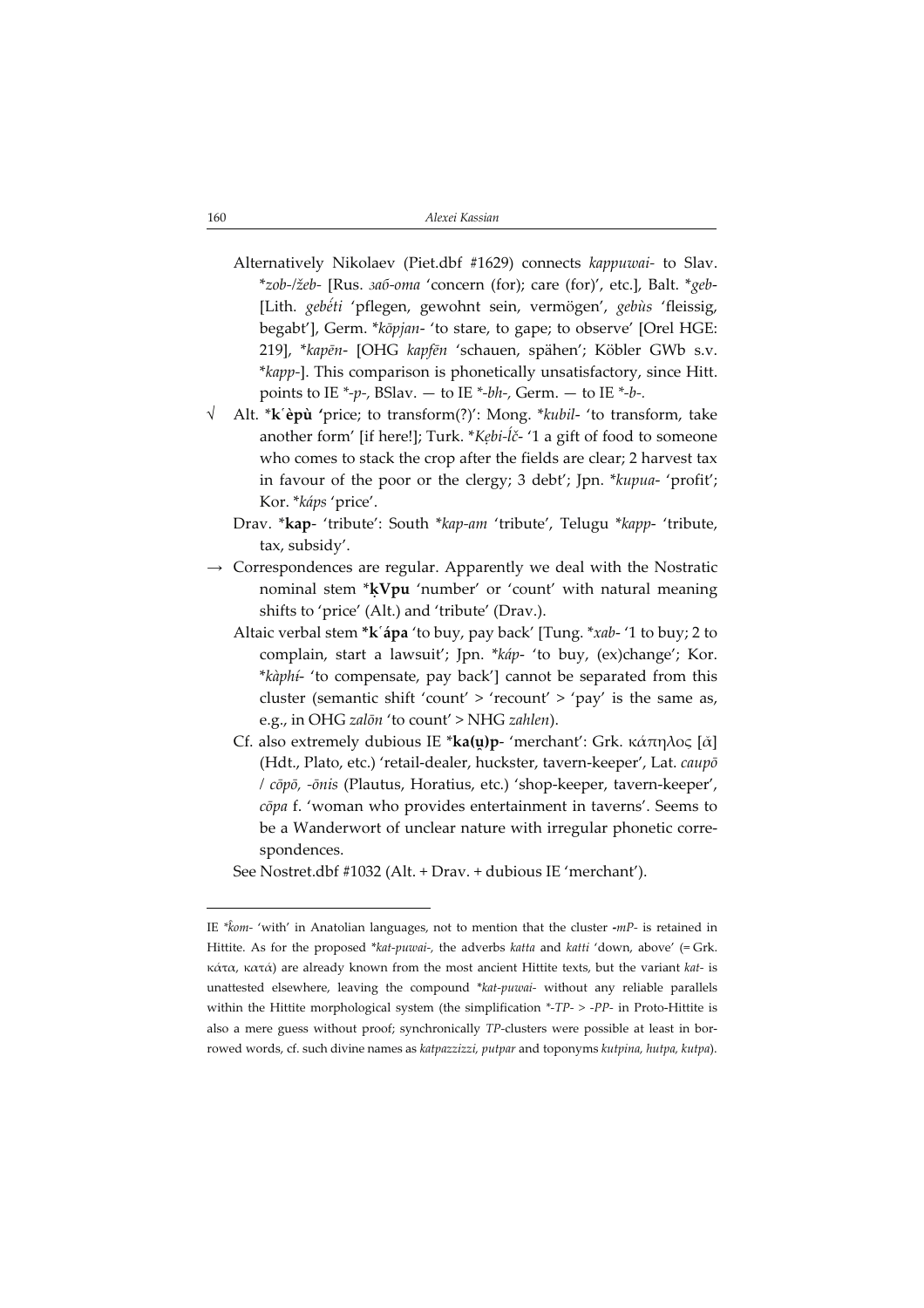- Alternatively Nikolaev (Piet.dbf #1629) connects kappuwai- to Slav. \*zob-/žeb- [Rus. заб-ота 'concern (for); care (for)', etc.], Balt. \*geb- [Lith. gebéti 'pflegen, gewohnt sein, vermögen', gebùs 'fleissig, begabt'], Germ. \*kōpjan- 'to stare, to gape; to observe' [Orel HGE: 219], \*kapēn- [OHG kapfēn 'schauen, spähen'; Köbler GWb s.v. \*kapp-]. This comparison is phonetically unsatisfactory, since Hitt. points to IE \*-p-, BSlav. — to IE \*-bh-, Germ. — to IE \*-b-.
- √ Alt. \*kèpù 'price; to transform(?)': Mong. \*kubil- 'to transform, take another form' [if here!]; Turk. \*Kẹbi-ĺč- '1 a gift of food to someone who comes to stack the crop after the fields are clear; 2 harvest tax in favour of the poor or the clergy; 3 debt'; Jpn. \*kupua- 'profit'; Kor. \*káps 'price'.
	- Drav. \*kap- 'tribute': South \*kap-am 'tribute', Telugu \*kapp- 'tribute, tax, subsidy'.
- Correspondences are regular. Apparently we deal with the Nostratic nominal stem \*ḳVpu 'number' or 'count' with natural meaning shifts to 'price' (Alt.) and 'tribute' (Drav.).
	- Altaic verbal stem \*k ápa 'to buy, pay back' [Tung. \*xab-'1 to buy; 2 to complain, start a lawsuit'; Jpn. \*káp- 'to buy, (ex)change'; Kor. \*kàphi- 'to compensate, pay back'] cannot be separated from this cluster (semantic shift 'count'  $>$  'recount'  $>$  'pay' is the same as, e.g., in OHG zalōn 'to count' > NHG zahlen).
	- Cf. also extremely dubious IE \*ka(u)p- 'merchant': Grk. κάπηλος [ $\check{\alpha}$ ] (Hdt., Plato, etc.) 'retail-dealer, huckster, tavern-keeper', Lat. caupō / cōpō, ōnis (Plautus, Horatius, etc.) 'shop-keeper, tavern-keeper', cōpa f. 'woman who provides entertainment in taverns'. Seems to be a Wanderwort of unclear nature with irregular phonetic correspondences.

See Nostret.dbf #1032 (Alt. + Drav. + dubious IE 'merchant').

IE \*kom- 'with' in Anatolian languages, not to mention that the cluster -mP- is retained in Hittite. As for the proposed \*kat-puwai-, the adverbs katta and katti 'down, above' (= Grk. κάτα, κατά) are already known from the most ancient Hittite texts, but the variant kat- is unattested elsewhere, leaving the compound \*kat-puwai- without any reliable parallels within the Hittite morphological system (the simplification  $*$ -TP-  $>$  -PP- in Proto-Hittite is also a mere guess without proof; synchronically TP-clusters were possible at least in borrowed words, cf. such divine names as katpazzizzi, putpar and toponyms kutpina, hutpa, kutpa).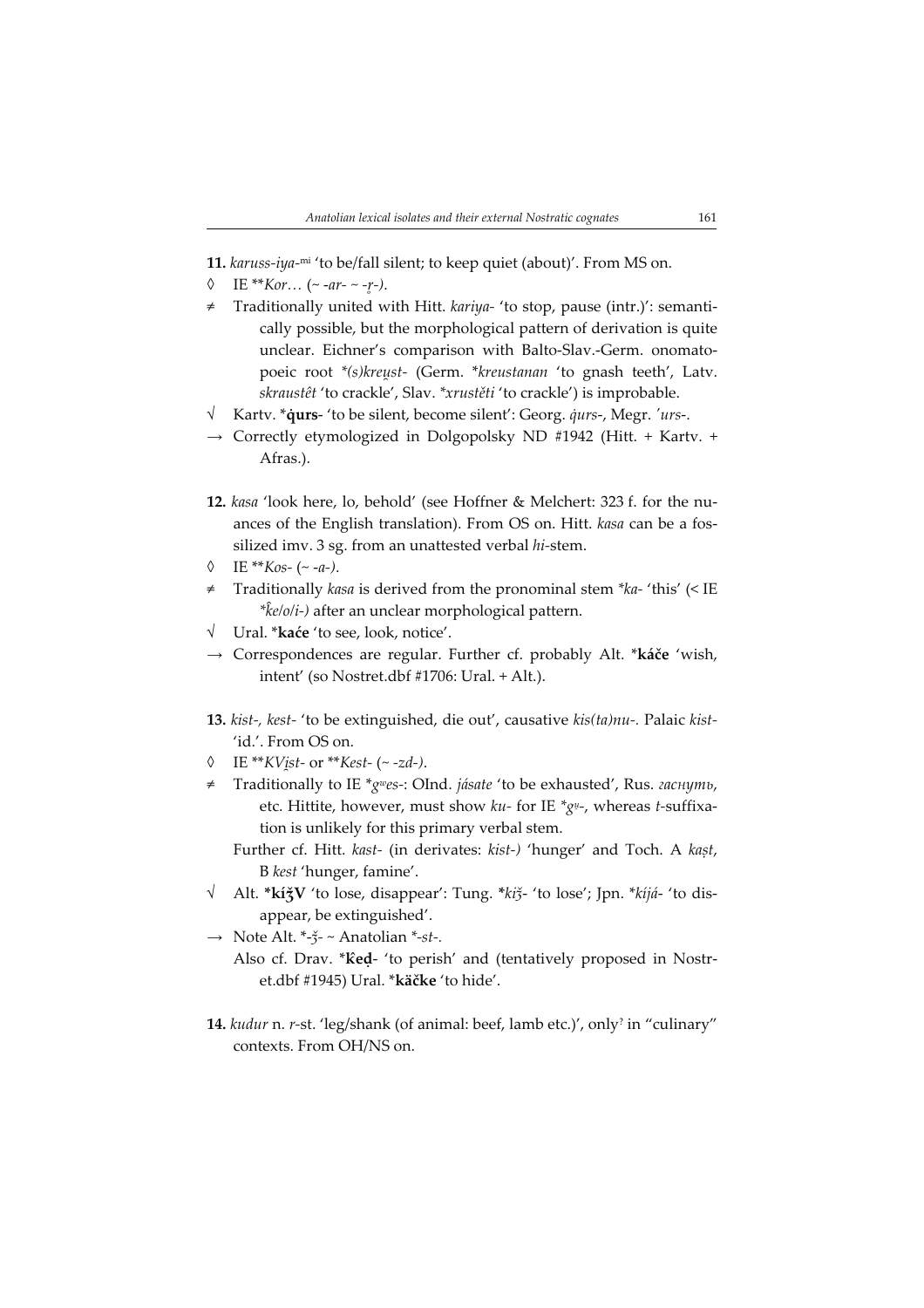- 11. karuss-iya-mi 'to be/fall silent; to keep quiet (about)'. From MS on.
- IE \*\*Kor… (~ -ar- ~ -r-).
- Traditionally united with Hitt. kariya- 'to stop, pause (intr.)': semantically possible, but the morphological pattern of derivation is quite unclear. Eichner's comparison with Balto-Slav.-Germ. onomatopoeic root \*(s)kreust- (Germ. \*kreustanan 'to gnash teeth', Latv. skraustêt 'to crackle', Slav. \*xrustěti 'to crackle') is improbable.
- √ Kartv. \***qurs** 'to be silent, become silent': Georg. *qurs-*, Megr. 'urs-.
- $\rightarrow$  Correctly etymologized in Dolgopolsky ND #1942 (Hitt. + Karty. + Afras.).
- 12. kasa 'look here, lo, behold' (see Hoffner & Melchert: 323 f. for the nuances of the English translation). From OS on. Hitt. kasa can be a fossilized imv. 3 sg. from an unattested verbal hi-stem.
- $\lozenge$  IE \*\*Kos- (~ -a-).
- Traditionally kasa is derived from the pronominal stem \*ka- 'this' (< IE  $*$  $\hat{k}$ e/o/i-) after an unclear morphological pattern.
- √ Ural. \*kaće 'to see, look, notice'.
- → Correspondences are regular. Further cf. probably Alt. \*káče 'wish, intent' (so Nostret.dbf #1706: Ural. + Alt.).
- 13. kist-, kest- 'to be extinguished, die out', causative kis(ta)nu-. Palaic kist-'id.'. From OS on.
- ◊ IE \*\*KV st- or \*\*Kest- (~ zd).
- Traditionally to IE  $*_{gweg}$ : OInd. jásate 'to be exhausted', Rus. гаснуть, etc. Hittite, however, must show  $ku$ - for IE  $^*g$ ½-, whereas t-suffixation is unlikely for this primary verbal stem.
	- Further cf. Hitt. kast- (in derivates: kist) 'hunger' and Toch. A kaṣt, B kest 'hunger, famine'.
- √ Alt. \*kíǯV 'to lose, disappear': Tung. \*kiǯ- 'to lose'; Jpn. \*kíjá- 'to disappear, be extinguished'.
- $\rightarrow$  Note Alt. \*- $\zeta$ <sup>-</sup> ~ Anatolian \*-st-.
	- Also cf. Drav. \* ked- 'to perish' and (tentatively proposed in Nostret.dbf #1945) Ural. \*käčke 'to hide'.
- 14. kudur n. r-st. 'leg/shank (of animal: beef, lamb etc.)', only? in "culinary" contexts. From OH/NS on.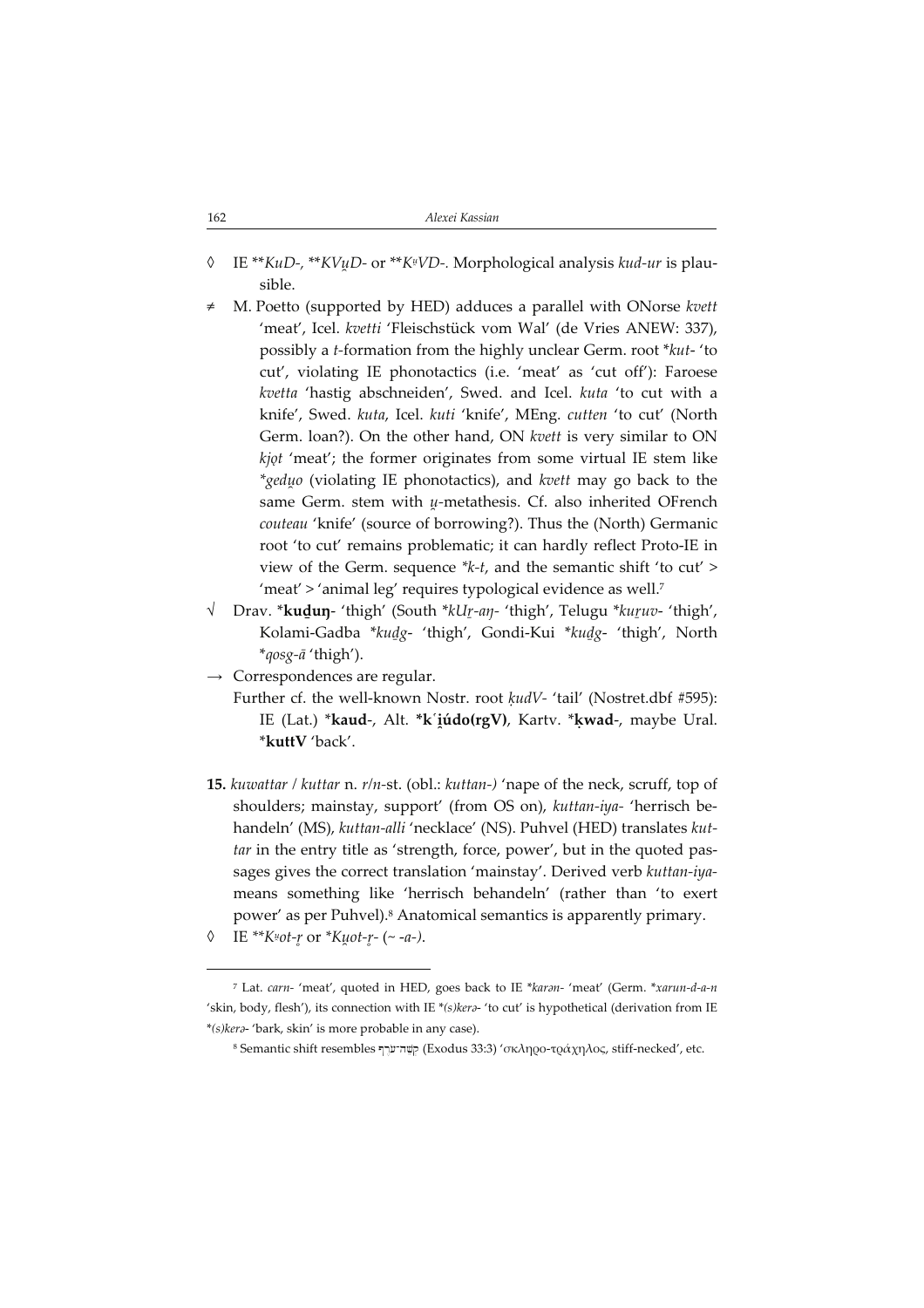| 162 | Alexei Kassian |
|-----|----------------|
|     |                |

- © IE \*\**KuD-,* \*\**KVu̯D-* or \*\**K¤VD-*. Morphological analysis *kud-ur* is plausible.
- M. Poetto (supported by HED) adduces a parallel with ONorse kvett 'meat', Icel. kvetti 'Fleischstück vom Wal' (de Vries ANEW: 337), possibly a t-formation from the highly unclear Germ. root \*kut- 'to cut', violating IE phonotactics (i.e. 'meat' as 'cut off'): Faroese kvetta 'hastig abschneiden', Swed. and Icel. kuta 'to cut with a knife', Swed. kuta, Icel. kuti 'knife', MEng. cutten 'to cut' (North Germ. loan?). On the other hand, ON kvett is very similar to ON kjot 'meat'; the former originates from some virtual IE stem like  $*$ *geduo* (violating IE phonotactics), and kvett may go back to the same Germ. stem with  $u$ -metathesis. Cf. also inherited OFrench couteau 'knife' (source of borrowing?). Thus the (North) Germanic root 'to cut' remains problematic; it can hardly reflect Proto-IE in view of the Germ. sequence \*k-t, and the semantic shift 'to cut' > 'meat' > 'animal leg' requires typological evidence as well.<sup>7</sup>
- √ Drav. \*kuḏuŋ- 'thigh' (South \*kUr-aŋ- 'thigh', Telugu \*kuruv- 'thigh', Kolami-Gadba \*kuḏg- 'thigh', Gondi-Kui \*kuḏg- 'thigh', North \*qosg-ā 'thigh').
- $\rightarrow$  Correspondences are regular.
	- Further cf. the well-known Nostr. root kudV- 'tail' (Nostret.dbf #595): IE (Lat.) \***kaud-, Alt. \*k´iúdo(rgV), K**artv. \*kw**ad-,** maybe Ural. \*kuttV 'back'.
- 15. kuwattar / kuttar n. r/n-st. (obl.: kuttan-) 'nape of the neck, scruff, top of shoulders; mainstay, support' (from OS on), kuttan-iya- 'herrisch behandeln' (MS), kuttan-alli 'necklace' (NS). Puhvel (HED) translates kuttar in the entry title as 'strength, force, power', but in the quoted passages gives the correct translation 'mainstay'. Derived verb kuttan-iyameans something like 'herrisch behandeln' (rather than 'to exert power' as per Puhvel).<sup>8</sup> Anatomical semantics is apparently primary.
- $\lozenge$  IE \*\* $K^{\mu}ot$ -r or \* $K^{\mu}ot$ -r (~ -a-).

<sup>7</sup> Lat. carn- 'meat', quoted in HED, goes back to IE \*karn- 'meat' (Germ. \*xarun-d-a-n 'skin, body, flesh'), its connection with IE \*(s) kera- 'to cut' is hypothetical (derivation from IE \*(s)ker- 'bark, skin' is more probable in any case).

<sup>8</sup> Semantic shift resembles קָשֶׁה־עֹרֶף (Exodus 33:3) 'σκληρο-τράχηλος, stiff-necked', etc.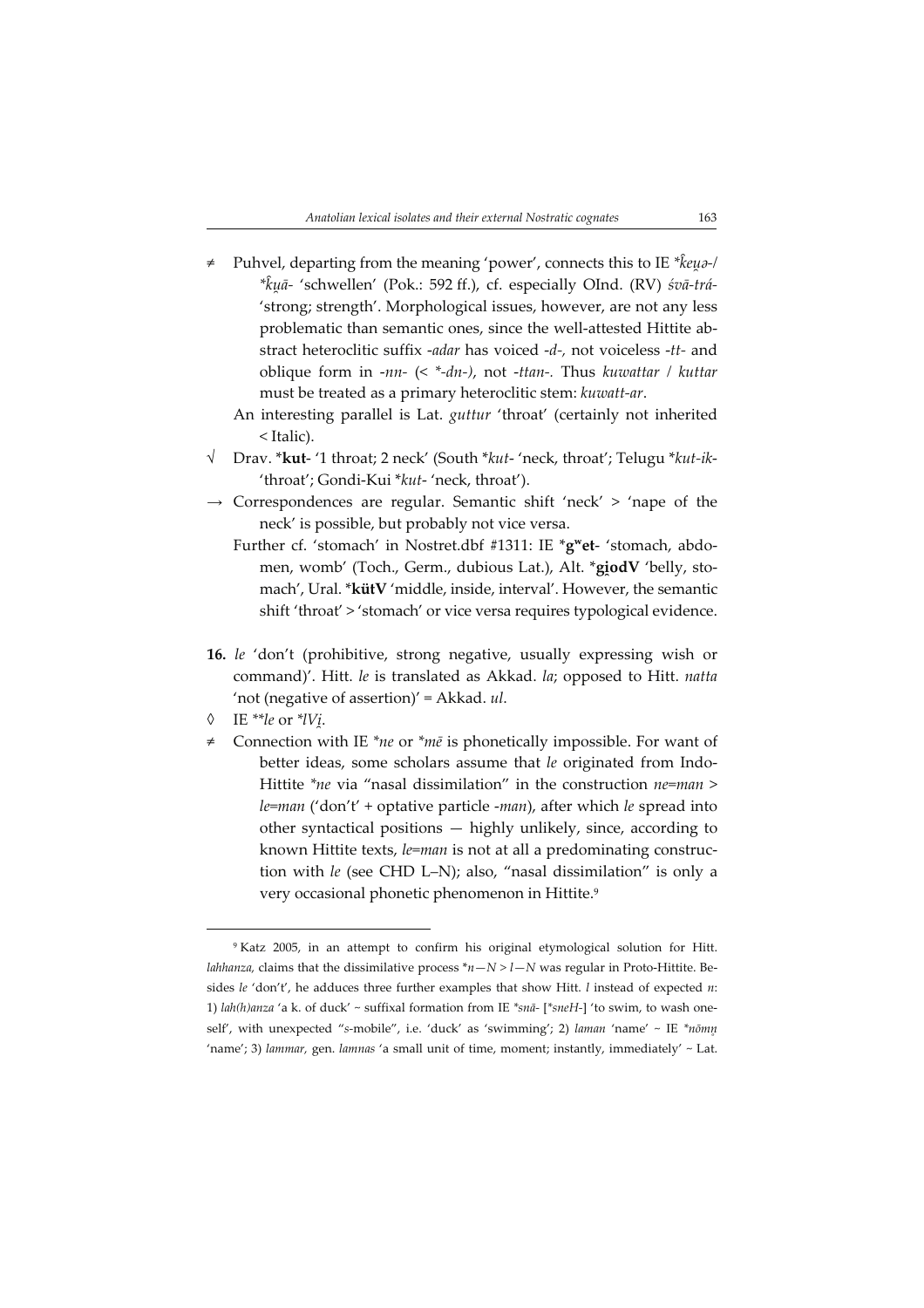- Puhvel, departing from the meaning 'power', connects this to IE \* $\hat{k}e\mu$ a-/ \*kuā- 'schwellen' (Pok.: 592 ff.), cf. especially OInd. (RV) śvā-trá-'strong; strength'. Morphological issues, however, are not any less problematic than semantic ones, since the well-attested Hittite abstract heteroclitic suffix -adar has voiced -d-, not voiceless -tt- and oblique form in -nn-  $\left(\langle x^*$ -dn-), not -ttan-. Thus kuwattar / kuttar must be treated as a primary heteroclitic stem: kuwatt-ar.
	- An interesting parallel is Lat. *guttur* 'throat' (certainly not inherited < Italic).
- √ Drav. \*kut- '1 throat; 2 neck' (South \*kut- 'neck, throat'; Telugu \*kut-ik- 'throat'; Gondi-Kui \*kut- 'neck, throat').
- $\rightarrow$  Correspondences are regular. Semantic shift 'neck' > 'nape of the neck' is possible, but probably not vice versa.
	- Further cf. 'stomach' in Nostret.dbf #1311: IE \*g<sup>w</sup>et- 'stomach, abdomen, womb' (Toch., Germ., dubious Lat.), Alt. \***giodV** 'belly, stomach', Ural. \*kütV 'middle, inside, interval'. However, the semantic shift 'throat' > 'stomach' or vice versa requires typological evidence.
- 16. le 'don't (prohibitive, strong negative, usually expressing wish or command)'. Hitt. le is translated as Akkad. la; opposed to Hitt. natta 'not (negative of assertion)' = Akkad. ul.
- $\lozenge$  IE \*\*le or \*lV<sub>I</sub>.
- Connection with IE \*ne or \*mē is phonetically impossible. For want of better ideas, some scholars assume that le originated from Indo-Hittite \*ne via "nasal dissimilation" in the construction ne=man >  $le = man('don't' + optative particle - man)$ , after which le spread into other syntactical positions — highly unlikely, since, according to known Hittite texts, le=man is not at all a predominating construction with le (see CHD L–N); also, "nasal dissimilation" is only a very occasional phonetic phenomenon in Hittite.<sup>9</sup>

<sup>9</sup> Katz 2005, in an attempt to confirm his original etymological solution for Hitt. *lahhanza*, claims that the dissimilative process  $n-N > l-N$  was regular in Proto-Hittite. Besides le 'don't', he adduces three further examples that show Hitt. l instead of expected  $n$ : 1) lah(h)anza 'a k. of duck' ~ suffixal formation from IE \*snā- [\*sneH-] 'to swim, to wash oneself', with unexpected "s-mobile", i.e. 'duck' as 'swimming'; 2) laman 'name' ~ IE \*nomn 'name'; 3) lammar, gen. lamnas 'a small unit of time, moment; instantly, immediately' ~ Lat.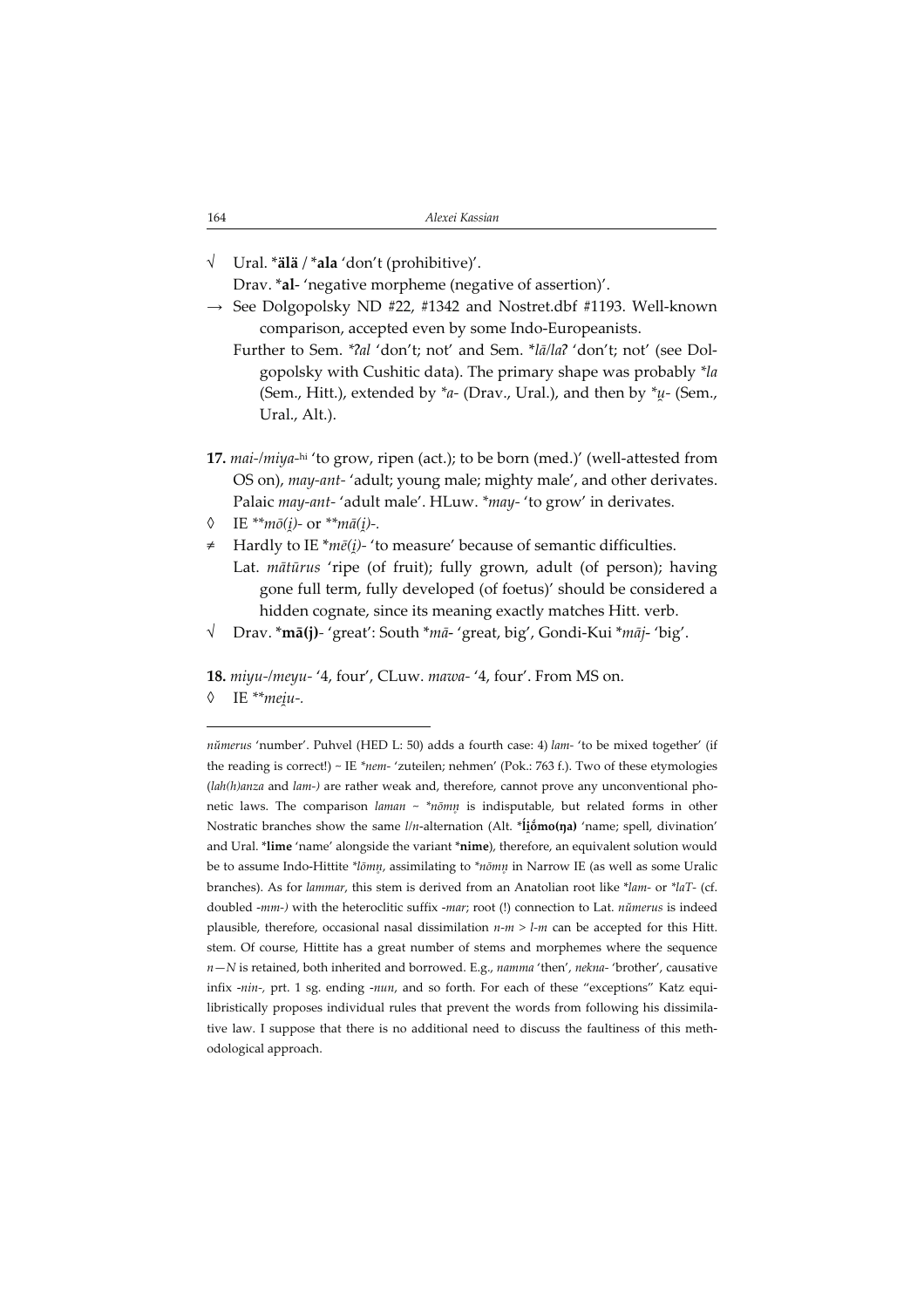| 164 | Alexei Kassian |
|-----|----------------|
|     |                |

√ Ural. \*älä / \*ala 'don't (prohibitive)'.

Drav. \*al- 'negative morpheme (negative of assertion)'.

- $\rightarrow$  See Dolgopolsky ND #22, #1342 and Nostret.dbf #1193. Well-known comparison, accepted even by some Indo-Europeanists.
	- Further to Sem. \*?al 'don't; not' and Sem. \*lalla? 'don't; not' (see Dolgopolsky with Cushitic data). The primary shape was probably \*la (Sem., Hitt.), extended by  $a$ - (Drav., Ural.), and then by  $a$ <sup>+</sup> $u$ - (Sem., Ural., Alt.).
- 17. mai-/miya-hi 'to grow, ripen (act.); to be born (med.)' (well-attested from OS on), may-ant- 'adult; young male; mighty male', and other derivates. Palaic may-ant- 'adult male'. HLuw. \*may- 'to grow' in derivates.
- $\lozenge$  IE \*\* $m\bar{o}(i)$  or \*\* $m\bar{a}(i)$ -.
- ≠ Hardly to IE \*mē( )- 'to measure' because of semantic difficulties.
- Lat. mātūrus 'ripe (of fruit); fully grown, adult (of person); having gone full term, fully developed (of foetus)' should be considered a hidden cognate, since its meaning exactly matches Hitt. verb.
- √ Drav. \*mā(j)- 'great': South \*mā- 'great, big', Gondi-Kui \*māj- 'big'.

18. miyu-/meyu- '4, four', CLuw. mawa- '4, four'. From MS on.

◊ IE \*\*me u.

nŭmerus 'number'. Puhvel (HED L: 50) adds a fourth case: 4) lam- 'to be mixed together' (if the reading is correct!) ~ IE \*nem- 'zuteilen; nehmen' (Pok.: 763 f.). Two of these etymologies  $(lah(h)$ anza and lam-) are rather weak and, therefore, cannot prove any unconventional phonetic laws. The comparison laman  $\sim$  \*nōmn is indisputable, but related forms in other Nostratic branches show the same  $l/n$ -alternation (Alt. \*liomo(na) 'name; spell, divination' and Ural. \*lime 'name' alongside the variant \*nime), therefore, an equivalent solution would be to assume Indo-Hittite \*lomn, assimilating to \*nomn in Narrow IE (as well as some Uralic branches). As for lammar, this stem is derived from an Anatolian root like \*lam- or \*laT- (cf. doubled -mm-) with the heteroclitic suffix -mar; root (!) connection to Lat. nŭmerus is indeed plausible, therefore, occasional nasal dissimilation  $n-m > l-m$  can be accepted for this Hitt. stem. Of course, Hittite has a great number of stems and morphemes where the sequence  $n-N$  is retained, both inherited and borrowed. E.g., namma 'then', nekna- 'brother', causative infix -nin-, prt. 1 sg. ending -nun, and so forth. For each of these "exceptions" Katz equilibristically proposes individual rules that prevent the words from following his dissimilative law. I suppose that there is no additional need to discuss the faultiness of this methodological approach.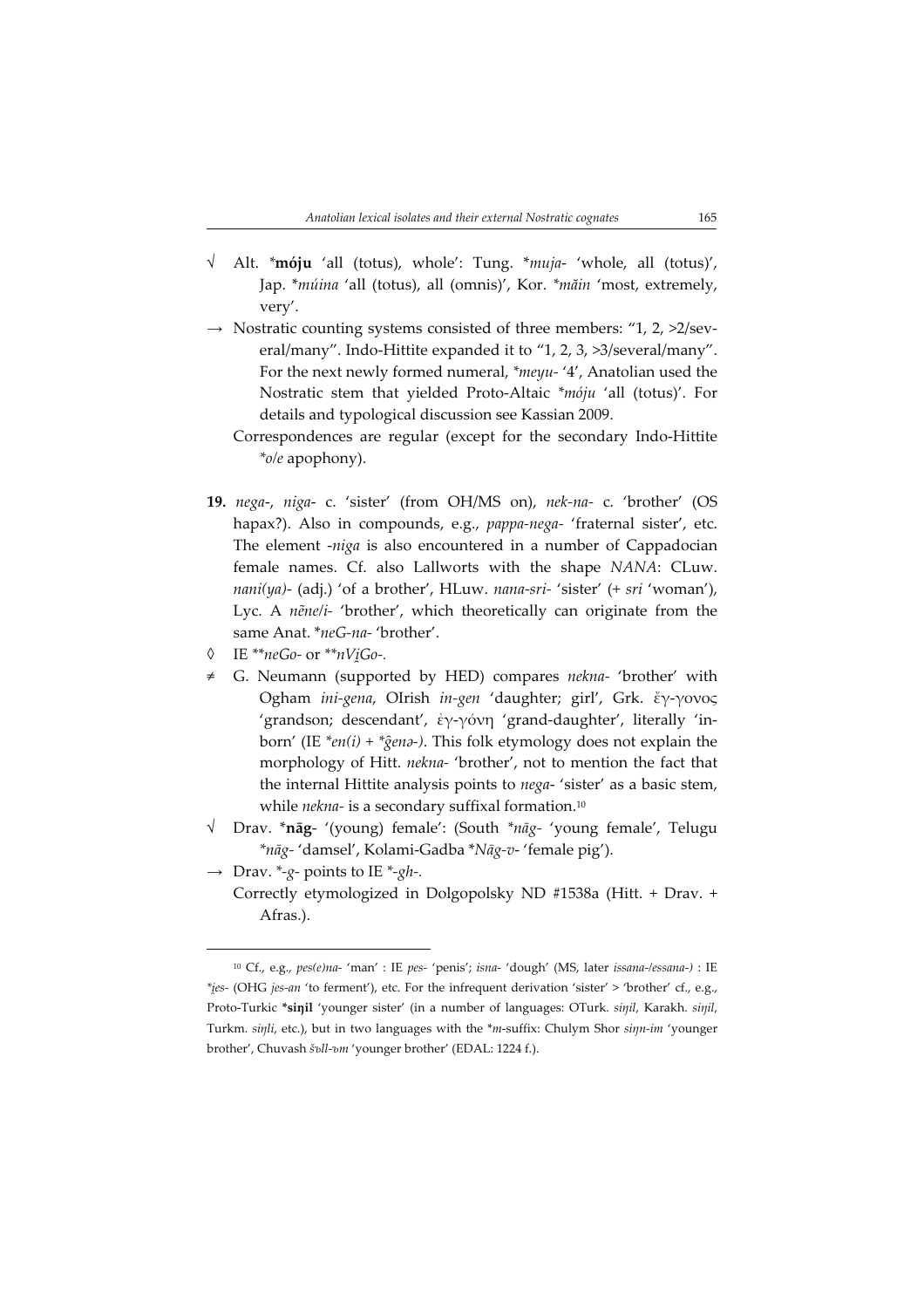- √ Alt. \*móju 'all (totus), whole': Tung. \*muja- 'whole, all (totus)', Jap. \*múina 'all (totus), all (omnis)', Kor. \*măin 'most, extremely, very'.
- $\rightarrow$  Nostratic counting systems consisted of three members: "1, 2, >2/several/many". Indo-Hittite expanded it to "1, 2, 3, >3/several/many". For the next newly formed numeral, \*meyu- '4', Anatolian used the Nostratic stem that yielded Proto-Altaic \*móju 'all (totus)'. For details and typological discussion see Kassian 2009.

Correspondences are regular (except for the secondary Indo-Hittite \*o/e apophony).

- 19. nega-, niga- c. 'sister' (from OH/MS on), nek-na- c. 'brother' (OS hapax?). Also in compounds, e.g., pappa-nega- 'fraternal sister', etc. The element -niga is also encountered in a number of Cappadocian female names. Cf. also Lallworts with the shape NANA: CLuw. nani(ya)- (adj.) 'of a brother', HLuw. nana-sri- 'sister'  $(+ sri 'woman'),$ Lyc. A neneli- 'brother', which theoretically can originate from the same Anat. \* neG-na- 'brother'.
- ◊ IE \*\*neGo- or \*\*nV Go.
- G. Neumann (supported by HED) compares nekna- 'brother' with Ogham ini-gena, OIrish in-gen 'daughter; girl', Grk. ἔγ-γονος 'grandson; descendant', ἐγ-γόνη 'grand-daughter', literally 'inborn' (IE \*en(i) + \*gena-). This folk etymology does not explain the morphology of Hitt. nekna- 'brother', not to mention the fact that the internal Hittite analysis points to nega- 'sister' as a basic stem, while nekna- is a secondary suffixal formation.<sup>10</sup>
- √ Drav. \*nāg- '(young) female': (South \*nāg- 'young female', Telugu \*nāg- 'damsel', Kolami-Gadba \*Nāg-v- 'female pig').
- $\rightarrow$  Drav. \*-g- points to IE \*-gh-.
	- Correctly etymologized in Dolgopolsky ND #1538a (Hitt. + Drav. + Afras.).

<sup>&</sup>lt;sup>10</sup> Cf., e.g., pes(e)na-'man' : IE pes-'penis'; isna-'dough' (MS, later issana-/essana-) : IE \*jes- (OHG jes-an 'to ferment'), etc. For the infrequent derivation 'sister' > 'brother' cf., e.g., Proto-Turkic \*siŋil 'younger sister' (in a number of languages: OTurk. siŋil, Karakh. siŋil, Turkm. sinli, etc.), but in two languages with the \*m-suffix: Chulym Shor sinn-im 'younger brother', Chuvash šъll-ъm 'younger brother' (EDAL: 1224 f.).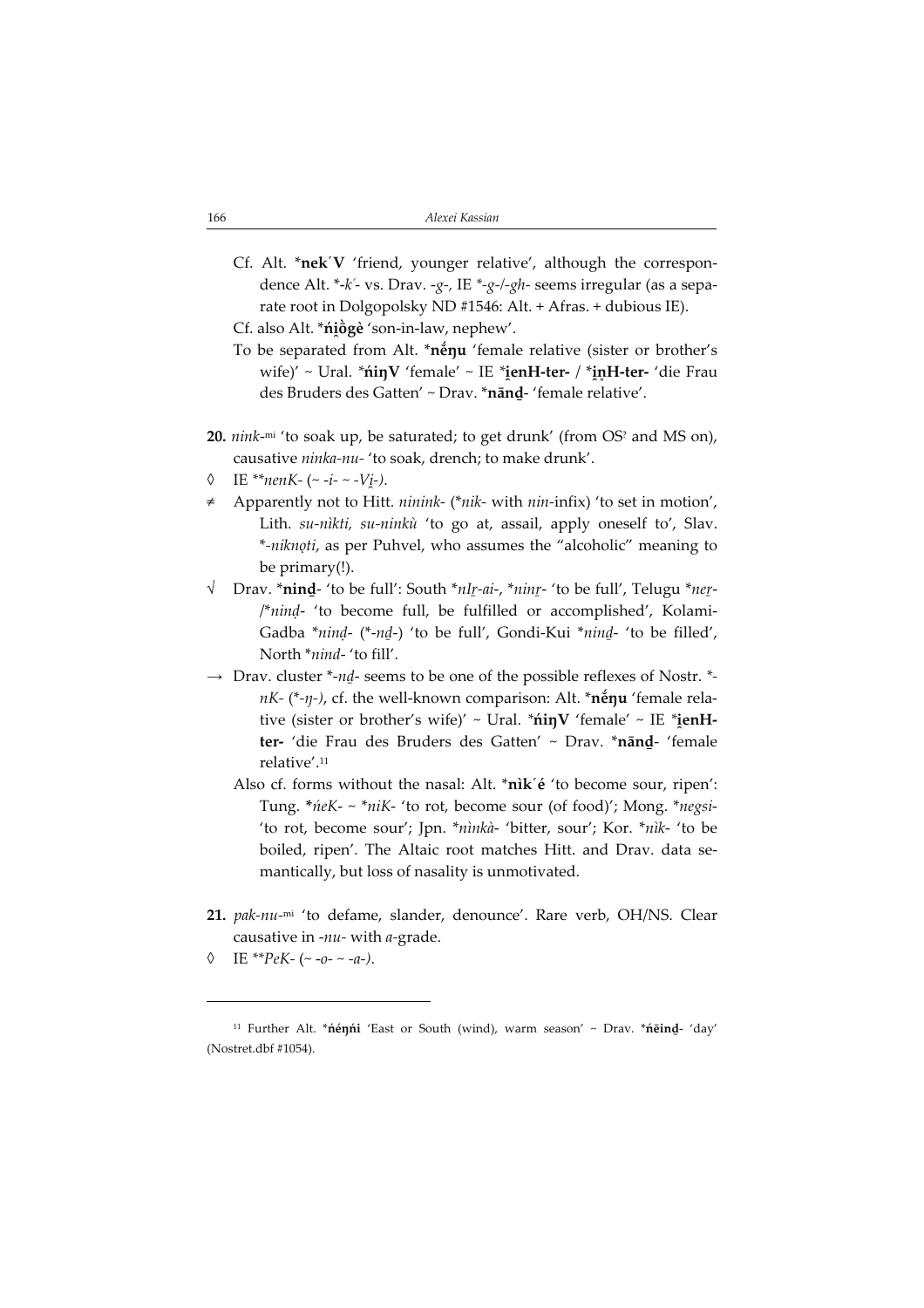Cf. Alt. \*nek'V 'friend, younger relative', although the correspondence Alt. \*- $k^2$ - vs. Drav. - $g$ -, IE \*- $g$ -/- $gh$ - seems irregular (as a separate root in Dolgopolsky ND #1546: Alt. + Afras. + dubious IE).

Cf. also Alt. \***ńi̯ōgè** 'son-in-law, nephew'.

- To be separated from Alt. \*něnu 'female relative (sister or brother's wife)′ ~ Ural. \***ńiŋV** 'female′ ~ IE \***i̯enH-ter- / \*i̯nH-ter-** 'die Frau des Bruders des Gatten' ~ Drav. \*nānḏ- 'female relative'.
- 20. *nink-*<sup>mi</sup> 'to soak up, be saturated; to get drunk' (from OS<sup>?</sup> and MS on), causative ninka-nu- 'to soak, drench; to make drunk'.
- $\lozenge$  IE \*\*nenK- (~ -i- ~ - $Vj$ -).
- Apparently not to Hitt.  $n$ *inink-* (\* $nik$  with  $nin$ -infix) 'to set in motion', Lith. su-nìkti, su-ninkù 'to go at, assail, apply oneself to', Slav. \*-niknǫti, as per Puhvel, who assumes the "alcoholic" meaning to be primary(!).
- √ Drav. \*ninḏ- 'to be full': South \*nIṟ-ai, \*ninṟ- 'to be full', Telugu \*neṟ- /\*ninḍ- 'to become full, be fulfilled or accomplished', Kolami-Gadba \*ninḍ- (\*-nḏ) 'to be full', Gondi-Kui \*ninḏ- 'to be filled', North \*nind- 'to fill'.
- $\rightarrow$  Drav. cluster \*-nd- seems to be one of the possible reflexes of Nostr. \* $nK-$  (\*- $\eta$ -), cf. the well-known comparison: Alt. \*nenumerelative (sister or brother's wife)' ~ Ural. \***ńiŋV** 'female' ~ IE \***i̯enH**ter- 'die Frau des Bruders des Gatten' ~ Drav. \*nānḏ- 'female relative'.<sup>11</sup>
	- Also cf. forms without the nasal: Alt. \*nìk'é 'to become sour, ripen': Tung. \*ńeK- ~ \*niK- 'to rot, become sour (of food)'; Mong. \*negsi- 'to rot, become sour'; Jpn. \*nìnkà- 'bitter, sour'; Kor. \*nìk- 'to be boiled, ripen'. The Altaic root matches Hitt. and Drav. data semantically, but loss of nasality is unmotivated.
- 21. pak-nu-mi 'to defame, slander, denounce'. Rare verb, OH/NS. Clear causative in - $nu$ - with  $a$ -grade.
- IE \*\*PeK- (~ -0- ~ -a-).

<sup>11</sup> Further Alt. \*ńéŋńi 'East or South (wind), warm season' ~ Drav. \*ńēinḏ- 'day' (Nostret.dbf #1054).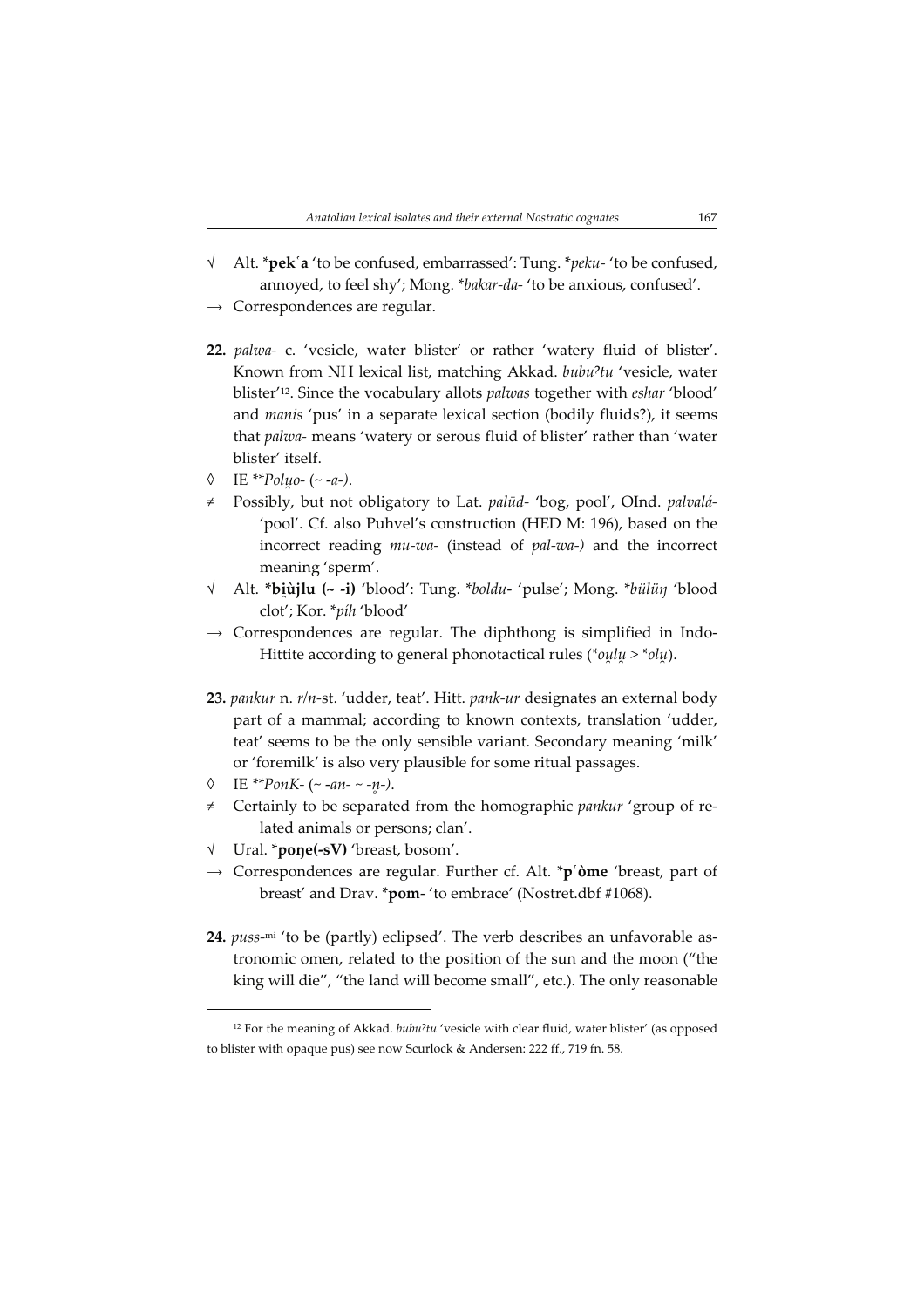- $\sqrt{\phantom{a}}$  Alt. \***pek** '**a** 'to be confused, embarrassed': Tung. \**peku* 'to be confused, annoyed, to feel shy'; Mong. \*bakar-da- 'to be anxious, confused'.
- $\rightarrow$  Correspondences are regular.
- 22. palwa- c. 'vesicle, water blister' or rather 'watery fluid of blister'. Known from NH lexical list, matching Akkad. bubu<sup>2</sup>tu 'vesicle, water blister'<sup>12</sup>. Since the vocabulary allots palwas together with eshar 'blood' and manis 'pus' in a separate lexical section (bodily fluids?), it seems that palwa- means 'watery or serous fluid of blister' rather than 'water blister' itself.
- $\lozenge$  IE \*\*Poluo- (~ -a-).
- Possibly, but not obligatory to Lat. palūd- 'bog, pool', OInd. palvalá-'pool'. Cf. also Puhvel's construction (HED M: 196), based on the incorrect reading  $mu\text{-}wa\text{-}$  (instead of pal-wa-) and the incorrect meaning 'sperm'.
- √ Alt. \***bi̯ùjlu (~ -i)** 'blood': Tung. \**boldu-* 'pulse'; Mong. \**bülüŋ* 'blood clot'; Kor. \*píh 'blood'
- $\rightarrow$  Correspondences are regular. The diphthong is simplified in Indo-Hittite according to general phonotactical rules (\*oulu > \*olu).
- 23. pankur n. r/n-st. 'udder, teat'. Hitt. pank-ur designates an external body part of a mammal; according to known contexts, translation 'udder, teat' seems to be the only sensible variant. Secondary meaning 'milk' or 'foremilk' is also very plausible for some ritual passages.
- $\lozenge$  IE \*\*PonK- (~ -an- ~ -n-).
- Certainly to be separated from the homographic pankur 'group of related animals or persons; clan'.
- Ural. \***pone(-sV)** 'breast, bosom'.
- $\rightarrow$  Correspondences are regular. Further cf. Alt. \*p $\phi$ me 'breast, part of breast' and Drav. \*pom- 'to embrace' (Nostret.dbf #1068).
- 24. puss-mi 'to be (partly) eclipsed'. The verb describes an unfavorable astronomic omen, related to the position of the sun and the moon ("the king will die", "the land will become small", etc.). The only reasonable

 $12$  For the meaning of Akkad.  $bubu^2tu$  'vesicle with clear fluid, water blister' (as opposed to blister with opaque pus) see now Scurlock & Andersen: 222 ff., 719 fn. 58.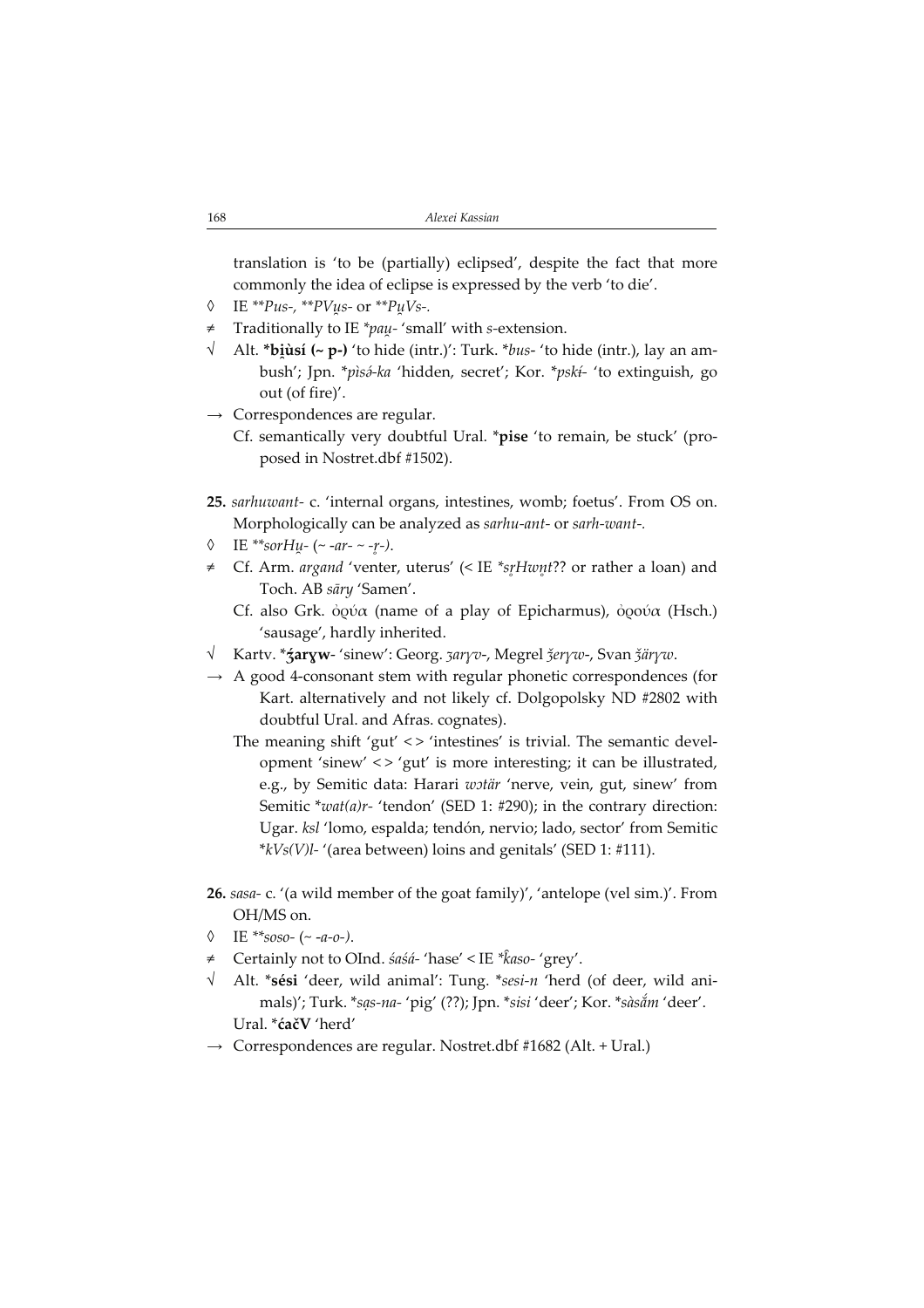translation is 'to be (partially) eclipsed', despite the fact that more commonly the idea of eclipse is expressed by the verb 'to die'.

- $\lozenge$  IE \*\**Pus-*, \*\**PVus-* or \*\**PuVs-*.
- $\neq$  Traditionally to IE \*pau 'small' with s-extension.
- √ Alt. \***biùsí (~ p-)** 'to hide (intr.)': Turk. \**bus-* 'to hide (intr.), lay an ambush'; Jpn. \*pìsá-ka 'hidden, secret'; Kor. \*pskí- 'to extinguish, go out (of fire)'.
- $\rightarrow$  Correspondences are regular.
	- Cf. semantically very doubtful Ural. \*pise 'to remain, be stuck' (proposed in Nostret.dbf #1502).
- 25. sarhuwant- c. 'internal organs, intestines, womb; foetus'. From OS on. Morphologically can be analyzed as sarhu-ant- or sarh-want-.
- $\lozenge$  IE \*\*sorHu- (~ -ar- ~ -r-).
- ≠ Cf. Arm. argand 'venter, uterus' (< IE \*srHwnt?? or rather a loan) and Toch. AB sāry 'Samen'.
	- Cf. also Grk. ὀρύα (name of a play of Epicharmus), ὀρoύα (Hsch.) 'sausage', hardly inherited.
- √ Kartv. \* **źaryw** 'sinew': Georg. *ʒaryv-,* Megrel *ǯeryw-, Svan ǯäryw*.
- $\rightarrow$  A good 4-consonant stem with regular phonetic correspondences (for Kart. alternatively and not likely cf. Dolgopolsky ND #2802 with doubtful Ural. and Afras. cognates).
	- The meaning shift 'gut' <> 'intestines' is trivial. The semantic development 'sinew' < > 'gut' is more interesting; it can be illustrated, e.g., by Semitic data: Harari wotär 'nerve, vein, gut, sinew' from Semitic \*wat(a)r- 'tendon' (SED 1: #290); in the contrary direction: Ugar. ksl 'lomo, espalda; tendón, nervio; lado, sector' from Semitic  $*$ kVs(V)l- '(area between) loins and genitals' (SED 1: #111).
- 26. sasa- c. '(a wild member of the goat family)', 'antelope (vel sim.)'. From OH/MS on.
- $\Diamond$  IE \*\*soso- (~ -a-o-).
- ≠ Certainly not to OInd. śaśá- 'hase' < IE \*5aso- 'grey'.
- $\sqrt{\phantom{a}}$  Alt. \*sési 'deer, wild animal': Tung. \*sesi-n 'herd (of deer, wild animals)'; Turk. \*sas-na- 'pig' (??); Jpn. \*sisi 'deer'; Kor. \*sàsắm 'deer'. Ural. \*ćačV 'herd'
- $\rightarrow$  Correspondences are regular. Nostret.dbf #1682 (Alt. + Ural.)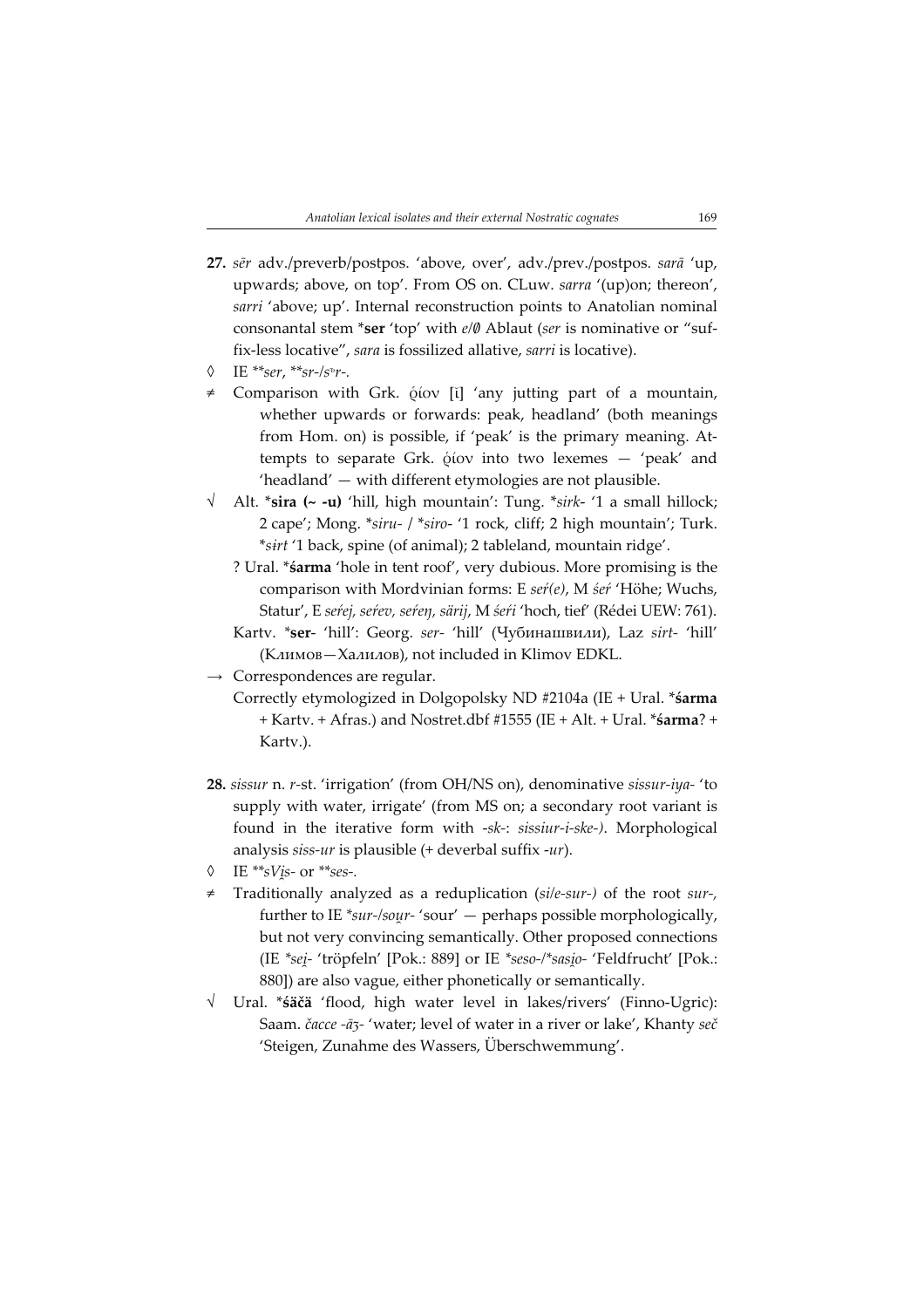- 27. sēr adv./preverb/postpos. 'above, over', adv./prev./postpos. sarā 'up, upwards; above, on top'. From OS on. CLuw. sarra '(up)on; thereon', sarri 'above; up'. Internal reconstruction points to Anatolian nominal consonantal stem \*ser 'top' with e/0 Ablaut (ser is nominative or "suffix-less locative", sara is fossilized allative, sarri is locative).
- $\lozenge$  IE \*\*ser, \*\*sr-/s<sup>ъ</sup>r-.
- ≠ Comparison with Grk. ῥίον [ῐ] 'any jutting part of a mountain, whether upwards or forwards: peak, headland' (both meanings from Hom. on) is possible, if 'peak' is the primary meaning. Attempts to separate Grk. ῥίον into two lexemes — 'peak' and 'headland' — with different etymologies are not plausible.
- Alt. \*sira  $(\sim -u)$  'hill, high mountain': Tung. \*sirk- '1 a small hillock; 2 cape'; Mong. \*siru- / \*siro- '1 rock, cliff; 2 high mountain'; Turk. \*sirt '1 back, spine (of animal); 2 tableland, mountain ridge'.
	- ? Ural. \*śarma 'hole in tent roof', very dubious. More promising is the comparison with Mordvinian forms: E seŕ(e), M śeŕ 'Höhe; Wuchs, Statur', E seŕej, seŕev, seŕeŋ, särij, M śeŕi 'hoch, tief' (Rédei UEW: 761). Kartv. \*ser- 'hill': Georg. ser- 'hill' (Чубинашвили), Laz sirt- 'hill'
	- (Климов—Халилов), not included in Klimov EDKL.
- $\rightarrow$  Correspondences are regular.
	- Correctly etymologized in Dolgopolsky ND #2104a (IE + Ural. \*śarma + Kartv. + Afras.) and Nostret.dbf #1555 (IE + Alt. + Ural. \*śarma? + Kartv.).
- 28. sissur n. r-st. 'irrigation' (from OH/NS on), denominative sissur-iya- 'to supply with water, irrigate' (from MS on; a secondary root variant is found in the iterative form with -sk-: sissiur-i-ske-). Morphological analysis siss-ur is plausible (+ deverbal suffix -ur).
- $\lozenge$  IE \*\*sVis- or \*\*ses-.
- Traditionally analyzed as a reduplication (si/e-sur-) of the root sur-, further to IE \*sur-/sour-'sour' — perhaps possible morphologically, but not very convincing semantically. Other proposed connections (IE \*seiٍ- 'tröpfeln' [Pok.: 889] or IE \*seso-/\*sasi̯o- 'Feldfrucht' [Pok.: 880]) are also vague, either phonetically or semantically.
- √ Ural. \*śäčä 'flood, high water level in lakes/rivers' (Finno-Ugric): Saam. čacce -ā3- 'water; level of water in a river or lake', Khanty seč 'Steigen, Zunahme des Wassers, Überschwemmung'.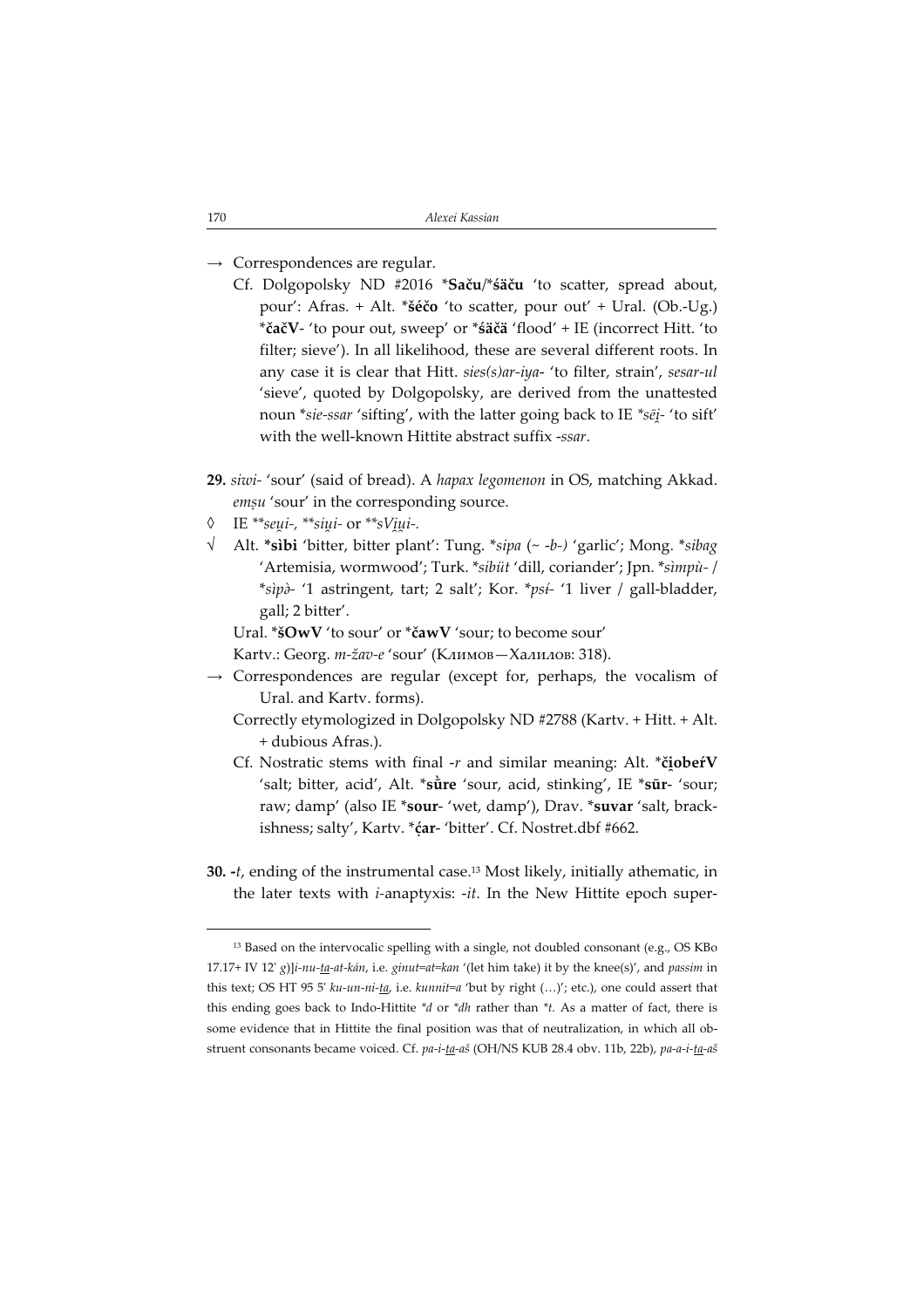- $\rightarrow$  Correspondences are regular.
	- Cf. Dolgopolsky ND #2016 \*Saču/\*śäču 'to scatter, spread about, pour': Afras. + Alt. \*šéčo 'to scatter, pour out' + Ural. (Ob.-Ug.) \*čačV- 'to pour out, sweep' or \*śäčä 'flood' + IE (incorrect Hitt. 'to filter; sieve'). In all likelihood, these are several different roots. In any case it is clear that Hitt. sies(s)ar-iya- 'to filter, strain', sesar-ul 'sieve', quoted by Dolgopolsky, are derived from the unattested noun \*s*ie-ssar '*sifting', with the latter going back to IE \*sē<u>i</u>- 'to sift' with the well-known Hittite abstract suffix -ssar.
- 29. siwi- 'sour' (said of bread). A hapax legomenon in OS, matching Akkad. emsu 'sour' in the corresponding source.
- ◊ IE \*\*seui-, \*\*siui- or \*\*sViui-.
- √ Alt. \*sìbi 'bitter, bitter plant': Tung. \*sipa (~ -b-) 'garlic'; Mong. \*sibag 'Artemisia, wormwood'; Turk. \*sibüt 'dill, coriander'; Jpn. \*sìmpù- / \*sìpà- '1 astringent, tart; 2 salt'; Kor. \*psi- '1 liver / gall-bladder, gall; 2 bitter'.

Ural. \*šOwV 'to sour' or \*čawV 'sour; to become sour'

- Kartv.: Georg. m-žav-e 'sour' (Климов—Халилов: 318).
- $\rightarrow$  Correspondences are regular (except for, perhaps, the vocalism of Ural. and Kartv. forms).
	- Correctly etymologized in Dolgopolsky ND #2788 (Kartv. + Hitt. + Alt. + dubious Afras.).
	- Cf. Nostratic stems with final -r and similar meaning: Alt. \*č**iobeŕV** 'salt; bitter, acid', Alt. \*sure 'sour, acid, stinking', IE \*sur- 'sour; raw; damp' (also IE \*sour- 'wet, damp'), Drav. \*suvar 'salt, brackishness; salty', Kartv. \* car-'bitter'. Cf. Nostret.dbf #662.
- 30.  $-t$ , ending of the instrumental case.<sup>13</sup> Most likely, initially athematic, in the later texts with  $i$ -anaptyxis:  $-it$ . In the New Hittite epoch super-

<sup>&</sup>lt;sup>13</sup> Based on the intervocalic spelling with a single, not doubled consonant (e.g., OS KBo 17.17+ IV 12' g)] $i$ -nu-ta-at-kán, i.e. ginut=at=kan '(let him take) it by the knee(s)', and passim in this text; OS HT 95 5'  $ku-un-ni-ta$ , i.e. kunnit=a 'but by right  $(...)'$ ; etc.), one could assert that this ending goes back to Indo-Hittite  $*d$  or  $*dh$  rather than  $*t$ . As a matter of fact, there is some evidence that in Hittite the final position was that of neutralization, in which all obstruent consonants became voiced. Cf. pa-i-ta-aš (OH/NS KUB 28.4 obv. 11b, 22b), pa-a-i-ta-aš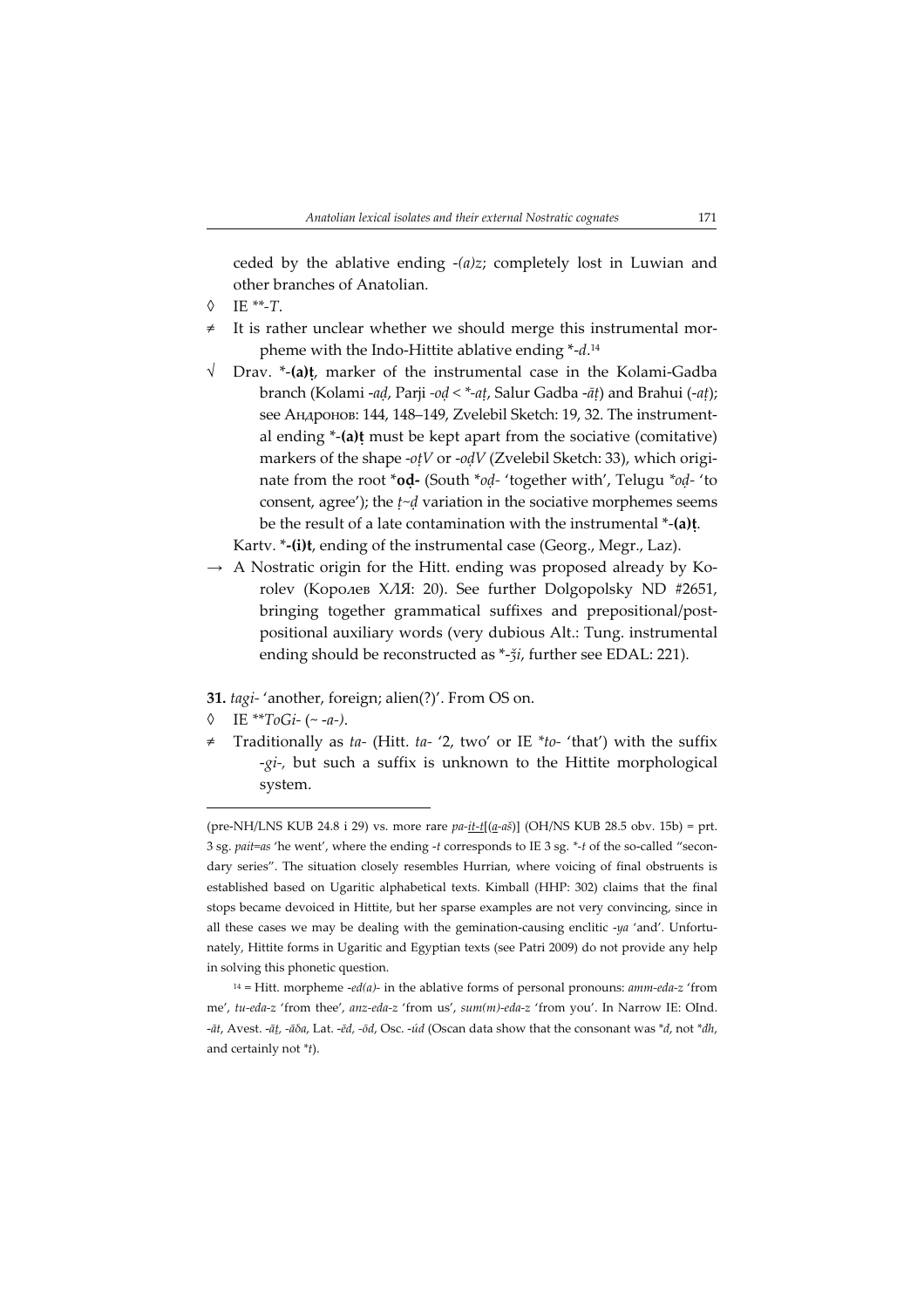ceded by the ablative ending  $-(a)z$ ; completely lost in Luwian and other branches of Anatolian.

- $IE$ \*\*- $T.$
- It is rather unclear whether we should merge this instrumental morpheme with the Indo-Hittite ablative ending \*-d.<sup>14</sup>
- √ Drav. \*-(a)ṭ, marker of the instrumental case in the Kolami-Gadba branch (Kolami -aḍ, Parji -oḍ < \*-aṭ, Salur Gadba -āṭ) and Brahui (-aṭ); see Андронов: 144, 148–149, Zvelebil Sketch: 19, 32. The instrumental ending \*-(a)ṭ must be kept apart from the sociative (comitative) markers of the shape  $-o\frac{t}{V}$  or  $-o\frac{dV}{Z}$  (Zvelebil Sketch: 33), which originate from the root \*od- (South \*od- 'together with', Telugu \*od- 'to consent, agree'); the  $t$ <sup>-d</sup> variation in the sociative morphemes seems be the result of a late contamination with the instrumental \*-(a)t.

Kartv. \*-(i)t, ending of the instrumental case (Georg., Megr., Laz).

 $\rightarrow$  A Nostratic origin for the Hitt. ending was proposed already by Korolev (Королев ХЛЯ: 20). See further Dolgopolsky ND #2651, bringing together grammatical suffixes and prepositional/postpositional auxiliary words (very dubious Alt.: Tung. instrumental ending should be reconstructed as \*-ži, further see EDAL: 221).

31. tagi- 'another, foreign; alien(?)'. From OS on.

- IE \*\*ToGi- $(-a-)$ .
- Traditionally as  $ta$  (Hitt.  $ta$  '2, two' or IE  $*to$  'that') with the suffix -gi-, but such a suffix is unknown to the Hittite morphological system.

<sup>(</sup>pre-NH/LNS KUB 24.8 i 29) vs. more rare  $pa-\underline{it-t}[(\underline{a}-a\check{s})]$  (OH/NS KUB 28.5 obv. 15b) = prt. 3 sg.  $pair = as$  'he went', where the ending -t corresponds to IE 3 sg. \*-t of the so-called "secondary series". The situation closely resembles Hurrian, where voicing of final obstruents is established based on Ugaritic alphabetical texts. Kimball (HHP: 302) claims that the final stops became devoiced in Hittite, but her sparse examples are not very convincing, since in all these cases we may be dealing with the gemination-causing enclitic  $-ya'$  and'. Unfortunately, Hittite forms in Ugaritic and Egyptian texts (see Patri 2009) do not provide any help in solving this phonetic question.

<sup>&</sup>lt;sup>14</sup> = Hitt. morpheme  $\text{-}ed(a)$ - in the ablative forms of personal pronouns: *amm-eda-z* 'from me', tu-eda-z 'from thee', anz-eda-z 'from us', sum(m)-eda-z 'from you'. In Narrow IE: OInd. -āt, Avest. -āt, -āδa, Lat. -ēd, -ōd, Osc. -úd (Oscan data show that the consonant was \*d, not \*dh, and certainly not \*t).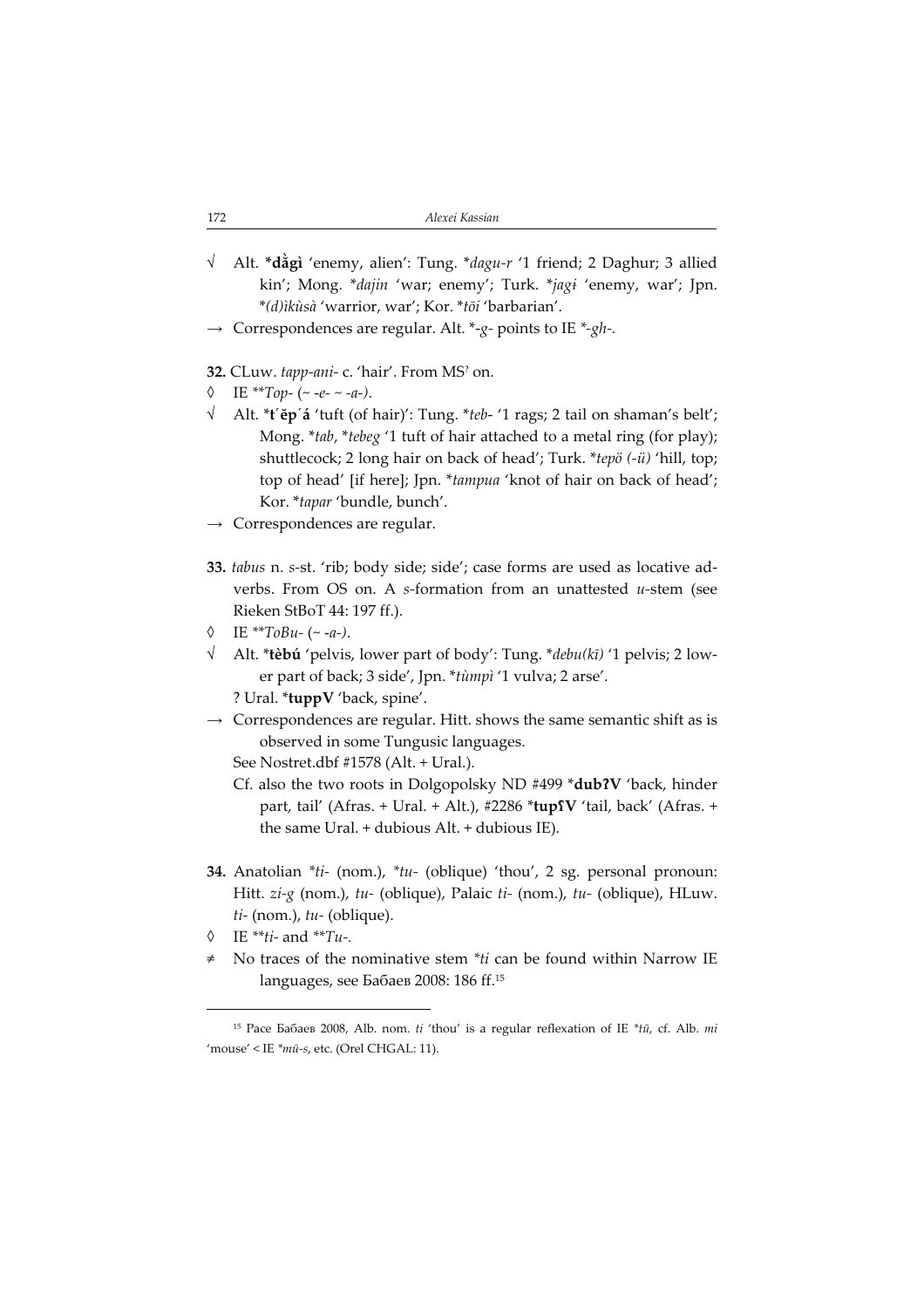- √ Alt. \*dằgì 'enemy, alien': Tung. \*dagu-r '1 friend; 2 Daghur; 3 allied kin'; Mong. \*dajin 'war; enemy'; Turk. \*jagi 'enemy, war'; Jpn. \*(d)ìkùsà 'warrior, war'; Kor. \*tōi 'barbarian'.
- $\rightarrow$  Correspondences are regular. Alt. \*-g- points to IE \*-gh-.

32. CLuw. tapp-ani- c. 'hair'. From MS? on.

- IE \*\*Top- (~ -e- ~ -a-).
- √ Alt. \*tĕpá 'tuft (of hair)': Tung. \*teb- '1 rags; 2 tail on shaman's belt'; Mong. \*tab, \*tebeg '1 tuft of hair attached to a metal ring (for play); shuttlecock; 2 long hair on back of head'; Turk. \*tepö (-ü) 'hill, top; top of head' [if here]; Jpn. \*tampua 'knot of hair on back of head'; Kor. \*tapar 'bundle, bunch'.
- $\rightarrow$  Correspondences are regular.
- 33. tabus n. s-st. 'rib; body side; side'; case forms are used as locative adverbs. From OS on. A s-formation from an unattested  $u$ -stem (see Rieken StBoT 44: 197 ff.).
- $\lozenge$  IE \*\*ToBu- (~ -a-).
- $\sqrt{\phantom{a}}$  Alt. \***tèbú** 'pelvis, lower part of body': Tung. \**debu*(*k*ī) '1 pelvis; 2 lower part of back; 3 side', Jpn. \*tùmpì '1 vulva; 2 arse'.
	- ? Ural. \*tuppV 'back, spine'.
- $\rightarrow$  Correspondences are regular. Hitt. shows the same semantic shift as is observed in some Tungusic languages.

See Nostret.dbf #1578 (Alt. + Ural.).

- Cf. also the two roots in Dolgopolsky ND #499 \*dub?V 'back, hinder part, tail' (Afras. + Ural. + Alt.), #2286 \*tupfV 'tail, back' (Afras. + the same Ural. + dubious Alt. + dubious IE).
- 34. Anatolian \*ti- (nom.), \*tu- (oblique) 'thou', 2 sg. personal pronoun: Hitt. zi-g (nom.), tu- (oblique), Palaic ti- (nom.), tu- (oblique), HLuw.  $ti-$  (nom.),  $tu-$  (oblique).
- $\lozenge$  IE \*\**ti* and \*\**Tu*-.
- No traces of the nominative stem \*ti can be found within Narrow IE languages, see Бабаев 2008: 186 ff.<sup>15</sup>

<sup>&</sup>lt;sup>15</sup> Pace Бабаев 2008, Alb. nom.  $ti$  'thou' is a regular reflexation of IE  $*t\bar{u}$ , cf. Alb. mi 'mouse' < IE \*mū-s, etc. (Orel CHGAL: 11).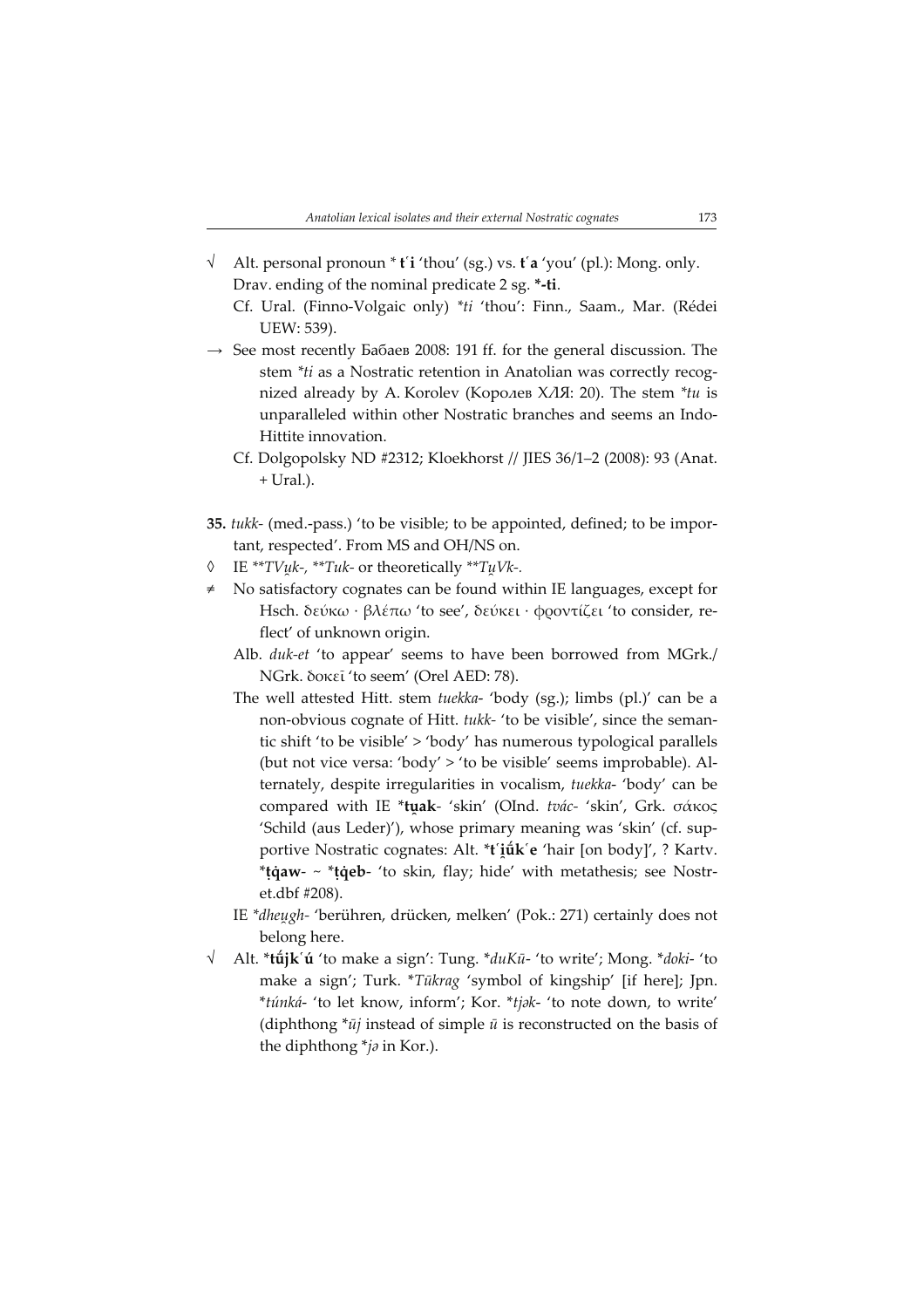- $\sqrt{\phantom{a}}$  Alt. personal pronoun \* t'i 'thou' (sg.) vs. t'a 'you' (pl.): Mong. only. Drav. ending of the nominal predicate 2 sg. \*-ti.
	- Cf. Ural. (Finno-Volgaic only) \*ti 'thou': Finn., Saam., Mar. (Rédei UEW: 539).
- $\rightarrow$  See most recently Бабаев 2008: 191 ff. for the general discussion. The stem \*ti as a Nostratic retention in Anatolian was correctly recognized already by A. Korolev (Королев ХЛЯ: 20). The stem \*tu is unparalleled within other Nostratic branches and seems an Indo-Hittite innovation.
	- Cf. Dolgopolsky ND #2312; Kloekhorst // JIES 36/1–2 (2008): 93 (Anat. + Ural.).
- 35. tukk- (med.-pass.) 'to be visible; to be appointed, defined; to be important, respected'. From MS and OH/NS on.
- ◊ IE \*\*TV k, \*\*Tuk- or theoretically \*\*T Vk.
- No satisfactory cognates can be found within IE languages, except for Hsch. δεύκω · βλέπω 'to see', δεύκει · φροντίζει 'to consider, reflect' of unknown origin.
	- Alb. duk-et 'to appear' seems to have been borrowed from MGrk./ NGrk. δοκεῖ 'to seem' (Orel AED: 78).
	- The well attested Hitt. stem tuekka- 'body (sg.); limbs (pl.)' can be a non-obvious cognate of Hitt. tukk- 'to be visible', since the semantic shift 'to be visible' > 'body' has numerous typological parallels (but not vice versa: 'body' > 'to be visible' seems improbable). Alternately, despite irregularities in vocalism, tuekka- 'body' can be compared with IE \*tak- 'skin' (OInd. tvác- 'skin', Grk. σάκος 'Schild (aus Leder)'), whose primary meaning was 'skin' (cf. supportive Nostratic cognates: Alt. \***t'iük'e** 'hair [on body]', ? Kartv.  $*$ **tiqaw-**  $\sim$   $*$ **tiqeb-** 'to skin, flay; hide' with metathesis; see Nostret.dbf #208).
	- IE \*dheugh- 'berühren, drücken, melken' (Pok.: 271) certainly does not belong here.
- Alt. \*tūjk'ú 'to make a sign': Tung. \*duKū- 'to write'; Mong. \*doki- 'to make a sign'; Turk. \*Tūkrag 'symbol of kingship' [if here]; Jpn. \*túnká- 'to let know, inform'; Kor. \*tjk- 'to note down, to write' (diphthong  $*_{\bar{u}j}$  instead of simple  $\bar{u}$  is reconstructed on the basis of the diphthong  *in Kor.).*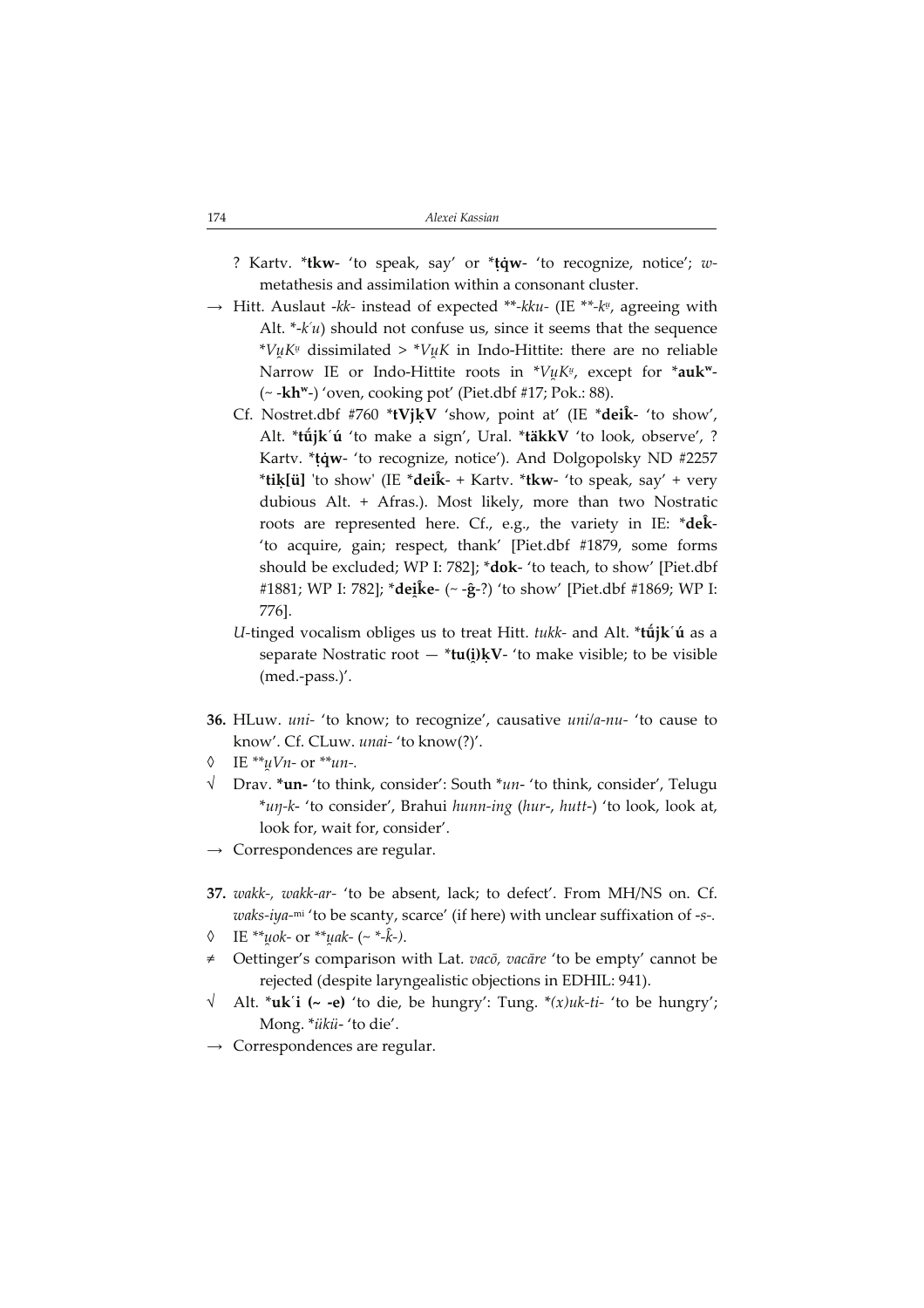- ? Kartv. \*tkw- 'to speak, say' or \*taw- 'to recognize, notice'; wmetathesis and assimilation within a consonant cluster.
- $\rightarrow$  Hitt. Auslaut -kk- instead of expected \*\*-kku- (IE \*\*-k½, agreeing with Alt.  $*$ - $k$ 'u) should not confuse us, since it seems that the sequence  $^*V\mu K^\mu$  dissimilated >  $^*V\mu K$  in Indo-Hittite: there are no reliable Narrow IE or Indo-Hittite roots in  $^*V\mu K^{\mu}$ , except for  $^*$ auk $^{{\sf{w}}}$ - $\sim$  -kh<sup>w</sup>-) 'oven, cooking pot' (Piet.dbf #17; Pok.: 88).
	- Cf. Nostret.dbf #760 \*tVjkV 'show, point at' (IE \*deik- 'to show', Alt. \*tūjk'ú 'to make a sign', Ural. \*täkkV 'to look, observe', ? Kartv. \*tqw- 'to recognize, notice'). And Dolgopolsky ND #2257 \*tik[ü] 'to show' (IE \*deik- + Kartv. \*tkw- 'to speak, say' + very dubious Alt. + Afras.). Most likely, more than two Nostratic roots are represented here. Cf., e.g., the variety in IE:  $*de\hat{k}$ -'to acquire, gain; respect, thank' [Piet.dbf #1879, some forms should be excluded; WP I: 782]; \*dok- 'to teach, to show' [Piet.dbf #1881; WP I: 782]; \***deike- (~ -ĝ-**?) 'to show' [Piet.dbf #1869; WP I: 776].
	- U-tinged vocalism obliges us to treat Hitt. tukk- and Alt.  $*t\hat{u}$ jk ú as a separate Nostratic root — \***tu(i̯)kV-** 'to make visible; to be visible (med.-pass.)'.
- 36. HLuw. uni- 'to know; to recognize', causative uni/a-nu- 'to cause to know'. Cf. CLuw. unai- 'to know(?)'.
- IE \*\* $uVn$  or \*\* $un$ -.
- $\sqrt{\phantom{a}}$  Drav. \***un-** 'to think, consider': South \**un* 'to think, consider', Telugu \*un-k- 'to consider', Brahui hunn-ing (hur-, hutt-) 'to look, look at, look for, wait for, consider'.
- $\rightarrow$  Correspondences are regular.
- 37. wakk-, wakk-ar- 'to be absent, lack; to defect'. From MH/NS on. Cf.  $waks-iya-mi$  'to be scanty, scarce' (if here) with unclear suffixation of -s-.
- $\lozenge$  IE \*\**uok* or \*\**uak* (~ \*- $\hat{k}$ -).
- Oettinger's comparison with Lat. vacō, vacāre 'to be empty' cannot be rejected (despite laryngealistic objections in EDHIL: 941).
- Alt. \***uk**'i (~ -e) 'to die, be hungry': Tung. \* $(x)$ uk-ti- 'to be hungry'; Mong. \*ükü- 'to die'.
- Correspondences are regular.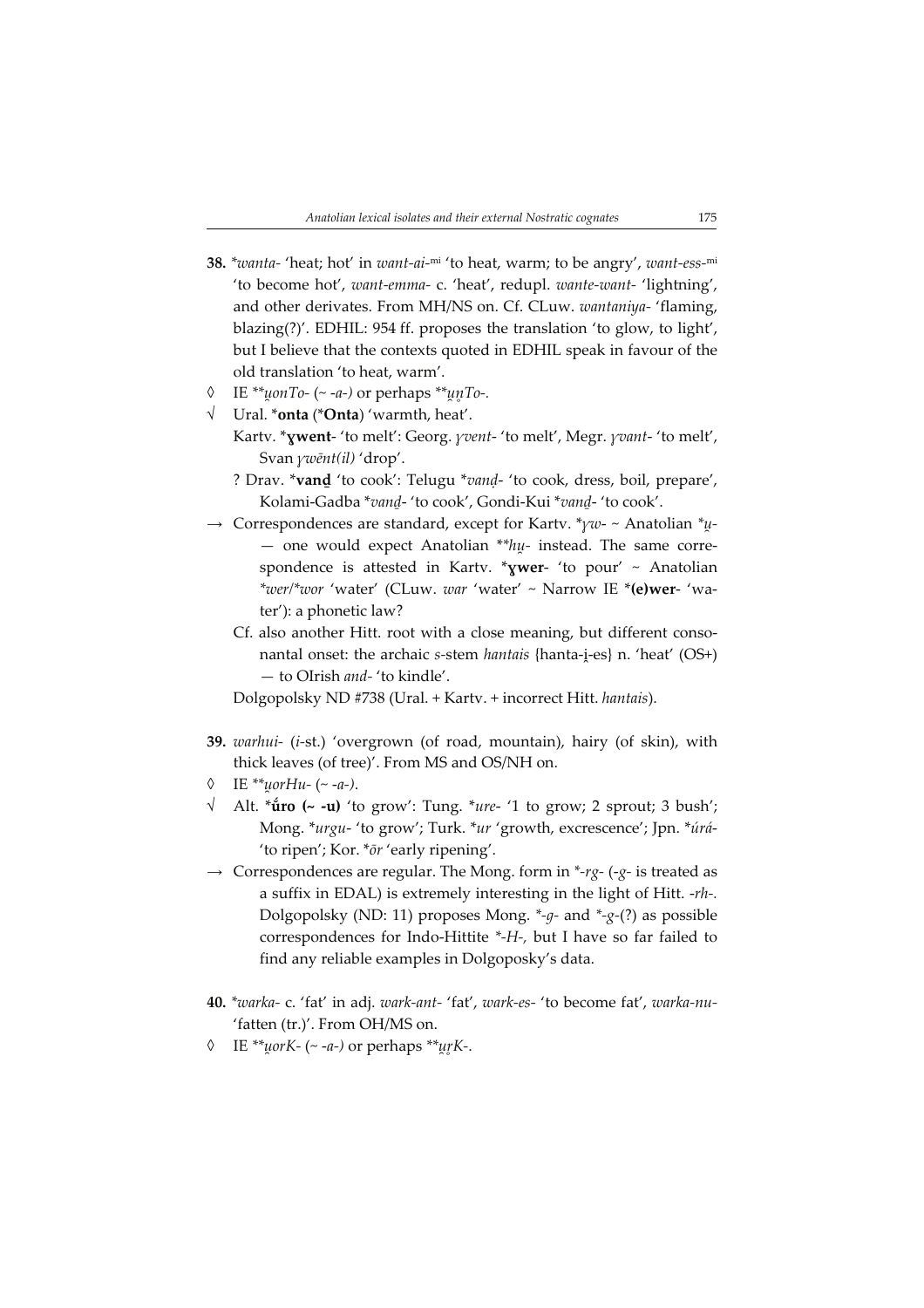- 38. \*wanta- 'heat; hot' in want-ai-mi 'to heat, warm; to be angry', want-ess-mi 'to become hot', want-emma- c. 'heat', redupl. wante-want- 'lightning', and other derivates. From MH/NS on. Cf. CLuw. wantaniya- 'flaming, blazing(?)'. EDHIL: 954 ff. proposes the translation 'to glow, to light', but I believe that the contexts quoted in EDHIL speak in favour of the old translation 'to heat, warm'.
- $\lozenge$  IE \*\**uonTo-* (~ -*a*-) or perhaps \*\**unTo-*.
- √ Ural. \*onta (\*Onta) 'warmth, heat'.
	- Kartv. \* ywent- 'to melt': Georg. *yvent-* 'to melt', Megr. *yvant-* 'to melt', Svan ywēnt(il) 'drop'.
	- ? Drav. \*vanḏ 'to cook': Telugu \*vanḍ- 'to cook, dress, boil, prepare', Kolami-Gadba \*vand- 'to cook', Gondi-Kui \*vand- 'to cook'.
- $\rightarrow$  Correspondences are standard, except for Karty. \**yw* ~ Anatolian \**u*-— one would expect Anatolian  $*$  $h$ u- instead. The same correspondence is attested in Kartv. \* ywer- 'to pour' ~ Anatolian \*wer/\*wor 'water' (CLuw. war 'water' ~ Narrow IE \*(e)wer- 'water'): a phonetic law?
	- Cf. also another Hitt. root with a close meaning, but different consonantal onset: the archaic s-stem hantais {hanta-i-es} n. 'heat' (OS+) — to OIrish and- 'to kindle'.

Dolgopolsky ND #738 (Ural. + Kartv. + incorrect Hitt. hantais).

- 39. warhui- (i-st.) 'overgrown (of road, mountain), hairy (of skin), with thick leaves (of tree)'. From MS and OS/NH on.
- IE \*\*uorHu- $(-a-)$ .
- $\sqrt{\phantom{a}}$  Alt. \***u^u** (~ -**u**) 'to grow': Tung. \**ure* '1 to grow; 2 sprout; 3 bush'; Mong. \*urgu- 'to grow'; Turk. \*ur 'growth, excrescence'; Jpn. \*úrá- 'to ripen'; Kor. \*ōr 'early ripening'.
- $\rightarrow$  Correspondences are regular. The Mong. form in \*-rg- (-g- is treated as a suffix in EDAL) is extremely interesting in the light of Hitt.  $rh$ -. Dolgopolsky (ND: 11) proposes Mong.  $*_{-q}$ - and  $*_{-g}$ -(?) as possible correspondences for Indo-Hittite \*-H, but I have so far failed to find any reliable examples in Dolgoposky's data.
- 40. \*warka- c. 'fat' in adj. wark-ant- 'fat', wark-es- 'to become fat', warka-nu- 'fatten (tr.)'. From OH/MS on.
- IE \*\**uorK- (~ -a-)* or perhaps \*\**urK-*.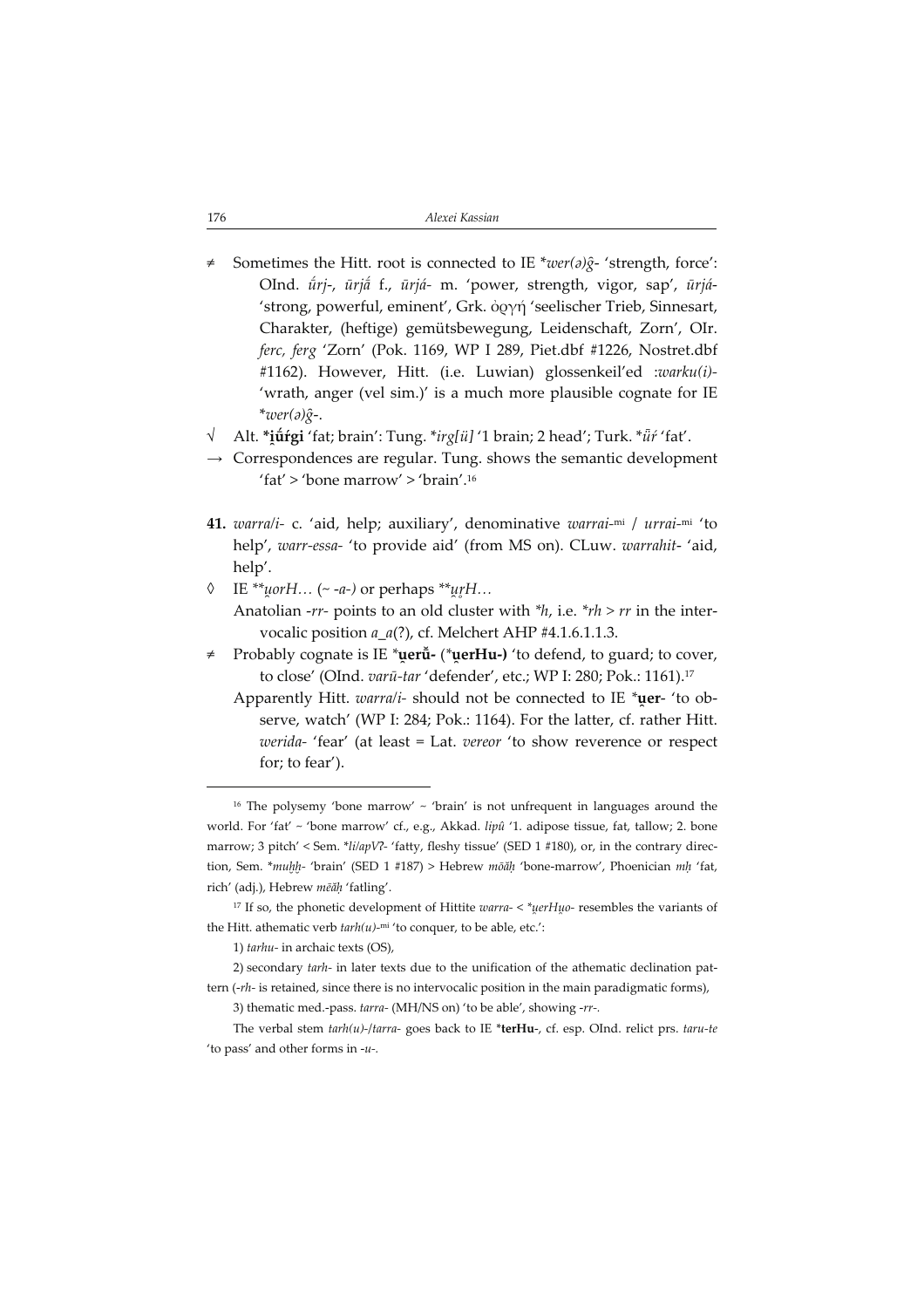- ≠ Sometimes the Hitt. root is connected to IE \*wer(a) $\hat{g}$  'strength, force': OInd. ūrj-, ūrjā f., ūrjá- m. 'power, strength, vigor, sap', ūrjá-'strong, powerful, eminent', Grk. ὀργή 'seelischer Trieb, Sinnesart, Charakter, (heftige) gemütsbewegung, Leidenschaft, Zorn', OIr. ferc, ferg 'Zorn' (Pok. 1169, WP I 289, Piet.dbf #1226, Nostret.dbf #1162). However, Hitt. (i.e. Luwian) glossenkeil'ed :warku(i)-'wrath, anger (vel sim.)' is a much more plausible cognate for IE \*wer( $\partial \hat{g}$ -.
- √ Alt. \***i̯ūŕgi** 'fat; brain': Tung. \**irg[ü]* '1 brain; 2 head'; Turk. \* $\ddot{u}$ ŕ 'fat'.
- $\rightarrow$  Correspondences are regular. Tung. shows the semantic development 'fat' > 'bone marrow' > 'brain'.<sup>16</sup>
- 41. warra/i- c. 'aid, help; auxiliary', denominative warrai-mi / urrai-mi 'to help', warr-essa- 'to provide aid' (from MS on). CLuw. warrahit- 'aid, help'.
- $\lozenge$  IE \*\**uorH*… (~ -*a*-) or perhaps \*\**urH*… Anatolian -rr- points to an old cluster with  $*h$ , i.e.  $*rh > rr$  in the intervocalic position  $a_a(?)$ , cf. Melchert AHP #4.1.6.1.1.3.
- Probably cognate is IE \*uerū̃- (\*uerHu-) 'to defend, to guard; to cover, to close' (OInd. varū-tar 'defender', etc.; WP I: 280; Pok.: 1161).<sup>17</sup>
	- Apparently Hitt. warra/i- should not be connected to IE \*uer- 'to observe, watch' (WP I: 284; Pok.: 1164). For the latter, cf. rather Hitt. werida- 'fear' (at least = Lat. vereor 'to show reverence or respect for; to fear').

1) tarhu- in archaic texts (OS),

2) secondary tarh- in later texts due to the unification of the athematic declination pattern  $(-rh-$  is retained, since there is no intervocalic position in the main paradigmatic forms),

3) thematic med.-pass.  $tarra$ - (MH/NS on) 'to be able', showing -rr-.

The verbal stem  $tanh(u)$ -/tarra- goes back to IE \*terHu-, cf. esp. OInd. relict prs.  $taru-te$ 'to pass' and other forms in  $-u$ .

<sup>&</sup>lt;sup>16</sup> The polysemy 'bone marrow'  $\sim$  'brain' is not unfrequent in languages around the world. For 'fat' ~ 'bone marrow' cf., e.g., Akkad. lipû '1. adipose tissue, fat, tallow; 2. bone marrow: 3 pitch' < Sem. \* $\frac{i}{a}$  \* $\frac{i}{a}$  \* $\frac{f}{b}$  \*  $\frac{f}{c}$  fatty, fleshy tissue' (SED 1 #180), or, in the contrary direction, Sem. \*muhh- 'brain' (SED 1 #187) > Hebrew mōăḥ 'bone-marrow', Phoenician mh 'fat, rich' (adj.), Hebrew mēăḥ 'fatling'.

<sup>&</sup>lt;sup>17</sup> If so, the phonetic development of Hittite warra-  $\lt$  \*uerHuo- resembles the variants of the Hitt. athematic verb  $tanh(u)$ <sup>-mi</sup> 'to conquer, to be able, etc.':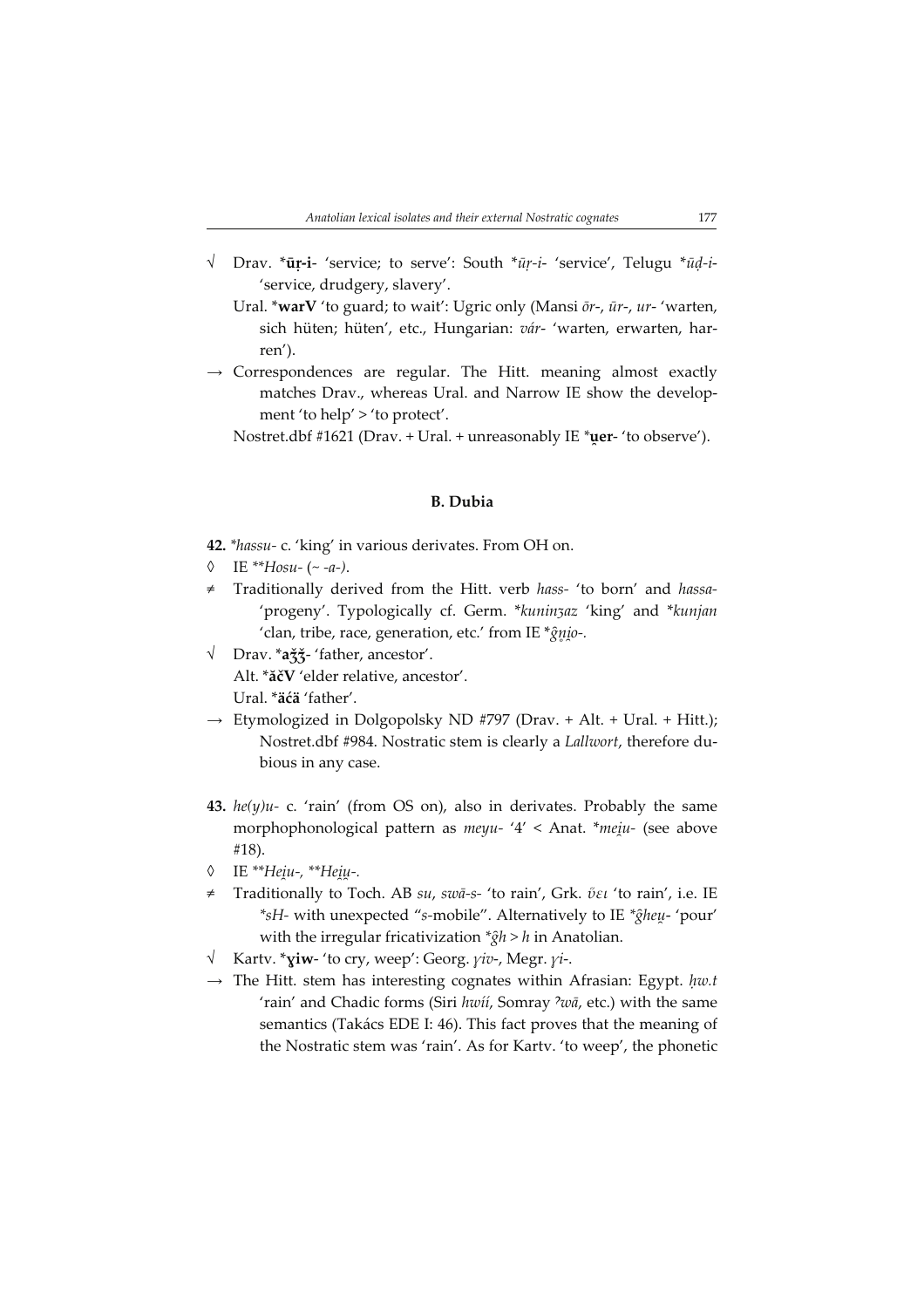- √ Drav. \*ūṛ-i- 'service; to serve': South \*ūṛ-i- 'service', Telugu \*ūḍ-i- 'service, drudgery, slavery'.
	- Ural. \*warV 'to guard; to wait': Ugric only (Mansi  $\bar{\sigma}$ r-, ūr-, ur- 'warten, sich hüten; hüten', etc., Hungarian: vár- 'warten, erwarten, harren').
- $\rightarrow$  Correspondences are regular. The Hitt. meaning almost exactly matches Drav., whereas Ural. and Narrow IE show the development 'to help' > 'to protect'.

Nostret.dbf #1621 (Drav. + Ural. + unreasonably IE \*uer- 'to observe').

## B. Dubia

42. \*hassu- c. 'king' in various derivates. From OH on.

- $\lozenge$  IE \*\*Hosu- (~ -a-).
- Traditionally derived from the Hitt. verb hass- 'to born' and hassa-'progeny'. Typologically cf. Germ. \*kuninʒaz 'king' and \*kunjan 'clan, tribe, race, generation, etc.' from IE  $^{\ast}{\hat{g}}$ nio-.
- √ Drav. \*aǯǯ- 'father, ancestor'. Alt. \*ăčV 'elder relative, ancestor'. Ural. \*äćä 'father'.
- $\rightarrow$  Etymologized in Dolgopolsky ND #797 (Drav. + Alt. + Ural. + Hitt.); Nostret.dbf #984. Nostratic stem is clearly a Lallwort, therefore dubious in any case.
- 43.  $he(y)u$  c. 'rain' (from OS on), also in derivates. Probably the same morphophonological pattern as meyu- '4' < Anat. \*me u- (see above #18).
- ◊ IE \*\*Неіи-, \*\*Неіµ-.
- ≠ Traditionally to Toch. AB su, swā-s- 'to rain', Grk. ὕει 'to rain', i.e. IE  $*sH$ - with unexpected "s-mobile". Alternatively to IE  $*$ gheu- 'pour' with the irregular fricativization  $\hat{g}h > h$  in Anatolian.
- $\sqrt{\phantom{a}}$  Kartv. \***yiw** 'to cry, weep': Georg. *yiv*-, Megr. *yi*-.
- $\rightarrow$  The Hitt. stem has interesting cognates within Afrasian: Egypt. hw.t 'rain' and Chadic forms (Siri hwíí, Somray  $\partial w\bar{a}$ , etc.) with the same semantics (Takács EDE I: 46). This fact proves that the meaning of the Nostratic stem was 'rain'. As for Kartv. 'to weep', the phonetic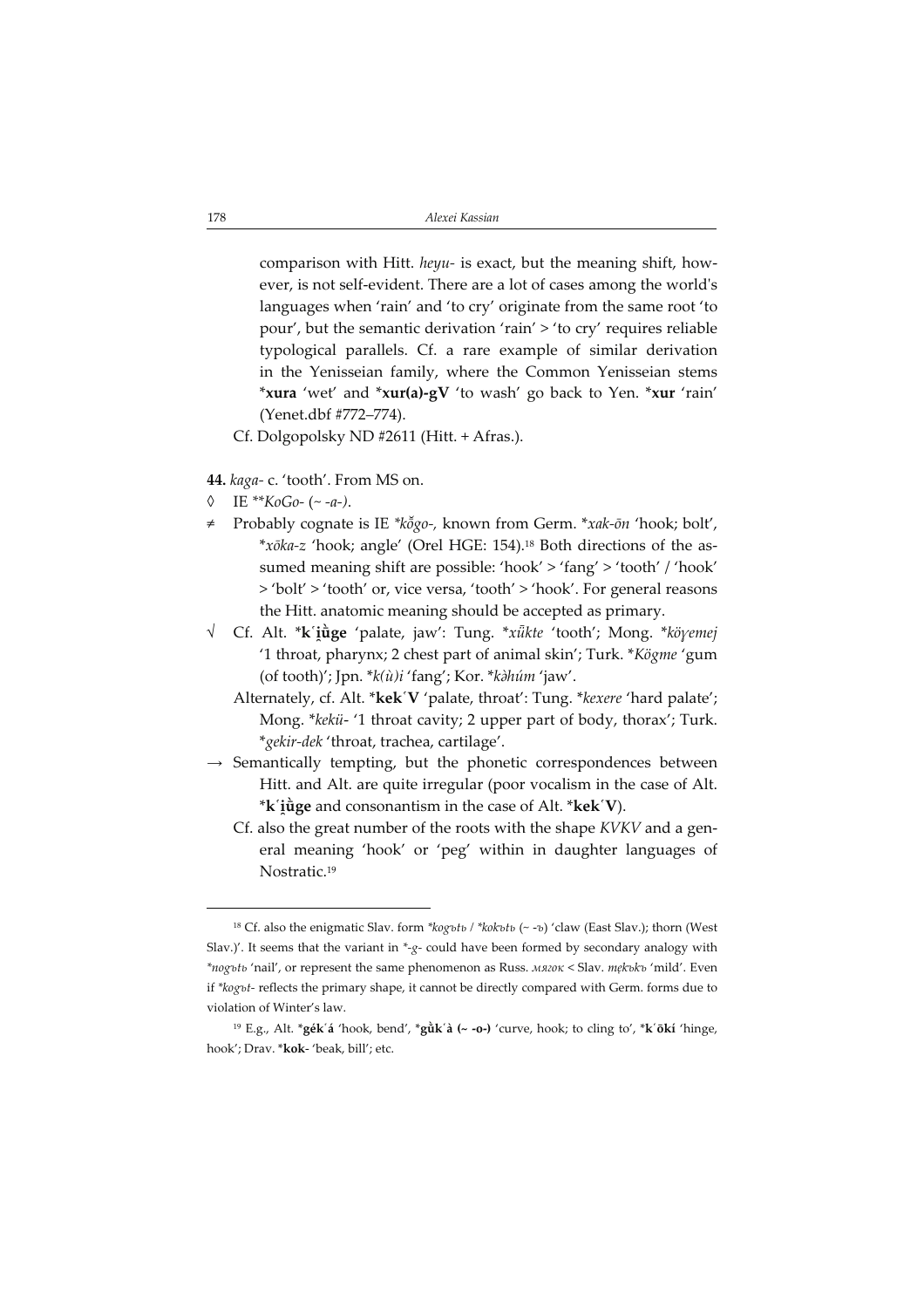comparison with Hitt. heyu- is exact, but the meaning shift, however, is not self-evident. There are a lot of cases among the world's languages when 'rain' and 'to cry' originate from the same root 'to pour', but the semantic derivation 'rain' > 'to cry' requires reliable typological parallels. Cf. a rare example of similar derivation in the Yenisseian family, where the Common Yenisseian stems \*xura 'wet' and \*xur(a)-gV 'to wash' go back to Yen. \*xur 'rain' (Yenet.dbf #772–774).

- Cf. Dolgopolsky ND #2611 (Hitt. + Afras.).
- 44. kaga- c. 'tooth'. From MS on.
- IE \*\* $KoGo-(-a-).$
- Probably cognate is IE \*kõgo-, known from Germ. \*xak-ōn 'hook; bolt', \*xōka-z 'hook; angle' (Orel HGE: 154).<sup>18</sup> Both directions of the assumed meaning shift are possible: 'hook' > 'fang' > 'tooth' / 'hook' > 'bolt' > 'tooth' or, vice versa, 'tooth' > 'hook'. For general reasons the Hitt. anatomic meaning should be accepted as primary.
- √ Cf. Alt. \***k´iūge** 'palate, jaw': Tung. \**xūkte '*tooth'; Mong. \**köγemej* '1 throat, pharynx; 2 chest part of animal skin'; Turk. \*Kögme 'gum (of tooth)'; Jpn.  $*k(\hat{u})i$  'fang'; Kor.  $*k\hat{a}h\hat{u}m$ 'jaw'.
	- Alternately, cf. Alt. \*kek'V 'palate, throat': Tung. \*kexere 'hard palate'; Mong. \*kekü- '1 throat cavity; 2 upper part of body, thorax'; Turk. \*gekir-dek 'throat, trachea, cartilage'.
- $\rightarrow$  Semantically tempting, but the phonetic correspondences between Hitt. and Alt. are quite irregular (poor vocalism in the case of Alt.  $^*$ k $\check{\;}$ i $\dot{\mathfrak{g}}$ ge and consonantism in the case of Alt.  $^*$ kek $\check{\;}$ V).
	- Cf. also the great number of the roots with the shape KVKV and a general meaning 'hook' or 'peg' within in daughter languages of Nostratic.<sup>19</sup>

<sup>&</sup>lt;sup>18</sup> Cf. also the enigmatic Slav. form \*kogъtь / \*kokъtь (~ -ъ) 'claw (East Slav.); thorn (West Slav.)'. It seems that the variant in  $*_g$ - could have been formed by secondary analogy with \*nogъtь 'nail', or represent the same phenomenon as Russ. мягок < Slav. mekъkъ 'mild'. Even if \*kogъt- reflects the primary shape, it cannot be directly compared with Germ. forms due to violation of Winter's law.

<sup>&</sup>lt;sup>19</sup> E.g., Alt. \***gék´á** 'hook, bend', \***gůk´à (~ -o-)** 'curve, hook; to cling to', \***k´ōkí** 'hinge, hook'; Drav. \*kok- 'beak, bill'; etc.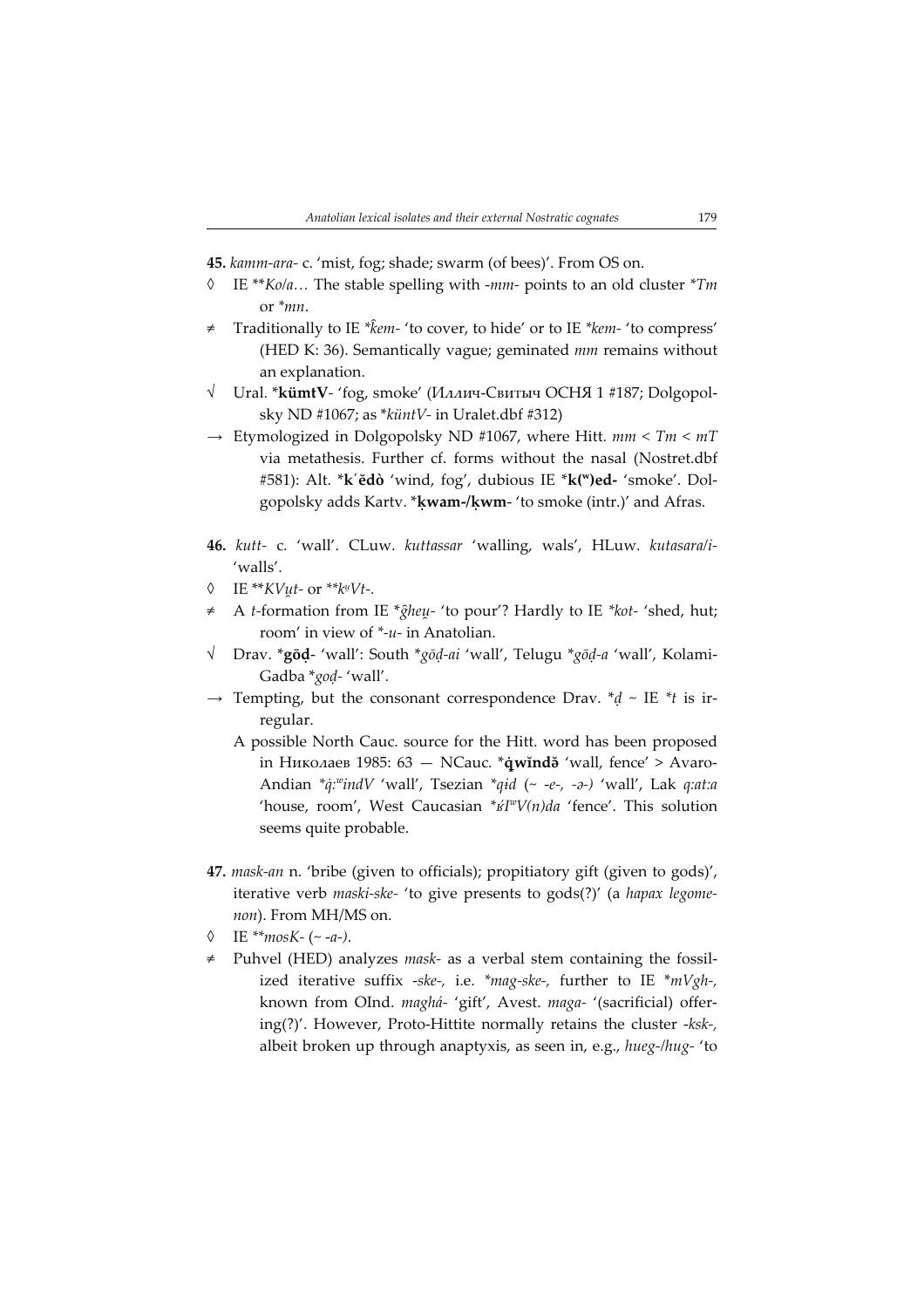45. kamm-ara- c. 'mist, fog; shade; swarm (of bees)'. From OS on.

- $\Diamond$  IE \*\**Ko/a*... The stable spelling with -mm- points to an old cluster \**Tm* or \*mn.
- Traditionally to IE \*kem- 'to cover, to hide' or to IE \*kem- 'to compress' (HED K: 36). Semantically vague; geminated mm remains without an explanation.
- √ Ural. \*kümtV- 'fog, smoke' (Иллич-Свитыч ОСНЯ 1 #187; Dolgopolsky ND #1067; as  $*$ küntV- in Uralet.dbf #312)
- $\rightarrow$  Etymologized in Dolgopolsky ND #1067, where Hitt.  $mm < TM < mT$ via metathesis. Further cf. forms without the nasal (Nostret.dbf #581): Alt. \*k`ĕdò 'wind, fog', dubious IE \*k(")ed- 'smoke'. Dolgopolsky adds Kartv. \*ḳwam-/ḳwm- 'to smoke (intr.)' and Afras.
- 46. kutt- c. 'wall'. CLuw. kuttassar 'walling, wals', HLuw. kutasara/i- 'walls'.
- $\lozenge$  IE \*\* $KV\mu t$  or \*\* $k\mu Vt$ -.
- A t-formation from IE \* $\hat{g}$ heu- 'to pour'? Hardly to IE \*kot- 'shed, hut; room' in view of \*-u- in Anatolian.
- √ Drav. \*gōḍ- 'wall': South \*gōḍ-ai 'wall', Telugu \*gōḍ-a 'wall', Kolami-Gadba \*goḍ- 'wall'.
- $\rightarrow$  Tempting, but the consonant correspondence Drav.  $*d \sim$  IE  $*$ t is irregular.
	- A possible North Cauc. source for the Hitt. word has been proposed in Николаев 1985:  $63 -$  NCauc. \*qwind $\delta$  'wall, fence' > Avaro-Andian  $*_q$ : $*_q$ : $indV$  'wall', Tsezian  $*_q$ id (~ -e-, -a-) 'wall', Lak q:at:a 'house, room', West Caucasian  $*if^wV(n)da$  'fence'. This solution seems quite probable.
- 47. mask-an n. 'bribe (given to officials); propitiatory gift (given to gods)', iterative verb maski-ske- 'to give presents to gods(?)' (a hapax legomenon). From MH/MS on.
- $\lozenge$  IE \*\* $mosK-$  (~ -a-).
- ≠ Puhvel (HED) analyzes mask- as a verbal stem containing the fossilized iterative suffix -ske-, i.e. \*mag-ske-, further to IE \*mVgh-, known from OInd. maghá- 'gift', Avest. maga- '(sacrificial) offering $(?)'$ . However, Proto-Hittite normally retains the cluster - $k$ sk-, albeit broken up through anaptyxis, as seen in, e.g., hueg-/hug- 'to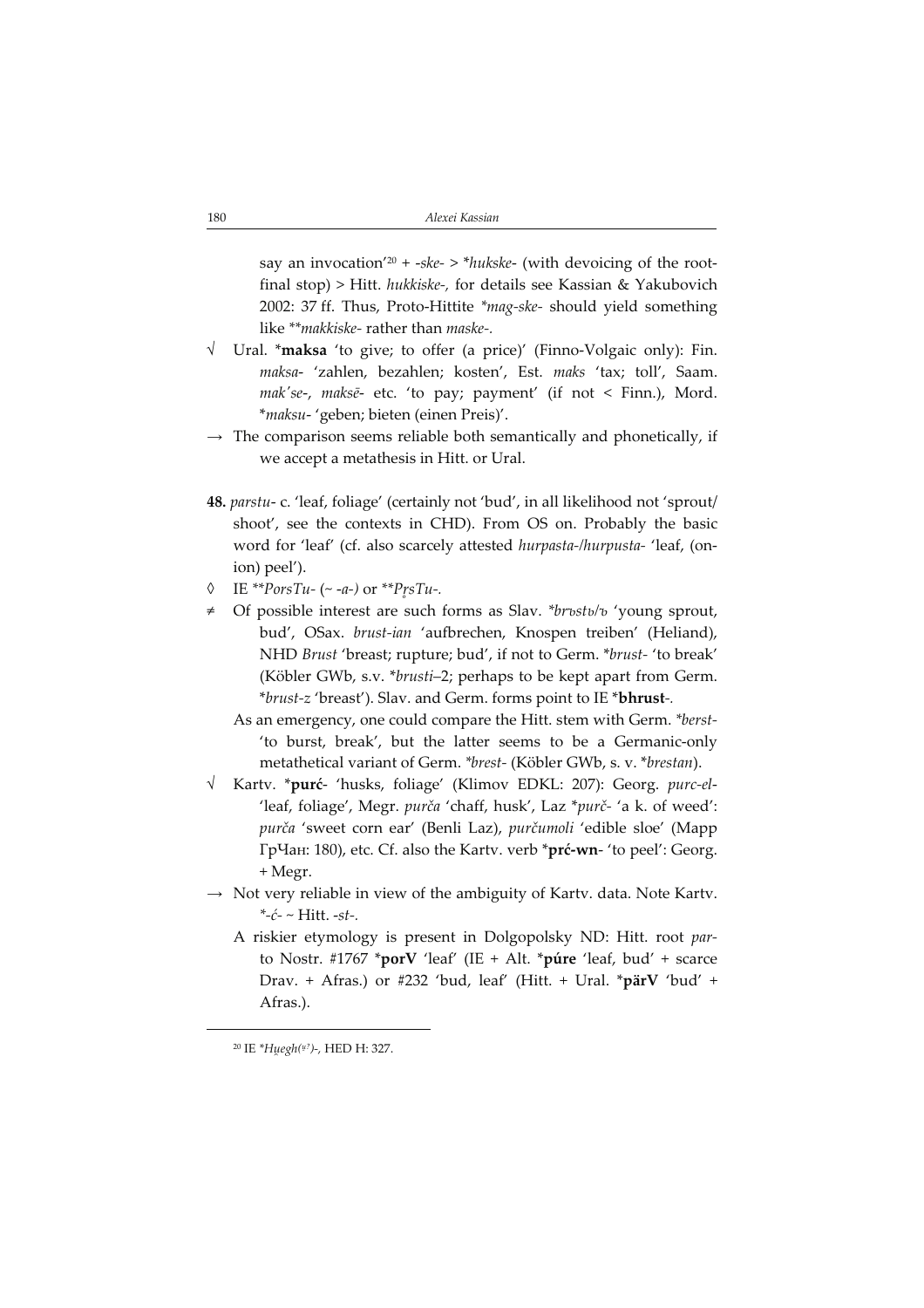say an invocation'<sup>20</sup> + -ske- > \*hukske- (with devoicing of the rootfinal stop) > Hitt. hukkiske, for details see Kassian & Yakubovich 2002: 37 ff. Thus, Proto-Hittite \*mag-ske- should yield something like \*\*makkiske- rather than maske-.

- √ Ural. \*maksa 'to give; to offer (a price)' (Finno-Volgaic only): Fin. maksa- 'zahlen, bezahlen; kosten', Est. maks 'tax; toll', Saam. mak'se-, maksē- etc. 'to pay; payment' (if not < Finn.), Mord. \*maksu- 'geben; bieten (einen Preis)'.
- $\rightarrow$  The comparison seems reliable both semantically and phonetically, if we accept a metathesis in Hitt. or Ural.
- 48. parstu- c. 'leaf, foliage' (certainly not 'bud', in all likelihood not 'sprout/ shoot', see the contexts in CHD). From OS on. Probably the basic word for 'leaf' (cf. also scarcely attested hurpasta-/hurpusta- 'leaf, (onion) peel').
- $\lozenge$  IE \*\**PorsTu- (~ -a-)* or \*\**PrsTu-.*
- ≠ Of possible interest are such forms as Slav. \*brъstь/ъ 'young sprout, bud', OSax. brust-ian 'aufbrechen, Knospen treiben' (Heliand), NHD Brust 'breast; rupture; bud', if not to Germ. \*brust- 'to break' (Köbler GWb, s.v. \*brusti–2; perhaps to be kept apart from Germ. \*brust-z 'breast'). Slav. and Germ. forms point to IE \*bhrust.
	- As an emergency, one could compare the Hitt. stem with Germ. \*berst- 'to burst, break', but the latter seems to be a Germanic-only metathetical variant of Germ. \*brest- (Köbler GWb, s. v. \*brestan).
- √ Kartv. \*purć- 'husks, foliage' (Klimov EDKL: 207): Georg. purc-el- 'leaf, foliage', Megr. purča 'chaff, husk', Laz \*purč- 'a k. of weed': purča 'sweet corn ear' (Benli Laz), purčumoli 'edible sloe' (Марр ГрЧан: 180), etc. Cf. also the Kartv. verb \*prć-wn- 'to peel': Georg. + Megr.
- $\rightarrow$  Not very reliable in view of the ambiguity of Kartv. data. Note Kartv.  $*-c-$  Hitt. -st-.
	- A riskier etymology is present in Dolgopolsky ND: Hitt. root parto Nostr. #1767 \*porV 'leaf' (IE + Alt. \*púre 'leaf, bud' + scarce Drav. + Afras.) or #232 'bud, leaf' (Hitt. + Ural. \*pärV 'bud' + Afras.).

<sup>&</sup>lt;sup>20</sup> IE \*Huegh(<sup>u?</sup>)-, HED H: 327.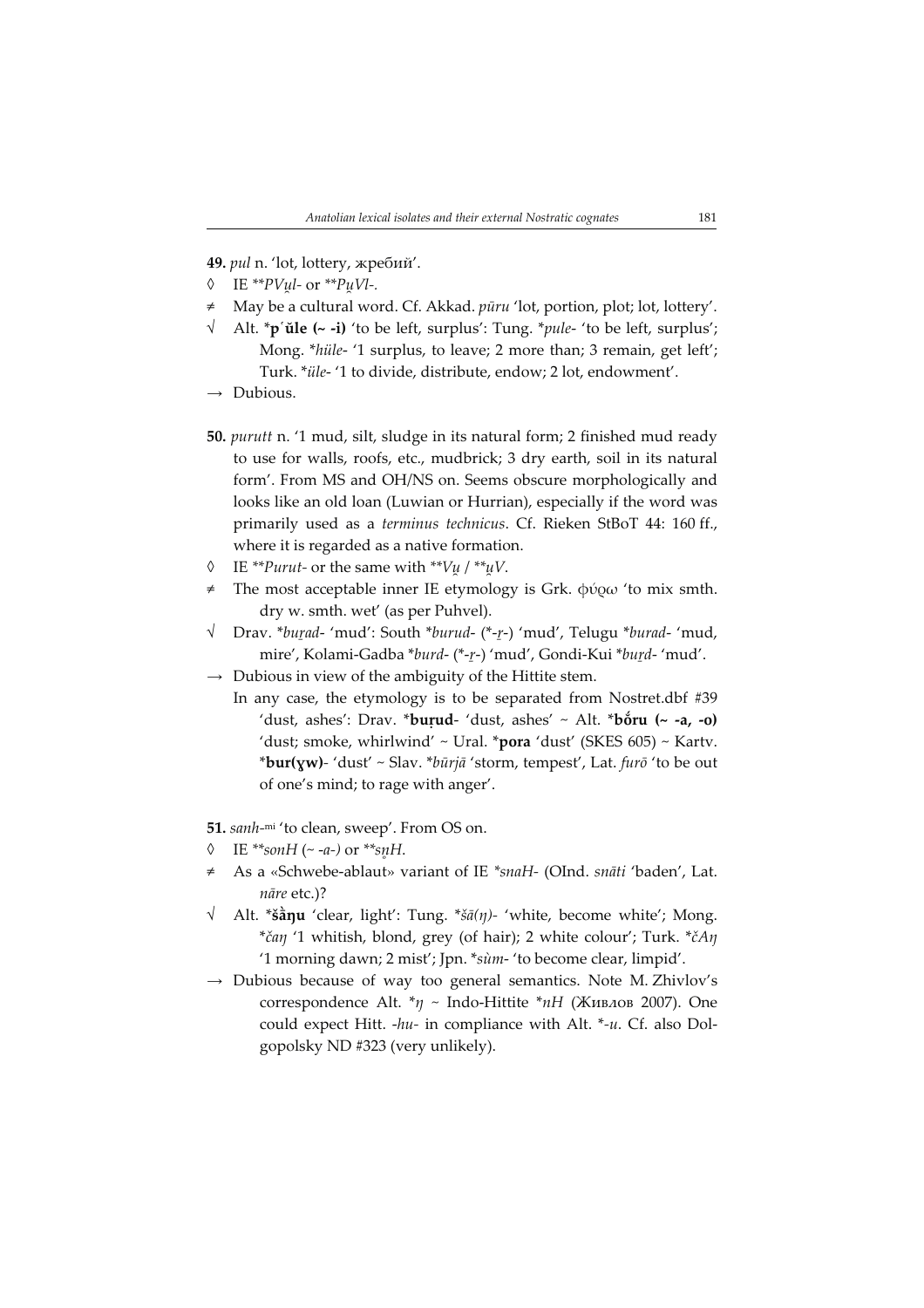49. pul n. 'lot, lottery, жребий'.

- $\lozenge$  IE \*\**PVul-* or \*\**PuVl-*.
- May be a cultural word. Cf. Akkad.  $p\bar{u}ru$  'lot, portion, plot; lot, lottery'.
- Alt. \*p'ule (~ -i) 'to be left, surplus': Tung. \*pule- 'to be left, surplus'; Mong. \*hüle- '1 surplus, to leave; 2 more than; 3 remain, get left'; Turk. \*üle- '1 to divide, distribute, endow; 2 lot, endowment'.
- $\rightarrow$  Dubious.
- 50. purutt n. '1 mud, silt, sludge in its natural form; 2 finished mud ready to use for walls, roofs, etc., mudbrick; 3 dry earth, soil in its natural form'. From MS and OH/NS on. Seems obscure morphologically and looks like an old loan (Luwian or Hurrian), especially if the word was primarily used as a terminus technicus. Cf. Rieken StBoT 44: 160 ff., where it is regarded as a native formation.
- $\lozenge$  IE \*\**Purut* or the same with \*\**Vu* / \*\**uV*.
- The most acceptable inner IE etymology is Grk. φύρω 'to mix smth. dry w. smth. wet' (as per Puhvel).
- √ Drav. \*buṟad- 'mud': South \*burud- (\*-ṟ) 'mud', Telugu \*burad- 'mud, mire', Kolami-Gadba \*burd- (\*-ṟ) 'mud', Gondi-Kui \*buṟd- 'mud'.
- $\rightarrow$  Dubious in view of the ambiguity of the Hittite stem.
	- In any case, the etymology is to be separated from Nostret.dbf #39 'dust, ashes': Drav. \***buṛud-** 'dust, ashes' ~ Alt. \***bŏru (~ -a, -o)** 'dust; smoke, whirlwind' ~ Ural. \*pora 'dust' (SKES 605) ~ Kartv. \*bur(xw)- 'dust' ~ Slav. \* $b\bar{u}$ rjā 'storm, tempest', Lat. furō 'to be out of one's mind; to rage with anger'.

51. sanh-mi 'to clean, sweep'. From OS on.

- IE \*\*sonH (~ -a-) or \*\*snH.
- As a «Schwebe-ablaut» variant of IE \*snaH- (OInd. snāti 'baden', Lat. nāre etc.)?
- Alt. \*š $\hat{a}$ nu 'clear, light': Tung. \*š $\bar{a}(\eta)$  'white, become white'; Mong. \*čan '1 whitish, blond, grey (of hair); 2 white colour'; Turk. \*č $A\eta$ '1 morning dawn; 2 mist'; Jpn. \*sùm- 'to become clear, limpid'.
- $\rightarrow$  Dubious because of way too general semantics. Note M. Zhivlov's correspondence Alt.  $*_\eta$  ~ Indo-Hittite  $*_nH$  (Живлов 2007). One could expect Hitt. -hu- in compliance with Alt. \*-u. Cf. also Dolgopolsky ND #323 (very unlikely).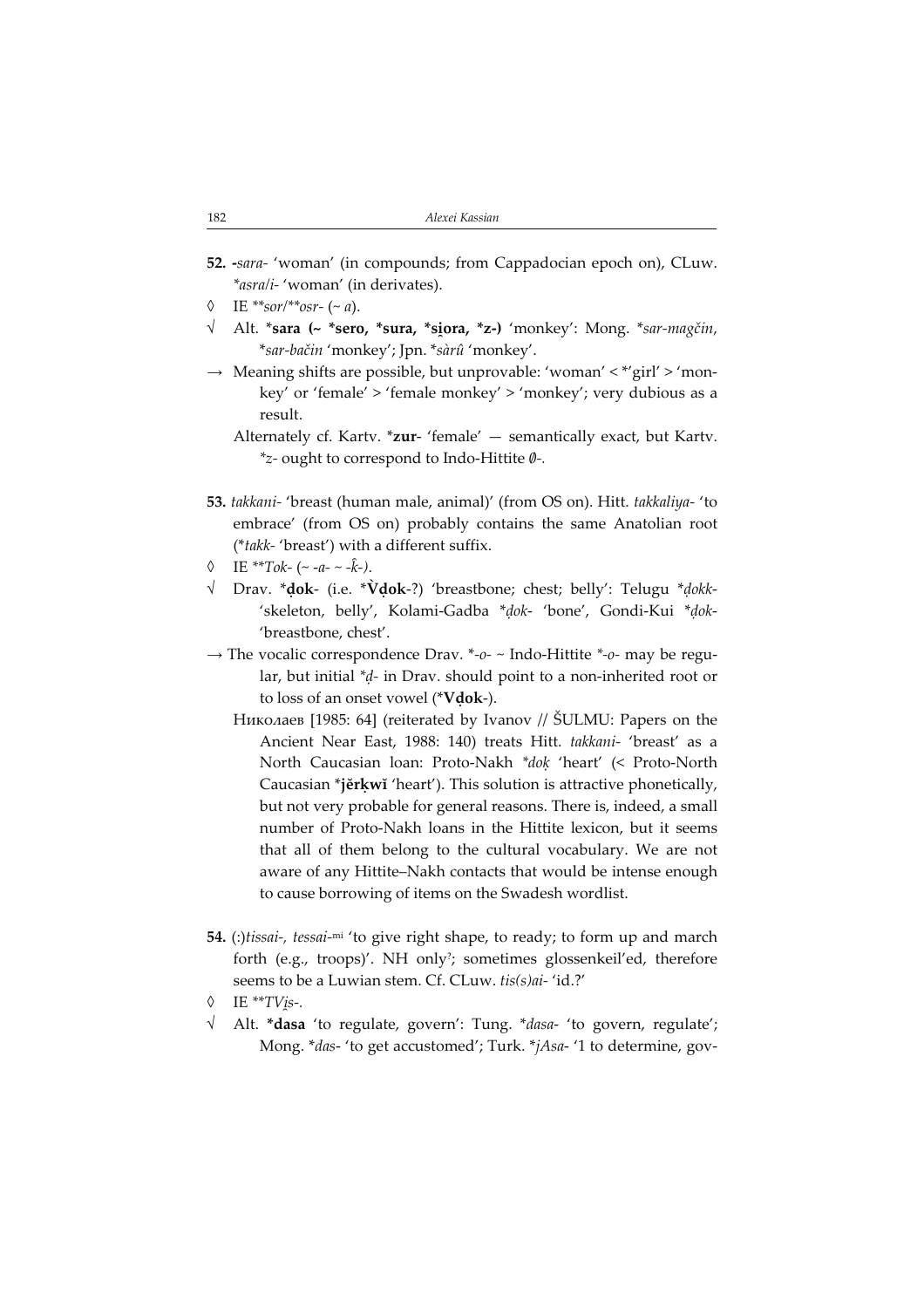- 52. -sara- 'woman' (in compounds; from Cappadocian epoch on), CLuw. \*asra/i- 'woman' (in derivates).
- IE \*\*sor/\*\*osr- $(-a)$ .
- √ Alt. \***sara (~ \*sero, \*sura, \*si̯ora, \*z-)** 'monkey': Mong. \**sar-magčin,* \*sar-bačin 'monkey'; Jpn. \*sàrû 'monkey'.
- $\rightarrow$  Meaning shifts are possible, but unprovable: 'woman' < \*'girl' > 'monkey' or 'female' > 'female monkey' > 'monkey'; very dubious as a result.
	- Alternately cf. Kartv. \*zur- 'female' semantically exact, but Kartv.  $*$ z- ought to correspond to Indo-Hittite  $\varnothing$ -.
- 53. takkani- 'breast (human male, animal)' (from OS on). Hitt. takkaliya- 'to embrace' (from OS on) probably contains the same Anatolian root (\*takk- 'breast') with a different suffix.
- $\lozenge$  IE \*\*Tok- (~ -a- ~ - $\hat{k}$ -).
- $\sqrt{\phantom{a}}$  Drav. \***dok-** (i.e. \***Vdok-**?) 'breastbone; chest; belly': Telugu \* $d$ okk-'skeleton, belly', Kolami-Gadba \*ḍok- 'bone', Gondi-Kui \*ḍok- 'breastbone, chest'.
- $\rightarrow$  The vocalic correspondence Drav. \*-0-  $\sim$  Indo-Hittite \*-0- may be regular, but initial \*ḍ- in Drav. should point to a non-inherited root or to loss of an onset vowel (\*Vdok-).
	- Николаев [1985: 64] (reiterated by Ivanov // ŠULMU: Papers on the Ancient Near East, 1988: 140) treats Hitt. takkani- 'breast' as a North Caucasian loan: Proto-Nakh \*doḳ 'heart' (< Proto-North Caucasian \*jĕrḳwĭ 'heart'). This solution is attractive phonetically, but not very probable for general reasons. There is, indeed, a small number of Proto-Nakh loans in the Hittite lexicon, but it seems that all of them belong to the cultural vocabulary. We are not aware of any Hittite–Nakh contacts that would be intense enough to cause borrowing of items on the Swadesh wordlist.
- 54. (:)*tissai-, tessai-*<sup>mi</sup> 'to give right shape, to ready; to form up and march forth (e.g., troops)'. NH only?; sometimes glossenkeil'ed, therefore seems to be a Luwian stem. Cf. CLuw. tis(s)ai-'id.?'
- $\lozenge$  IE \*\* $TV$ js-.
- √ Alt. \*dasa 'to regulate, govern': Tung. \*dasa- 'to govern, regulate'; Mong. *\*das-* 'to get accustomed'; Turk. *\*jAsa-* '1 to determine, gov-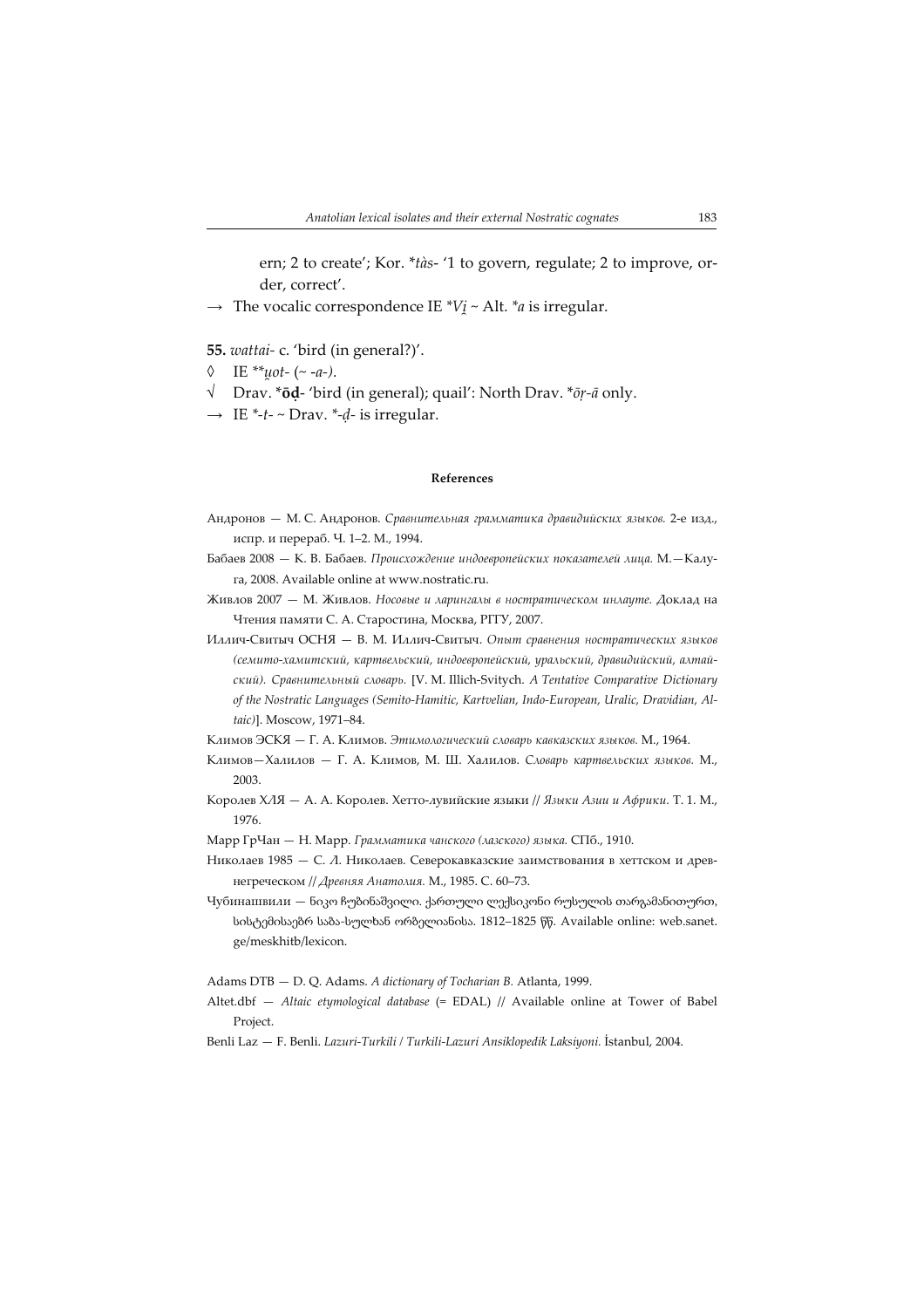ern; 2 to create'; Kor. \*tàs- '1 to govern, regulate; 2 to improve, order, correct'.

 $\rightarrow$  The vocalic correspondence IE  $^*V_i \sim$  Alt.  $^*a$  is irregular.

55. wattai- c. 'bird (in general?)'.

- $\lozenge$  IE \*\*uot- (~ -a-).
- √ Drav. \*ōḍ- 'bird (in general); quail': North Drav. \*ōṛ-ā only.
- $\rightarrow$  IE \*-t- ~ Drav. \*-d- is irregular.

## References

- Андронов М. С. Андронов. Сравнительная грамматика дравидийских языков. 2е изд., испр. и перераб. Ч. 1–2. М., 1994.
- Бабаев 2008 К. В. Бабаев. Происхождение индоевропейских показателей лица. М.—Калуга, 2008. Available online at www.nostratic.ru.
- Живлов 2007 М. Живлов. Носовые и ларингалы в ностратическом инлауте. Доклад на Чтения памяти С. А. Старостина, Москва, РГГУ, 2007.
- Иллич-Свитыч ОСНЯ В. М. Иллич-Свитыч. Опыт сравнения ностратических языков (семито-хамитский, картвельский, индоевропейский, уральский, дравидийский, алтайский). Сравнительный словарь. [V. M. Illich-Svitych. A Tentative Comparative Dictionary of the Nostratic Languages (Semito-Hamitic, Kartvelian, Indo-European, Uralic, Dravidian, Altaic)]. Moscow, 1971–84.
- Климов ЭСКЯ Г. А. Климов. Этимологический словарь кавказских языков. М., 1964.
- Климов—Халилов Г. А. Климов, М. Ш. Халилов. Словарь картвельских языков. М., 2003.
- Королев ХЛЯ А. А. Королев. Хетто-лувийские языки // Языки Азии и Африки. Т. 1. М., 1976.
- Марр ГрЧан Н. Марр. Грамматика чанского (лазского) языка. СПб., 1910.
- Николаев 1985 С. Л. Николаев. Северокавказские заимствования в хеттском и древнегреческом // Древняя Анатолия. М., 1985. С. 60–73.
- Чубинашвили ნიკო ჩუბინაშვილი. ქართული ლექსიკონი რუსულის თარგამანითურთ, სისტემისაებრ საბა-სულხან ორბელიანისა. 1812–1825 წწ. Available online: web.sanet. ge/meskhitb/lexicon.

Adams DTB — D. Q. Adams. A dictionary of Tocharian B. Atlanta, 1999.

- Altet.dbf Altaic etymological database (= EDAL) // Available online at Tower of Babel Project.
- Benli Laz F. Benli. Lazuri-Turkili / Turkili-Lazuri Ansiklopedik Laksiyoni. İstanbul, 2004.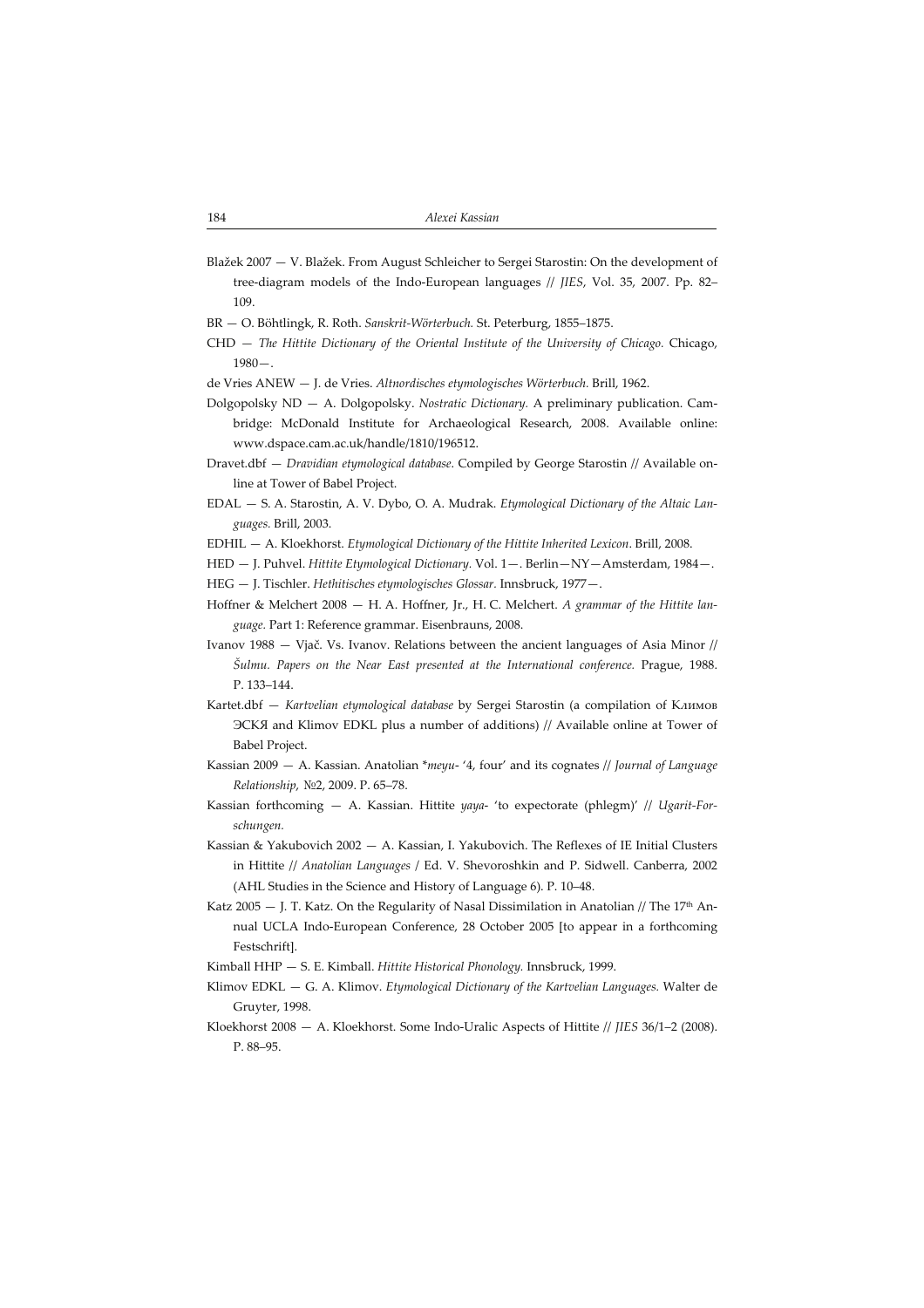- Blažek 2007 V. Blažek. From August Schleicher to Sergei Starostin: On the development of tree-diagram models of the Indo-European languages // JIES, Vol. 35, 2007. Pp. 82– 109.
- BR O. Böhtlingk, R. Roth. Sanskrit-Wörterbuch. St. Peterburg, 1855–1875.
- CHD The Hittite Dictionary of the Oriental Institute of the University of Chicago. Chicago,  $1980 -$ .
- de Vries ANEW J. de Vries. Altnordisches etymologisches Wörterbuch. Brill, 1962.
- Dolgopolsky ND A. Dolgopolsky. Nostratic Dictionary. A preliminary publication. Cambridge: McDonald Institute for Archaeological Research, 2008. Available online: www.dspace.cam.ac.uk/handle/1810/196512.
- Dravet.dbf Dravidian etymological database. Compiled by George Starostin // Available online at Tower of Babel Project.
- EDAL S. A. Starostin, A. V. Dybo, O. A. Mudrak. Etymological Dictionary of the Altaic Languages. Brill, 2003.
- EDHIL A. Kloekhorst. Etymological Dictionary of the Hittite Inherited Lexicon. Brill, 2008.
- HED J. Puhvel. Hittite Etymological Dictionary. Vol. 1—. Berlin—NY—Amsterdam, 1984—. HEG — J. Tischler. Hethitisches etymologisches Glossar. Innsbruck, 1977—.
- Hoffner & Melchert 2008 H. A. Hoffner, Jr., H. C. Melchert. A grammar of the Hittite language. Part 1: Reference grammar. Eisenbrauns, 2008.
- Ivanov 1988 Vjač. Vs. Ivanov. Relations between the ancient languages of Asia Minor // Šulmu. Papers on the Near East presented at the International conference. Prague, 1988. P. 133–144.
- Kartet.dbf Kartvelian etymological database by Sergei Starostin (a compilation of Климов ЭСКЯ and Klimov EDKL plus a number of additions) // Available online at Tower of Babel Project.
- Kassian 2009 A. Kassian. Anatolian \*meyu- '4, four' and its cognates // Journal of Language Relationship, №2, 2009. P. 65–78.
- Kassian forthcoming  $-$  A. Kassian. Hittite yaya- 'to expectorate (phlegm)' // Ugarit-Forschungen.
- Kassian & Yakubovich 2002 A. Kassian, I. Yakubovich. The Reflexes of IE Initial Clusters in Hittite // Anatolian Languages / Ed. V. Shevoroshkin and P. Sidwell. Canberra, 2002 (AHL Studies in the Science and History of Language 6). P. 10–48.
- Katz 2005  $-$  J. T. Katz. On the Regularity of Nasal Dissimilation in Anatolian // The 17<sup>th</sup> Annual UCLA Indo-European Conference, 28 October 2005 [to appear in a forthcoming Festschrift].
- Kimball HHP S. E. Kimball. Hittite Historical Phonology. Innsbruck, 1999.
- Klimov EDKL G. A. Klimov. Etymological Dictionary of the Kartvelian Languages. Walter de Gruyter, 1998.
- Kloekhorst 2008 A. Kloekhorst. Some Indo-Uralic Aspects of Hittite // JIES 36/1–2 (2008). P. 88–95.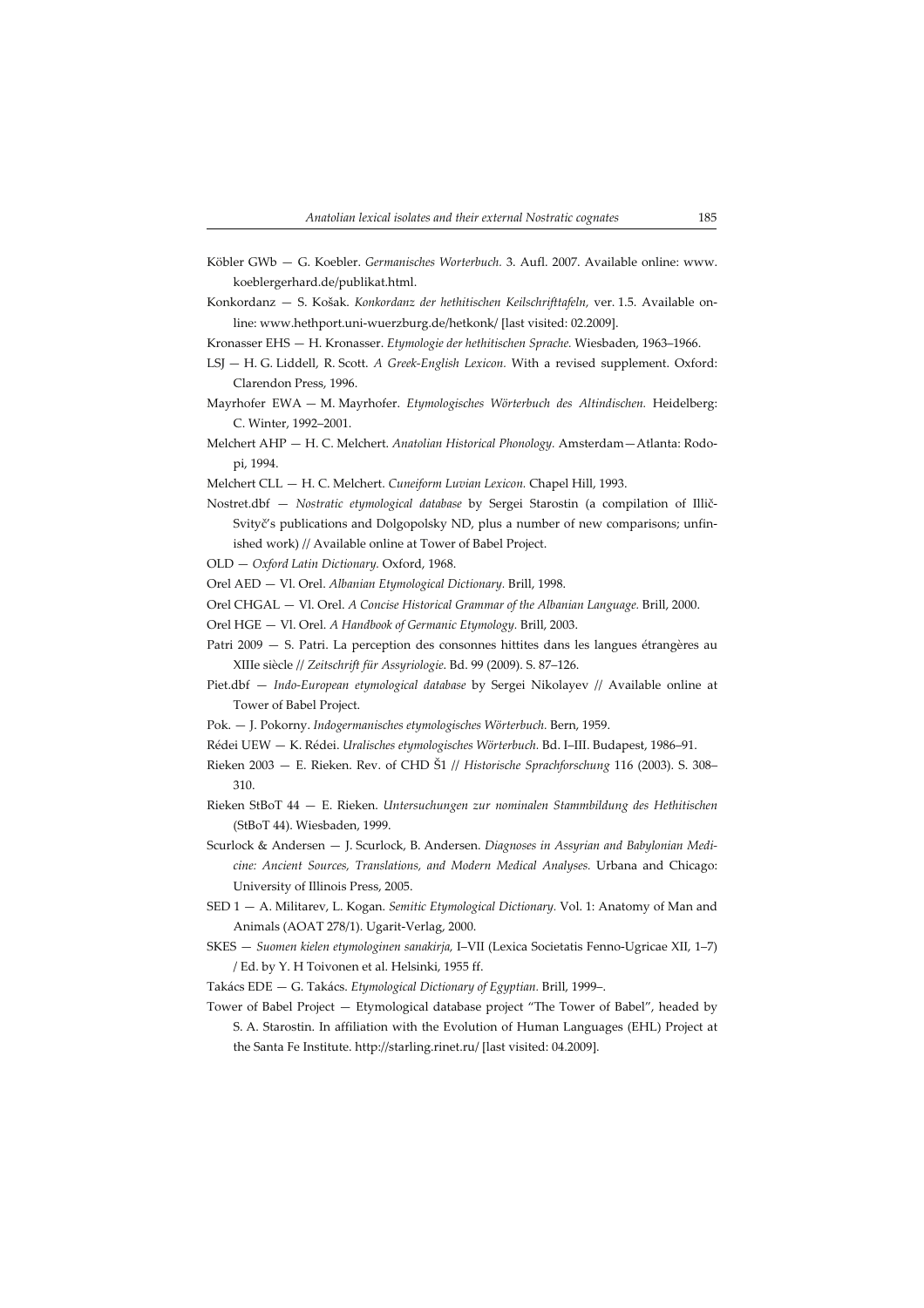- Köbler GWb G. Koebler. Germanisches Worterbuch. 3. Aufl. 2007. Available online: www. koeblergerhard.de/publikat.html.
- Konkordanz S. Košak. Konkordanz der hethitischen Keilschrifttafeln, ver. 1.5. Available online: www.hethport.uni-wuerzburg.de/hetkonk/ [last visited: 02.2009].
- Kronasser EHS H. Kronasser. Etymologie der hethitischen Sprache. Wiesbaden, 1963–1966.
- LSJ H. G. Liddell, R. Scott. A Greek-English Lexicon. With a revised supplement. Oxford: Clarendon Press, 1996.
- Mayrhofer EWA M. Mayrhofer. Etymologisches Wörterbuch des Altindischen. Heidelberg: C. Winter, 1992–2001.
- Melchert AHP H. C. Melchert. Anatolian Historical Phonology. Amsterdam—Atlanta: Rodopi, 1994.

Melchert CLL — H. C. Melchert. Cuneiform Luvian Lexicon. Chapel Hill, 1993.

- Nostret.dbf Nostratic etymological database by Sergei Starostin (a compilation of Illič-Svityč's publications and Dolgopolsky ND, plus a number of new comparisons; unfinished work) // Available online at Tower of Babel Project.
- OLD Oxford Latin Dictionary. Oxford, 1968.

Orel AED — Vl. Orel. Albanian Etymological Dictionary. Brill, 1998.

Orel CHGAL — Vl. Orel. A Concise Historical Grammar of the Albanian Language. Brill, 2000.

- Orel HGE Vl. Orel. A Handbook of Germanic Etymology. Brill, 2003.
- Patri 2009 S. Patri. La perception des consonnes hittites dans les langues étrangères au XIIIe siècle // Zeitschrift für Assyriologie. Bd. 99 (2009). S. 87–126.
- Piet.dbf Indo-European etymological database by Sergei Nikolayev // Available online at Tower of Babel Project.
- Pok. J. Pokorny. Indogermanisches etymologisches Wörterbuch. Bern, 1959.
- Rédei UEW K. Rédei. Uralisches etymologisches Wörterbuch. Bd. I–III. Budapest, 1986–91.
- Rieken 2003 E. Rieken. Rev. of CHD Š1 // Historische Sprachforschung 116 (2003). S. 308– 310.
- Rieken StBoT 44 E. Rieken. Untersuchungen zur nominalen Stammbildung des Hethitischen (StBoT 44). Wiesbaden, 1999.
- Scurlock & Andersen J. Scurlock, B. Andersen. Diagnoses in Assyrian and Babylonian Medicine: Ancient Sources, Translations, and Modern Medical Analyses. Urbana and Chicago: University of Illinois Press, 2005.
- SED 1 A. Militarev, L. Kogan. Semitic Etymological Dictionary. Vol. 1: Anatomy of Man and Animals (AOAT 278/1). Ugarit-Verlag, 2000.
- SKES Suomen kielen etymologinen sanakirja, I–VII (Lexica Societatis Fenno-Ugricae XII, 1–7) / Ed. by Y. H Toivonen et al. Helsinki, 1955 ff.
- Takács EDE G. Takács. Etymological Dictionary of Egyptian. Brill, 1999–.
- Tower of Babel Project Etymological database project "The Tower of Babel", headed by S. A. Starostin. In affiliation with the Evolution of Human Languages (EHL) Project at the Santa Fe Institute. http://starling.rinet.ru/ [last visited: 04.2009].